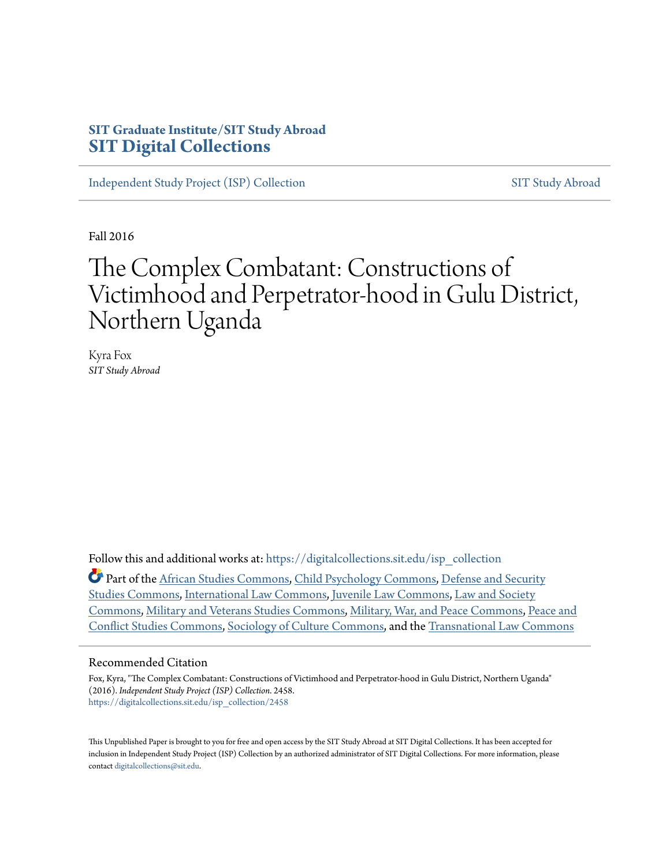# **SIT Graduate Institute/SIT Study Abroad [SIT Digital Collections](https://digitalcollections.sit.edu?utm_source=digitalcollections.sit.edu%2Fisp_collection%2F2458&utm_medium=PDF&utm_campaign=PDFCoverPages)**

[Independent Study Project \(ISP\) Collection](https://digitalcollections.sit.edu/isp_collection?utm_source=digitalcollections.sit.edu%2Fisp_collection%2F2458&utm_medium=PDF&utm_campaign=PDFCoverPages) [SIT Study Abroad](https://digitalcollections.sit.edu/study_abroad?utm_source=digitalcollections.sit.edu%2Fisp_collection%2F2458&utm_medium=PDF&utm_campaign=PDFCoverPages)

Fall 2016

# The Complex Combatant: Constructions of Victimhood and Perpetrator-hood in Gulu District, Northern Uganda

Kyra Fox *SIT Study Abroad*

Follow this and additional works at: [https://digitalcollections.sit.edu/isp\\_collection](https://digitalcollections.sit.edu/isp_collection?utm_source=digitalcollections.sit.edu%2Fisp_collection%2F2458&utm_medium=PDF&utm_campaign=PDFCoverPages)

Part of the [African Studies Commons](http://network.bepress.com/hgg/discipline/1043?utm_source=digitalcollections.sit.edu%2Fisp_collection%2F2458&utm_medium=PDF&utm_campaign=PDFCoverPages), [Child Psychology Commons,](http://network.bepress.com/hgg/discipline/1023?utm_source=digitalcollections.sit.edu%2Fisp_collection%2F2458&utm_medium=PDF&utm_campaign=PDFCoverPages) [Defense and Security](http://network.bepress.com/hgg/discipline/394?utm_source=digitalcollections.sit.edu%2Fisp_collection%2F2458&utm_medium=PDF&utm_campaign=PDFCoverPages) [Studies Commons](http://network.bepress.com/hgg/discipline/394?utm_source=digitalcollections.sit.edu%2Fisp_collection%2F2458&utm_medium=PDF&utm_campaign=PDFCoverPages), [International Law Commons,](http://network.bepress.com/hgg/discipline/609?utm_source=digitalcollections.sit.edu%2Fisp_collection%2F2458&utm_medium=PDF&utm_campaign=PDFCoverPages) [Juvenile Law Commons,](http://network.bepress.com/hgg/discipline/851?utm_source=digitalcollections.sit.edu%2Fisp_collection%2F2458&utm_medium=PDF&utm_campaign=PDFCoverPages) [Law and Society](http://network.bepress.com/hgg/discipline/853?utm_source=digitalcollections.sit.edu%2Fisp_collection%2F2458&utm_medium=PDF&utm_campaign=PDFCoverPages) [Commons,](http://network.bepress.com/hgg/discipline/853?utm_source=digitalcollections.sit.edu%2Fisp_collection%2F2458&utm_medium=PDF&utm_campaign=PDFCoverPages) [Military and Veterans Studies Commons](http://network.bepress.com/hgg/discipline/396?utm_source=digitalcollections.sit.edu%2Fisp_collection%2F2458&utm_medium=PDF&utm_campaign=PDFCoverPages), [Military, War, and Peace Commons,](http://network.bepress.com/hgg/discipline/861?utm_source=digitalcollections.sit.edu%2Fisp_collection%2F2458&utm_medium=PDF&utm_campaign=PDFCoverPages) [Peace and](http://network.bepress.com/hgg/discipline/397?utm_source=digitalcollections.sit.edu%2Fisp_collection%2F2458&utm_medium=PDF&utm_campaign=PDFCoverPages) [Conflict Studies Commons](http://network.bepress.com/hgg/discipline/397?utm_source=digitalcollections.sit.edu%2Fisp_collection%2F2458&utm_medium=PDF&utm_campaign=PDFCoverPages), [Sociology of Culture Commons,](http://network.bepress.com/hgg/discipline/431?utm_source=digitalcollections.sit.edu%2Fisp_collection%2F2458&utm_medium=PDF&utm_campaign=PDFCoverPages) and the [Transnational Law Commons](http://network.bepress.com/hgg/discipline/1123?utm_source=digitalcollections.sit.edu%2Fisp_collection%2F2458&utm_medium=PDF&utm_campaign=PDFCoverPages)

#### Recommended Citation

Fox, Kyra, "The Complex Combatant: Constructions of Victimhood and Perpetrator-hood in Gulu District, Northern Uganda" (2016). *Independent Study Project (ISP) Collection*. 2458. [https://digitalcollections.sit.edu/isp\\_collection/2458](https://digitalcollections.sit.edu/isp_collection/2458?utm_source=digitalcollections.sit.edu%2Fisp_collection%2F2458&utm_medium=PDF&utm_campaign=PDFCoverPages)

This Unpublished Paper is brought to you for free and open access by the SIT Study Abroad at SIT Digital Collections. It has been accepted for inclusion in Independent Study Project (ISP) Collection by an authorized administrator of SIT Digital Collections. For more information, please contact [digitalcollections@sit.edu](mailto:digitalcollections@sit.edu).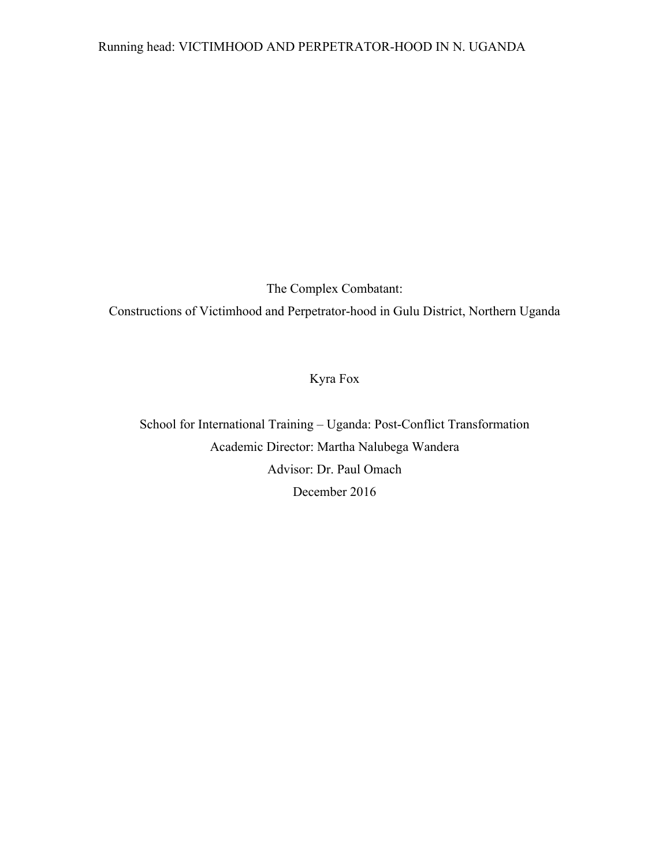The Complex Combatant:

Constructions of Victimhood and Perpetrator-hood in Gulu District, Northern Uganda

# Kyra Fox

School for International Training – Uganda: Post-Conflict Transformation Academic Director: Martha Nalubega Wandera Advisor: Dr. Paul Omach December 2016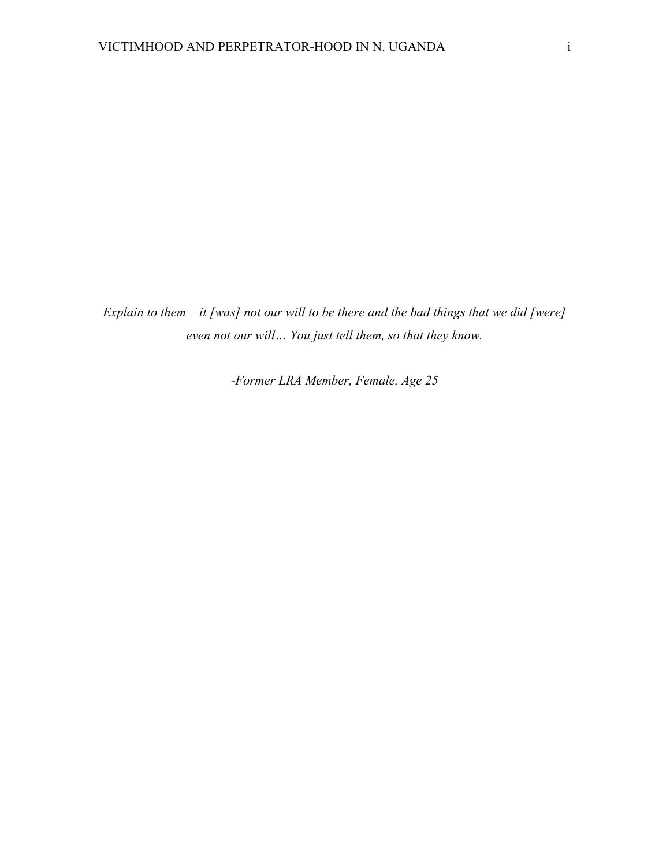*Explain to them – it [was] not our will to be there and the bad things that we did [were] even not our will… You just tell them, so that they know.*

*-Former LRA Member, Female, Age 25*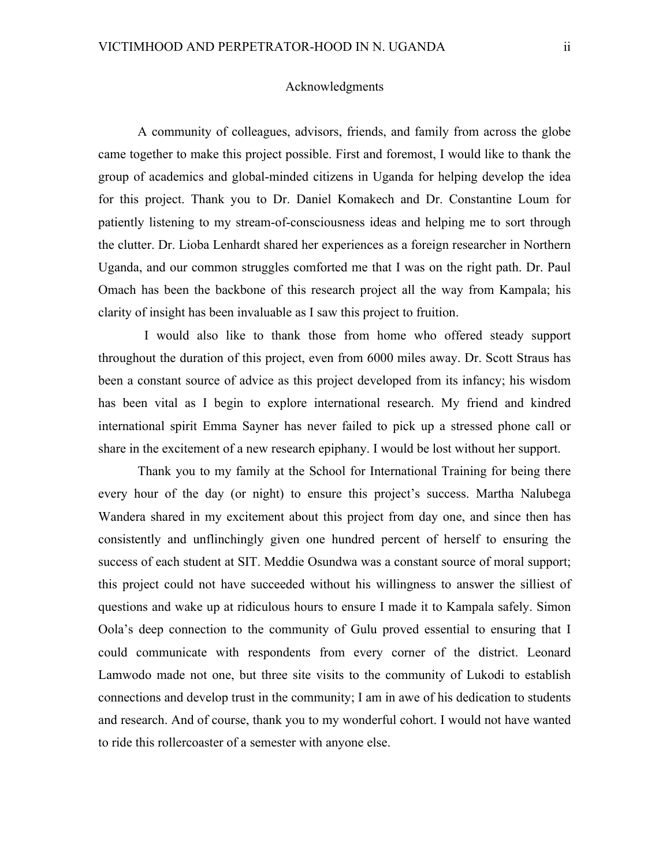# Acknowledgments

A community of colleagues, advisors, friends, and family from across the globe came together to make this project possible. First and foremost, I would like to thank the group of academics and global-minded citizens in Uganda for helping develop the idea for this project. Thank you to Dr. Daniel Komakech and Dr. Constantine Loum for patiently listening to my stream-of-consciousness ideas and helping me to sort through the clutter. Dr. Lioba Lenhardt shared her experiences as a foreign researcher in Northern Uganda, and our common struggles comforted me that I was on the right path. Dr. Paul Omach has been the backbone of this research project all the way from Kampala; his clarity of insight has been invaluable as I saw this project to fruition.

 I would also like to thank those from home who offered steady support throughout the duration of this project, even from 6000 miles away. Dr. Scott Straus has been a constant source of advice as this project developed from its infancy; his wisdom has been vital as I begin to explore international research. My friend and kindred international spirit Emma Sayner has never failed to pick up a stressed phone call or share in the excitement of a new research epiphany. I would be lost without her support.

Thank you to my family at the School for International Training for being there every hour of the day (or night) to ensure this project's success. Martha Nalubega Wandera shared in my excitement about this project from day one, and since then has consistently and unflinchingly given one hundred percent of herself to ensuring the success of each student at SIT. Meddie Osundwa was a constant source of moral support; this project could not have succeeded without his willingness to answer the silliest of questions and wake up at ridiculous hours to ensure I made it to Kampala safely. Simon Oola's deep connection to the community of Gulu proved essential to ensuring that I could communicate with respondents from every corner of the district. Leonard Lamwodo made not one, but three site visits to the community of Lukodi to establish connections and develop trust in the community; I am in awe of his dedication to students and research. And of course, thank you to my wonderful cohort. I would not have wanted to ride this rollercoaster of a semester with anyone else.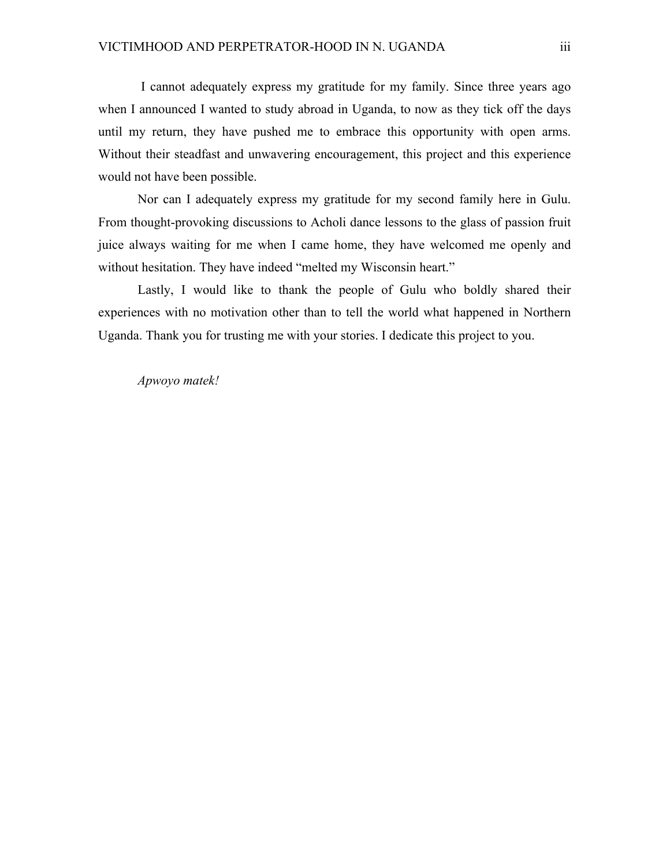I cannot adequately express my gratitude for my family. Since three years ago when I announced I wanted to study abroad in Uganda, to now as they tick off the days until my return, they have pushed me to embrace this opportunity with open arms. Without their steadfast and unwavering encouragement, this project and this experience would not have been possible.

Nor can I adequately express my gratitude for my second family here in Gulu. From thought-provoking discussions to Acholi dance lessons to the glass of passion fruit juice always waiting for me when I came home, they have welcomed me openly and without hesitation. They have indeed "melted my Wisconsin heart."

Lastly, I would like to thank the people of Gulu who boldly shared their experiences with no motivation other than to tell the world what happened in Northern Uganda. Thank you for trusting me with your stories. I dedicate this project to you.

*Apwoyo matek!*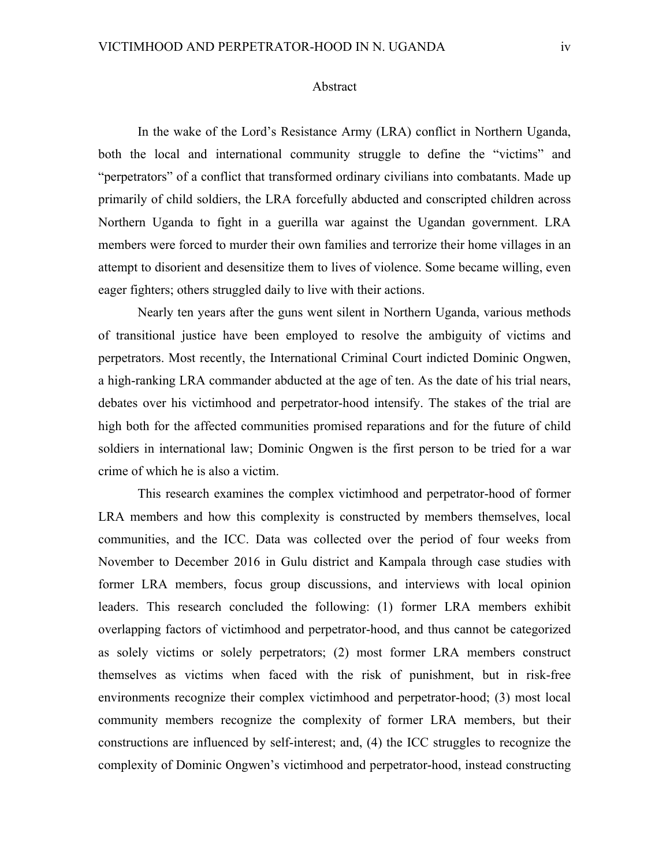#### Abstract

In the wake of the Lord's Resistance Army (LRA) conflict in Northern Uganda, both the local and international community struggle to define the "victims" and "perpetrators" of a conflict that transformed ordinary civilians into combatants. Made up primarily of child soldiers, the LRA forcefully abducted and conscripted children across Northern Uganda to fight in a guerilla war against the Ugandan government. LRA members were forced to murder their own families and terrorize their home villages in an attempt to disorient and desensitize them to lives of violence. Some became willing, even eager fighters; others struggled daily to live with their actions.

Nearly ten years after the guns went silent in Northern Uganda, various methods of transitional justice have been employed to resolve the ambiguity of victims and perpetrators. Most recently, the International Criminal Court indicted Dominic Ongwen, a high-ranking LRA commander abducted at the age of ten. As the date of his trial nears, debates over his victimhood and perpetrator-hood intensify. The stakes of the trial are high both for the affected communities promised reparations and for the future of child soldiers in international law; Dominic Ongwen is the first person to be tried for a war crime of which he is also a victim.

This research examines the complex victimhood and perpetrator-hood of former LRA members and how this complexity is constructed by members themselves, local communities, and the ICC. Data was collected over the period of four weeks from November to December 2016 in Gulu district and Kampala through case studies with former LRA members, focus group discussions, and interviews with local opinion leaders. This research concluded the following: (1) former LRA members exhibit overlapping factors of victimhood and perpetrator-hood, and thus cannot be categorized as solely victims or solely perpetrators; (2) most former LRA members construct themselves as victims when faced with the risk of punishment, but in risk-free environments recognize their complex victimhood and perpetrator-hood; (3) most local community members recognize the complexity of former LRA members, but their constructions are influenced by self-interest; and, (4) the ICC struggles to recognize the complexity of Dominic Ongwen's victimhood and perpetrator-hood, instead constructing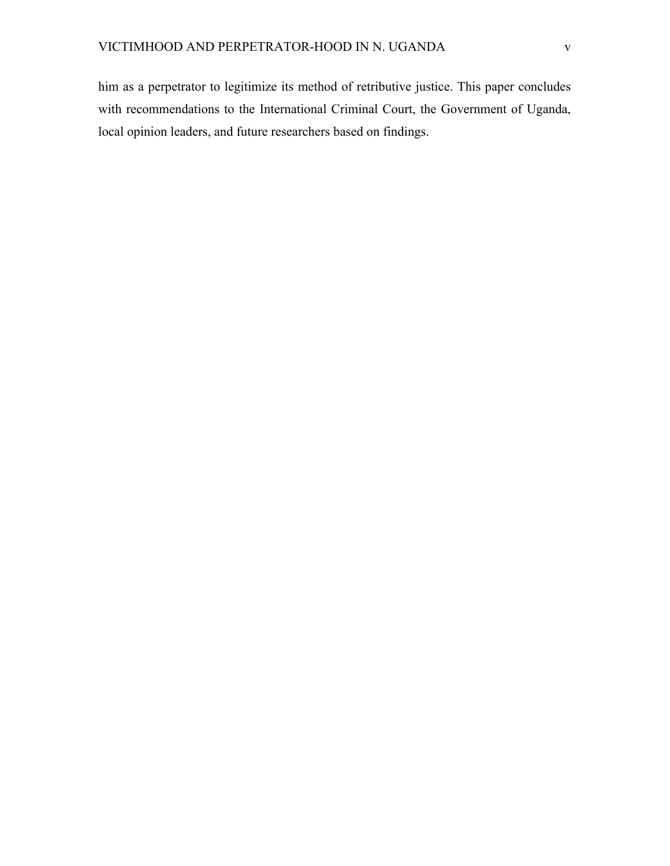him as a perpetrator to legitimize its method of retributive justice. This paper concludes with recommendations to the International Criminal Court, the Government of Uganda, local opinion leaders, and future researchers based on findings.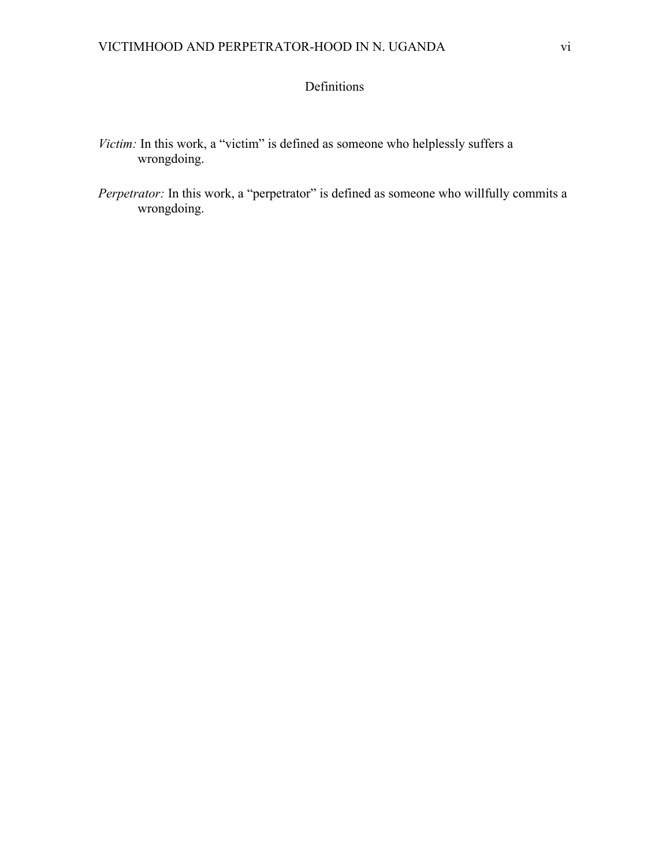# Definitions

- *Victim:* In this work, a "victim" is defined as someone who helplessly suffers a wrongdoing.
- *Perpetrator:* In this work, a "perpetrator" is defined as someone who willfully commits a wrongdoing.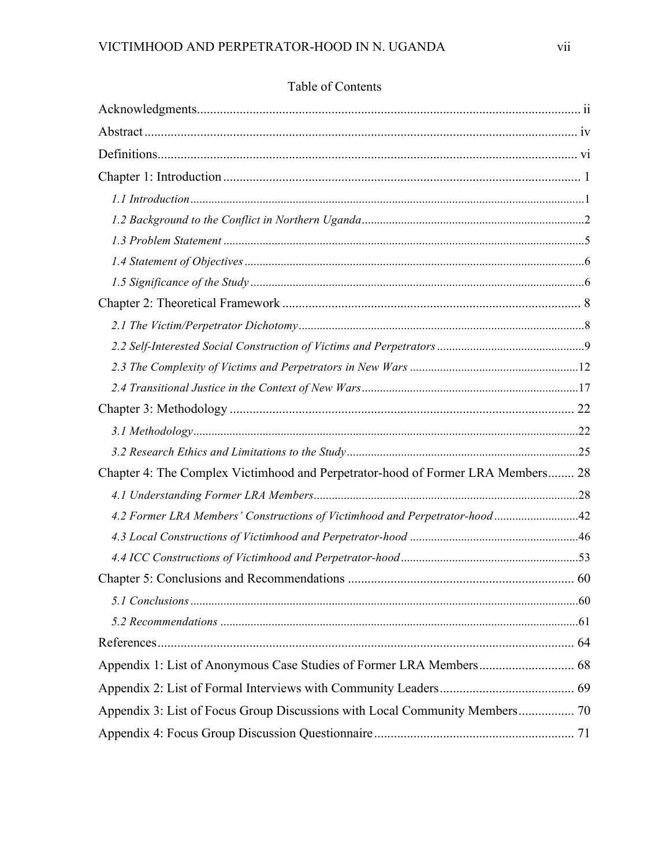| Chapter 4: The Complex Victimhood and Perpetrator-hood of Former LRA Members 28 |  |
|---------------------------------------------------------------------------------|--|
|                                                                                 |  |
| 4.2 Former LRA Members' Constructions of Victimhood and Perpetrator-hood 42     |  |
|                                                                                 |  |
|                                                                                 |  |
|                                                                                 |  |
|                                                                                 |  |
|                                                                                 |  |
|                                                                                 |  |
|                                                                                 |  |
|                                                                                 |  |
|                                                                                 |  |
|                                                                                 |  |

# Table of Contents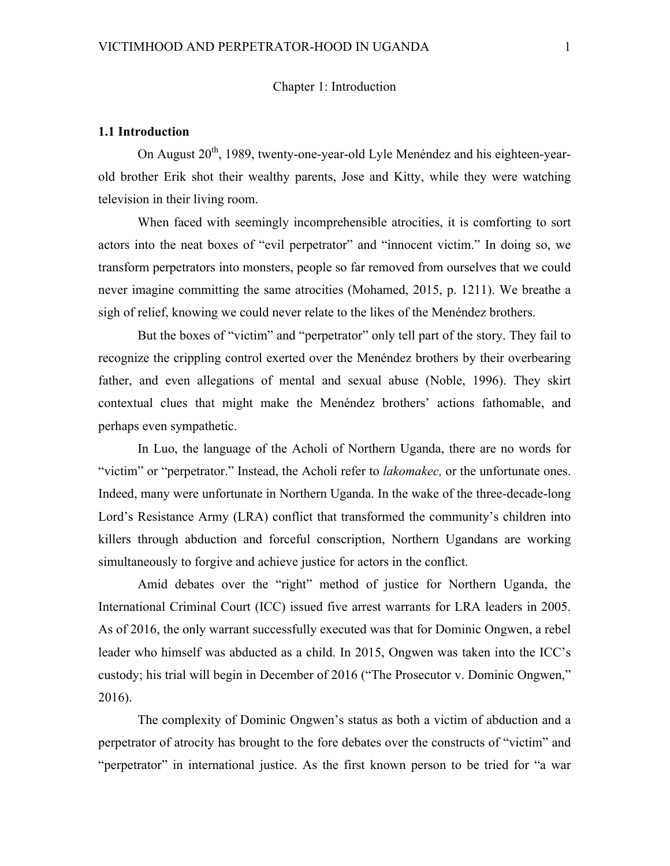# Chapter 1: Introduction

#### **1.1 Introduction**

On August  $20<sup>th</sup>$ , 1989, twenty-one-year-old Lyle Menéndez and his eighteen-yearold brother Erik shot their wealthy parents, Jose and Kitty, while they were watching television in their living room.

When faced with seemingly incomprehensible atrocities, it is comforting to sort actors into the neat boxes of "evil perpetrator" and "innocent victim." In doing so, we transform perpetrators into monsters, people so far removed from ourselves that we could never imagine committing the same atrocities (Mohamed, 2015, p. 1211). We breathe a sigh of relief, knowing we could never relate to the likes of the Menéndez brothers.

But the boxes of "victim" and "perpetrator" only tell part of the story. They fail to recognize the crippling control exerted over the Menéndez brothers by their overbearing father, and even allegations of mental and sexual abuse (Noble, 1996). They skirt contextual clues that might make the Menéndez brothers' actions fathomable, and perhaps even sympathetic.

In Luo, the language of the Acholi of Northern Uganda, there are no words for "victim" or "perpetrator." Instead, the Acholi refer to *lakomakec,* or the unfortunate ones. Indeed, many were unfortunate in Northern Uganda. In the wake of the three-decade-long Lord's Resistance Army (LRA) conflict that transformed the community's children into killers through abduction and forceful conscription, Northern Ugandans are working simultaneously to forgive and achieve justice for actors in the conflict.

Amid debates over the "right" method of justice for Northern Uganda, the International Criminal Court (ICC) issued five arrest warrants for LRA leaders in 2005. As of 2016, the only warrant successfully executed was that for Dominic Ongwen, a rebel leader who himself was abducted as a child. In 2015, Ongwen was taken into the ICC's custody; his trial will begin in December of 2016 ("The Prosecutor v. Dominic Ongwen," 2016).

The complexity of Dominic Ongwen's status as both a victim of abduction and a perpetrator of atrocity has brought to the fore debates over the constructs of "victim" and "perpetrator" in international justice. As the first known person to be tried for "a war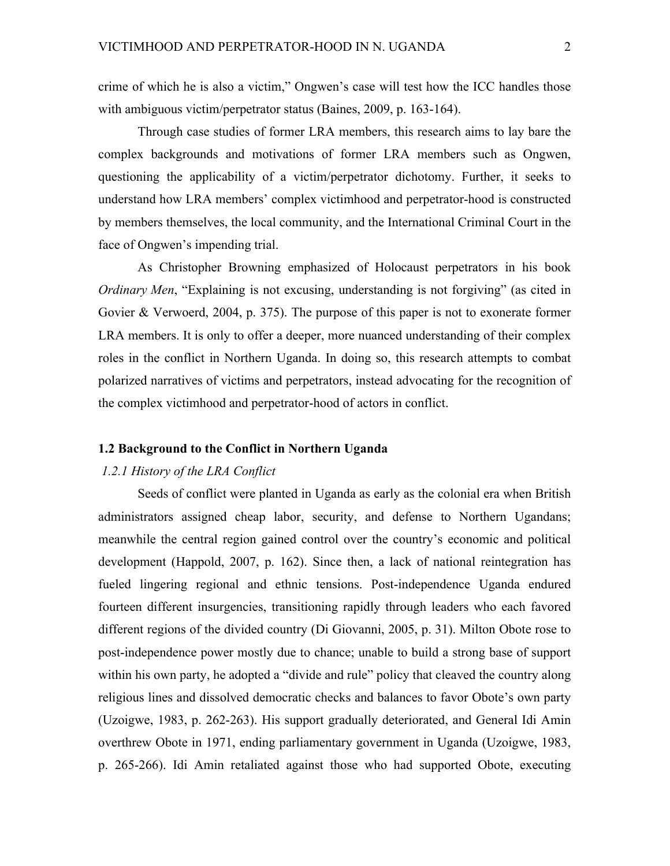crime of which he is also a victim," Ongwen's case will test how the ICC handles those with ambiguous victim/perpetrator status (Baines, 2009, p. 163-164).

Through case studies of former LRA members, this research aims to lay bare the complex backgrounds and motivations of former LRA members such as Ongwen, questioning the applicability of a victim/perpetrator dichotomy. Further, it seeks to understand how LRA members' complex victimhood and perpetrator-hood is constructed by members themselves, the local community, and the International Criminal Court in the face of Ongwen's impending trial.

As Christopher Browning emphasized of Holocaust perpetrators in his book *Ordinary Men*, "Explaining is not excusing, understanding is not forgiving" (as cited in Govier & Verwoerd, 2004, p. 375). The purpose of this paper is not to exonerate former LRA members. It is only to offer a deeper, more nuanced understanding of their complex roles in the conflict in Northern Uganda. In doing so, this research attempts to combat polarized narratives of victims and perpetrators, instead advocating for the recognition of the complex victimhood and perpetrator-hood of actors in conflict.

# **1.2 Background to the Conflict in Northern Uganda**

# *1.2.1 History of the LRA Conflict*

Seeds of conflict were planted in Uganda as early as the colonial era when British administrators assigned cheap labor, security, and defense to Northern Ugandans; meanwhile the central region gained control over the country's economic and political development (Happold, 2007, p. 162). Since then, a lack of national reintegration has fueled lingering regional and ethnic tensions. Post-independence Uganda endured fourteen different insurgencies, transitioning rapidly through leaders who each favored different regions of the divided country (Di Giovanni, 2005, p. 31). Milton Obote rose to post-independence power mostly due to chance; unable to build a strong base of support within his own party, he adopted a "divide and rule" policy that cleaved the country along religious lines and dissolved democratic checks and balances to favor Obote's own party (Uzoigwe, 1983, p. 262-263). His support gradually deteriorated, and General Idi Amin overthrew Obote in 1971, ending parliamentary government in Uganda (Uzoigwe, 1983, p. 265-266). Idi Amin retaliated against those who had supported Obote, executing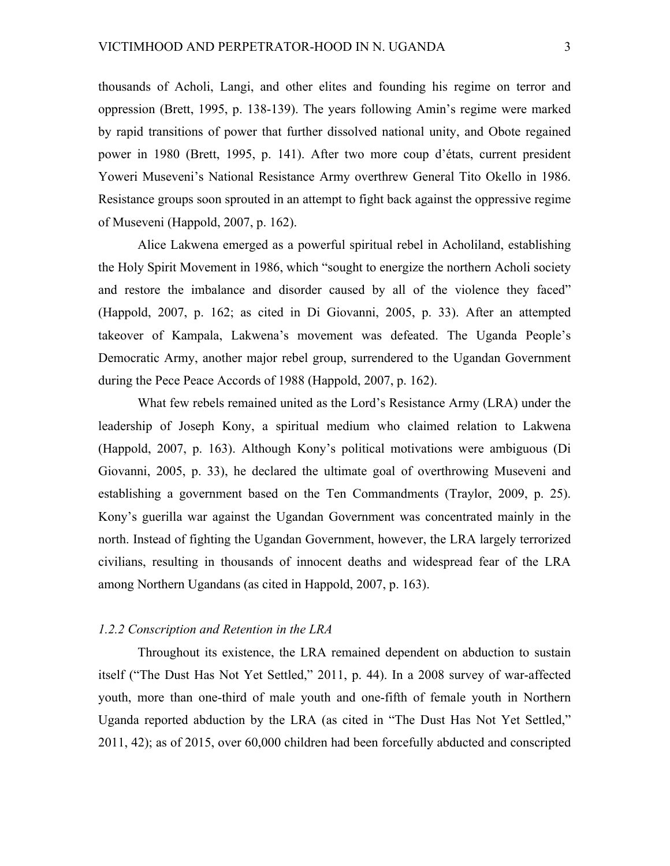thousands of Acholi, Langi, and other elites and founding his regime on terror and oppression (Brett, 1995, p. 138-139). The years following Amin's regime were marked by rapid transitions of power that further dissolved national unity, and Obote regained power in 1980 (Brett, 1995, p. 141). After two more coup d'états, current president Yoweri Museveni's National Resistance Army overthrew General Tito Okello in 1986. Resistance groups soon sprouted in an attempt to fight back against the oppressive regime of Museveni (Happold, 2007, p. 162).

Alice Lakwena emerged as a powerful spiritual rebel in Acholiland, establishing the Holy Spirit Movement in 1986, which "sought to energize the northern Acholi society and restore the imbalance and disorder caused by all of the violence they faced" (Happold, 2007, p. 162; as cited in Di Giovanni, 2005, p. 33). After an attempted takeover of Kampala, Lakwena's movement was defeated. The Uganda People's Democratic Army, another major rebel group, surrendered to the Ugandan Government during the Pece Peace Accords of 1988 (Happold, 2007, p. 162).

What few rebels remained united as the Lord's Resistance Army (LRA) under the leadership of Joseph Kony, a spiritual medium who claimed relation to Lakwena (Happold, 2007, p. 163). Although Kony's political motivations were ambiguous (Di Giovanni, 2005, p. 33), he declared the ultimate goal of overthrowing Museveni and establishing a government based on the Ten Commandments (Traylor, 2009, p. 25). Kony's guerilla war against the Ugandan Government was concentrated mainly in the north. Instead of fighting the Ugandan Government, however, the LRA largely terrorized civilians, resulting in thousands of innocent deaths and widespread fear of the LRA among Northern Ugandans (as cited in Happold, 2007, p. 163).

#### *1.2.2 Conscription and Retention in the LRA*

Throughout its existence, the LRA remained dependent on abduction to sustain itself ("The Dust Has Not Yet Settled," 2011, p. 44). In a 2008 survey of war-affected youth, more than one-third of male youth and one-fifth of female youth in Northern Uganda reported abduction by the LRA (as cited in "The Dust Has Not Yet Settled," 2011, 42); as of 2015, over 60,000 children had been forcefully abducted and conscripted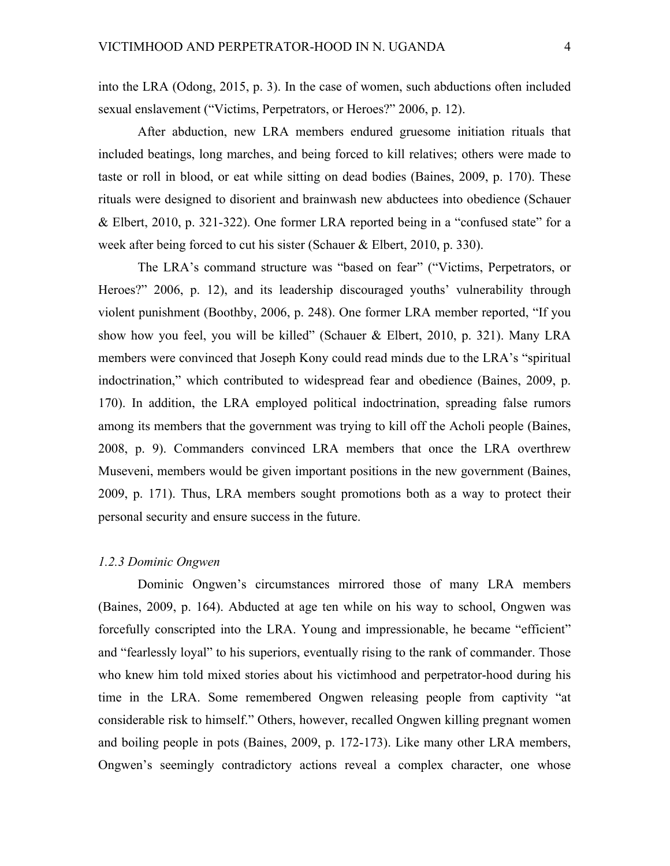into the LRA (Odong, 2015, p. 3). In the case of women, such abductions often included sexual enslavement ("Victims, Perpetrators, or Heroes?" 2006, p. 12).

After abduction, new LRA members endured gruesome initiation rituals that included beatings, long marches, and being forced to kill relatives; others were made to taste or roll in blood, or eat while sitting on dead bodies (Baines, 2009, p. 170). These rituals were designed to disorient and brainwash new abductees into obedience (Schauer & Elbert, 2010, p. 321-322). One former LRA reported being in a "confused state" for a week after being forced to cut his sister (Schauer & Elbert, 2010, p. 330).

The LRA's command structure was "based on fear" ("Victims, Perpetrators, or Heroes?" 2006, p. 12), and its leadership discouraged youths' vulnerability through violent punishment (Boothby, 2006, p. 248). One former LRA member reported, "If you show how you feel, you will be killed" (Schauer & Elbert, 2010, p. 321). Many LRA members were convinced that Joseph Kony could read minds due to the LRA's "spiritual indoctrination," which contributed to widespread fear and obedience (Baines, 2009, p. 170). In addition, the LRA employed political indoctrination, spreading false rumors among its members that the government was trying to kill off the Acholi people (Baines, 2008, p. 9). Commanders convinced LRA members that once the LRA overthrew Museveni, members would be given important positions in the new government (Baines, 2009, p. 171). Thus, LRA members sought promotions both as a way to protect their personal security and ensure success in the future.

# *1.2.3 Dominic Ongwen*

Dominic Ongwen's circumstances mirrored those of many LRA members (Baines, 2009, p. 164). Abducted at age ten while on his way to school, Ongwen was forcefully conscripted into the LRA. Young and impressionable, he became "efficient" and "fearlessly loyal" to his superiors, eventually rising to the rank of commander. Those who knew him told mixed stories about his victimhood and perpetrator-hood during his time in the LRA. Some remembered Ongwen releasing people from captivity "at considerable risk to himself." Others, however, recalled Ongwen killing pregnant women and boiling people in pots (Baines, 2009, p. 172-173). Like many other LRA members, Ongwen's seemingly contradictory actions reveal a complex character, one whose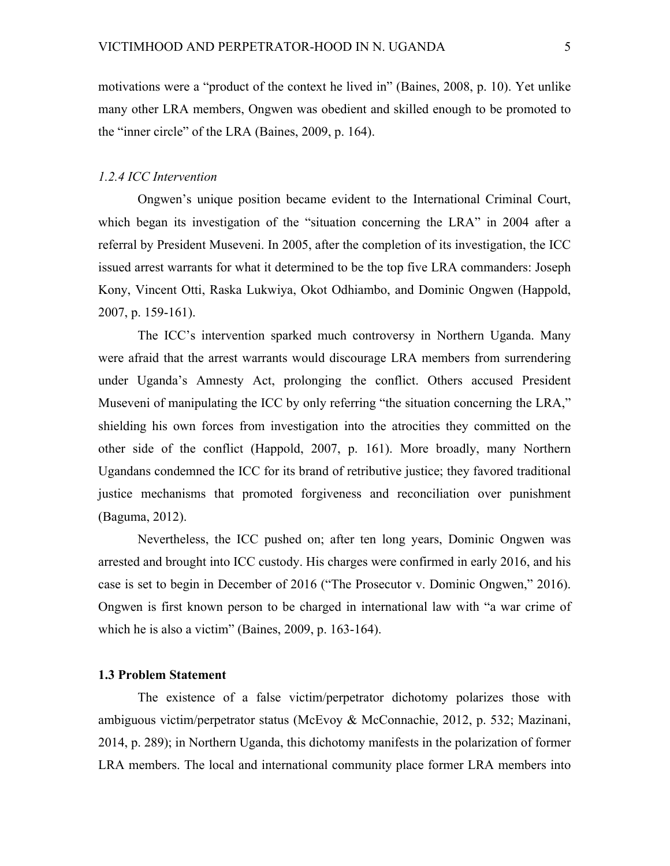motivations were a "product of the context he lived in" (Baines, 2008, p. 10). Yet unlike many other LRA members, Ongwen was obedient and skilled enough to be promoted to the "inner circle" of the LRA (Baines, 2009, p. 164).

# *1.2.4 ICC Intervention*

Ongwen's unique position became evident to the International Criminal Court, which began its investigation of the "situation concerning the LRA" in 2004 after a referral by President Museveni. In 2005, after the completion of its investigation, the ICC issued arrest warrants for what it determined to be the top five LRA commanders: Joseph Kony, Vincent Otti, Raska Lukwiya, Okot Odhiambo, and Dominic Ongwen (Happold, 2007, p. 159-161).

The ICC's intervention sparked much controversy in Northern Uganda. Many were afraid that the arrest warrants would discourage LRA members from surrendering under Uganda's Amnesty Act, prolonging the conflict. Others accused President Museveni of manipulating the ICC by only referring "the situation concerning the LRA," shielding his own forces from investigation into the atrocities they committed on the other side of the conflict (Happold, 2007, p. 161). More broadly, many Northern Ugandans condemned the ICC for its brand of retributive justice; they favored traditional justice mechanisms that promoted forgiveness and reconciliation over punishment (Baguma, 2012).

Nevertheless, the ICC pushed on; after ten long years, Dominic Ongwen was arrested and brought into ICC custody. His charges were confirmed in early 2016, and his case is set to begin in December of 2016 ("The Prosecutor v. Dominic Ongwen," 2016). Ongwen is first known person to be charged in international law with "a war crime of which he is also a victim" (Baines, 2009, p. 163-164).

## **1.3 Problem Statement**

The existence of a false victim/perpetrator dichotomy polarizes those with ambiguous victim/perpetrator status (McEvoy & McConnachie, 2012, p. 532; Mazinani, 2014, p. 289); in Northern Uganda, this dichotomy manifests in the polarization of former LRA members. The local and international community place former LRA members into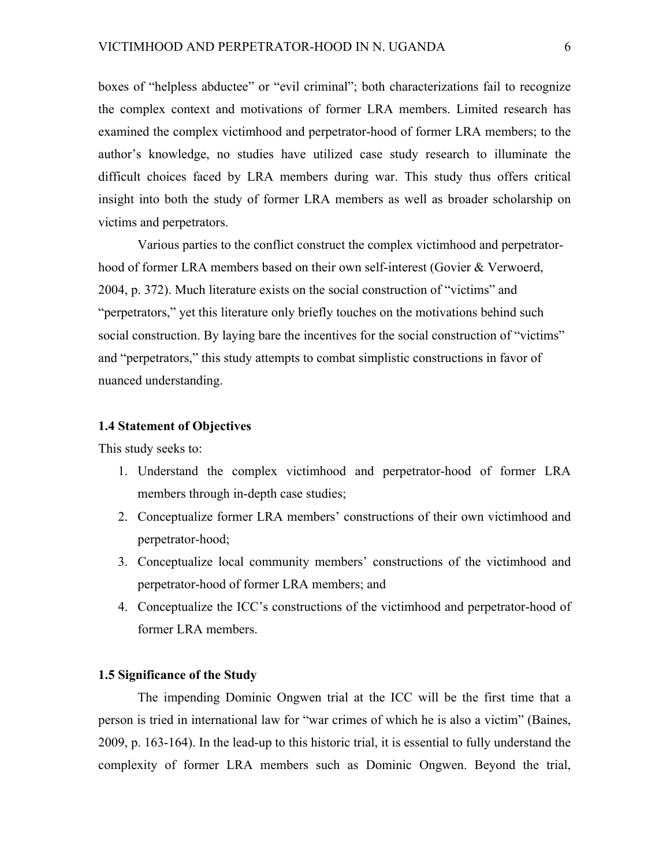boxes of "helpless abductee" or "evil criminal"; both characterizations fail to recognize the complex context and motivations of former LRA members. Limited research has examined the complex victimhood and perpetrator-hood of former LRA members; to the author's knowledge, no studies have utilized case study research to illuminate the difficult choices faced by LRA members during war. This study thus offers critical insight into both the study of former LRA members as well as broader scholarship on victims and perpetrators.

Various parties to the conflict construct the complex victimhood and perpetratorhood of former LRA members based on their own self-interest (Govier & Verwoerd, 2004, p. 372). Much literature exists on the social construction of "victims" and "perpetrators," yet this literature only briefly touches on the motivations behind such social construction. By laying bare the incentives for the social construction of "victims" and "perpetrators," this study attempts to combat simplistic constructions in favor of nuanced understanding.

# **1.4 Statement of Objectives**

This study seeks to:

- 1. Understand the complex victimhood and perpetrator-hood of former LRA members through in-depth case studies;
- 2. Conceptualize former LRA members' constructions of their own victimhood and perpetrator-hood;
- 3. Conceptualize local community members' constructions of the victimhood and perpetrator-hood of former LRA members; and
- 4. Conceptualize the ICC's constructions of the victimhood and perpetrator-hood of former LRA members.

# **1.5 Significance of the Study**

The impending Dominic Ongwen trial at the ICC will be the first time that a person is tried in international law for "war crimes of which he is also a victim" (Baines, 2009, p. 163-164). In the lead-up to this historic trial, it is essential to fully understand the complexity of former LRA members such as Dominic Ongwen. Beyond the trial,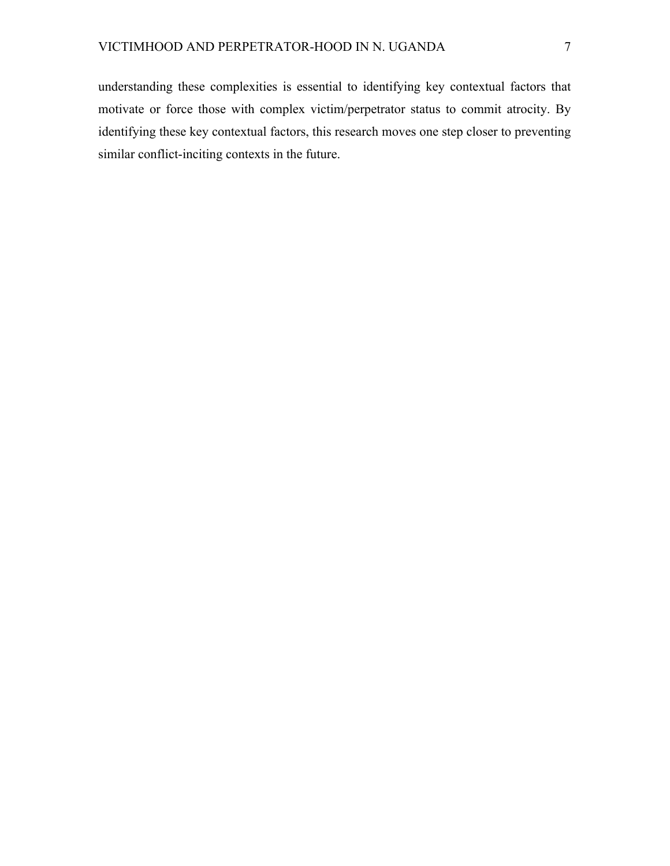understanding these complexities is essential to identifying key contextual factors that motivate or force those with complex victim/perpetrator status to commit atrocity. By identifying these key contextual factors, this research moves one step closer to preventing similar conflict-inciting contexts in the future.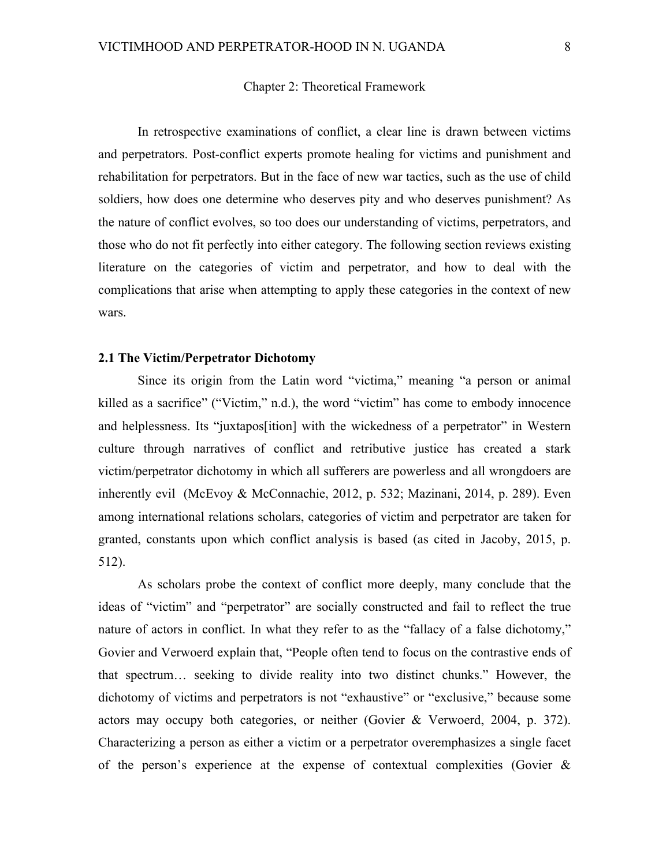#### Chapter 2: Theoretical Framework

In retrospective examinations of conflict, a clear line is drawn between victims and perpetrators. Post-conflict experts promote healing for victims and punishment and rehabilitation for perpetrators. But in the face of new war tactics, such as the use of child soldiers, how does one determine who deserves pity and who deserves punishment? As the nature of conflict evolves, so too does our understanding of victims, perpetrators, and those who do not fit perfectly into either category. The following section reviews existing literature on the categories of victim and perpetrator, and how to deal with the complications that arise when attempting to apply these categories in the context of new wars.

#### **2.1 The Victim/Perpetrator Dichotomy**

Since its origin from the Latin word "victima," meaning "a person or animal killed as a sacrifice" ("Victim," n.d.), the word "victim" has come to embody innocence and helplessness. Its "juxtapos[ition] with the wickedness of a perpetrator" in Western culture through narratives of conflict and retributive justice has created a stark victim/perpetrator dichotomy in which all sufferers are powerless and all wrongdoers are inherently evil (McEvoy & McConnachie, 2012, p. 532; Mazinani, 2014, p. 289). Even among international relations scholars, categories of victim and perpetrator are taken for granted, constants upon which conflict analysis is based (as cited in Jacoby, 2015, p. 512).

As scholars probe the context of conflict more deeply, many conclude that the ideas of "victim" and "perpetrator" are socially constructed and fail to reflect the true nature of actors in conflict. In what they refer to as the "fallacy of a false dichotomy," Govier and Verwoerd explain that, "People often tend to focus on the contrastive ends of that spectrum… seeking to divide reality into two distinct chunks." However, the dichotomy of victims and perpetrators is not "exhaustive" or "exclusive," because some actors may occupy both categories, or neither (Govier & Verwoerd, 2004, p. 372). Characterizing a person as either a victim or a perpetrator overemphasizes a single facet of the person's experience at the expense of contextual complexities (Govier &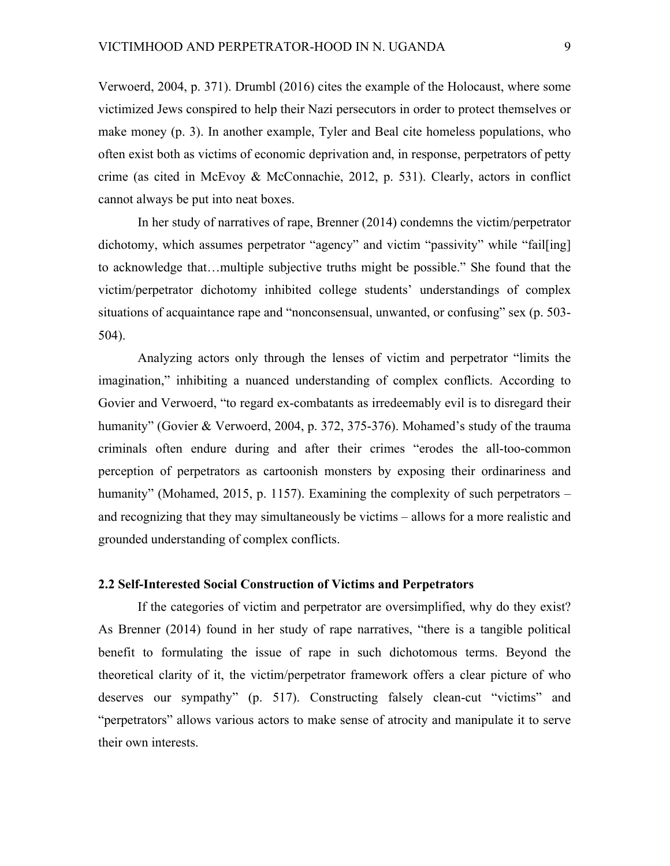Verwoerd, 2004, p. 371). Drumbl (2016) cites the example of the Holocaust, where some victimized Jews conspired to help their Nazi persecutors in order to protect themselves or make money (p. 3). In another example, Tyler and Beal cite homeless populations, who often exist both as victims of economic deprivation and, in response, perpetrators of petty crime (as cited in McEvoy & McConnachie, 2012, p. 531). Clearly, actors in conflict cannot always be put into neat boxes.

In her study of narratives of rape, Brenner (2014) condemns the victim/perpetrator dichotomy, which assumes perpetrator "agency" and victim "passivity" while "fail[ing] to acknowledge that…multiple subjective truths might be possible." She found that the victim/perpetrator dichotomy inhibited college students' understandings of complex situations of acquaintance rape and "nonconsensual, unwanted, or confusing" sex (p. 503- 504).

Analyzing actors only through the lenses of victim and perpetrator "limits the imagination," inhibiting a nuanced understanding of complex conflicts. According to Govier and Verwoerd, "to regard ex-combatants as irredeemably evil is to disregard their humanity" (Govier & Verwoerd, 2004, p. 372, 375-376). Mohamed's study of the trauma criminals often endure during and after their crimes "erodes the all-too-common perception of perpetrators as cartoonish monsters by exposing their ordinariness and humanity" (Mohamed, 2015, p. 1157). Examining the complexity of such perpetrators – and recognizing that they may simultaneously be victims – allows for a more realistic and grounded understanding of complex conflicts.

# **2.2 Self-Interested Social Construction of Victims and Perpetrators**

If the categories of victim and perpetrator are oversimplified, why do they exist? As Brenner (2014) found in her study of rape narratives, "there is a tangible political benefit to formulating the issue of rape in such dichotomous terms. Beyond the theoretical clarity of it, the victim/perpetrator framework offers a clear picture of who deserves our sympathy" (p. 517). Constructing falsely clean-cut "victims" and "perpetrators" allows various actors to make sense of atrocity and manipulate it to serve their own interests.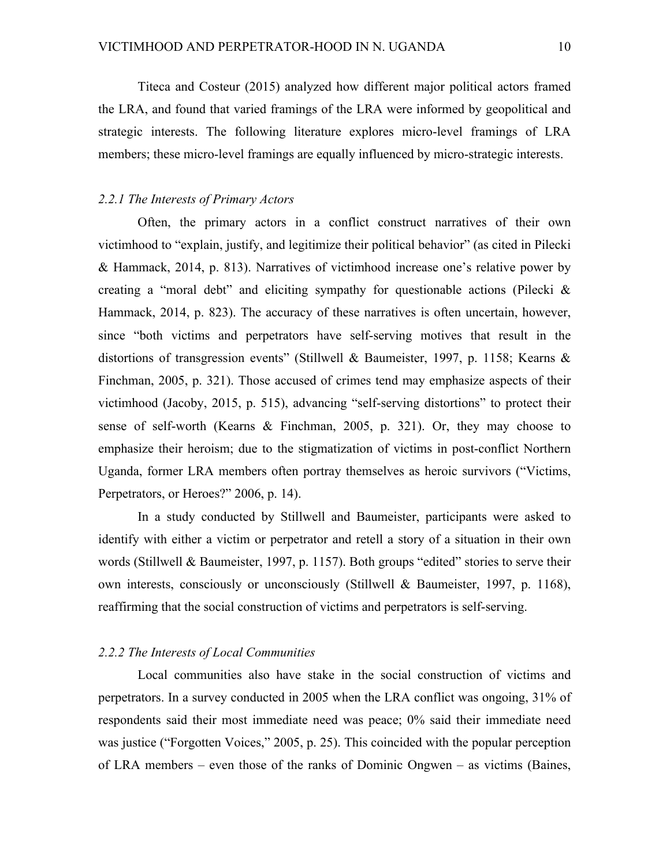Titeca and Costeur (2015) analyzed how different major political actors framed the LRA, and found that varied framings of the LRA were informed by geopolitical and strategic interests. The following literature explores micro-level framings of LRA members; these micro-level framings are equally influenced by micro-strategic interests.

### *2.2.1 The Interests of Primary Actors*

Often, the primary actors in a conflict construct narratives of their own victimhood to "explain, justify, and legitimize their political behavior" (as cited in Pilecki & Hammack, 2014, p. 813). Narratives of victimhood increase one's relative power by creating a "moral debt" and eliciting sympathy for questionable actions (Pilecki  $\&$ Hammack, 2014, p. 823). The accuracy of these narratives is often uncertain, however, since "both victims and perpetrators have self-serving motives that result in the distortions of transgression events" (Stillwell & Baumeister, 1997, p. 1158; Kearns & Finchman, 2005, p. 321). Those accused of crimes tend may emphasize aspects of their victimhood (Jacoby, 2015, p. 515), advancing "self-serving distortions" to protect their sense of self-worth (Kearns & Finchman, 2005, p. 321). Or, they may choose to emphasize their heroism; due to the stigmatization of victims in post-conflict Northern Uganda, former LRA members often portray themselves as heroic survivors ("Victims, Perpetrators, or Heroes?" 2006, p. 14).

In a study conducted by Stillwell and Baumeister, participants were asked to identify with either a victim or perpetrator and retell a story of a situation in their own words (Stillwell & Baumeister, 1997, p. 1157). Both groups "edited" stories to serve their own interests, consciously or unconsciously (Stillwell & Baumeister, 1997, p. 1168), reaffirming that the social construction of victims and perpetrators is self-serving.

#### *2.2.2 The Interests of Local Communities*

Local communities also have stake in the social construction of victims and perpetrators. In a survey conducted in 2005 when the LRA conflict was ongoing, 31% of respondents said their most immediate need was peace; 0% said their immediate need was justice ("Forgotten Voices," 2005, p. 25). This coincided with the popular perception of LRA members – even those of the ranks of Dominic Ongwen – as victims (Baines,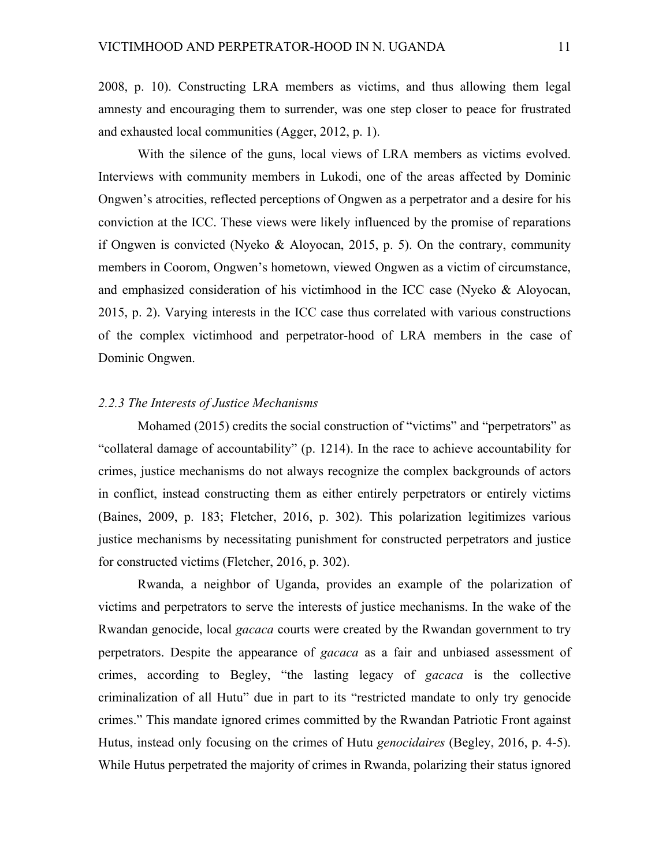2008, p. 10). Constructing LRA members as victims, and thus allowing them legal amnesty and encouraging them to surrender, was one step closer to peace for frustrated and exhausted local communities (Agger, 2012, p. 1).

With the silence of the guns, local views of LRA members as victims evolved. Interviews with community members in Lukodi, one of the areas affected by Dominic Ongwen's atrocities, reflected perceptions of Ongwen as a perpetrator and a desire for his conviction at the ICC. These views were likely influenced by the promise of reparations if Ongwen is convicted (Nyeko  $\&$  Aloyocan, 2015, p. 5). On the contrary, community members in Coorom, Ongwen's hometown, viewed Ongwen as a victim of circumstance, and emphasized consideration of his victimhood in the ICC case (Nyeko & Aloyocan, 2015, p. 2). Varying interests in the ICC case thus correlated with various constructions of the complex victimhood and perpetrator-hood of LRA members in the case of Dominic Ongwen.

# *2.2.3 The Interests of Justice Mechanisms*

Mohamed (2015) credits the social construction of "victims" and "perpetrators" as "collateral damage of accountability" (p. 1214). In the race to achieve accountability for crimes, justice mechanisms do not always recognize the complex backgrounds of actors in conflict, instead constructing them as either entirely perpetrators or entirely victims (Baines, 2009, p. 183; Fletcher, 2016, p. 302). This polarization legitimizes various justice mechanisms by necessitating punishment for constructed perpetrators and justice for constructed victims (Fletcher, 2016, p. 302).

Rwanda, a neighbor of Uganda, provides an example of the polarization of victims and perpetrators to serve the interests of justice mechanisms. In the wake of the Rwandan genocide, local *gacaca* courts were created by the Rwandan government to try perpetrators. Despite the appearance of *gacaca* as a fair and unbiased assessment of crimes, according to Begley, "the lasting legacy of *gacaca* is the collective criminalization of all Hutu" due in part to its "restricted mandate to only try genocide crimes." This mandate ignored crimes committed by the Rwandan Patriotic Front against Hutus, instead only focusing on the crimes of Hutu *genocidaires* (Begley, 2016, p. 4-5). While Hutus perpetrated the majority of crimes in Rwanda, polarizing their status ignored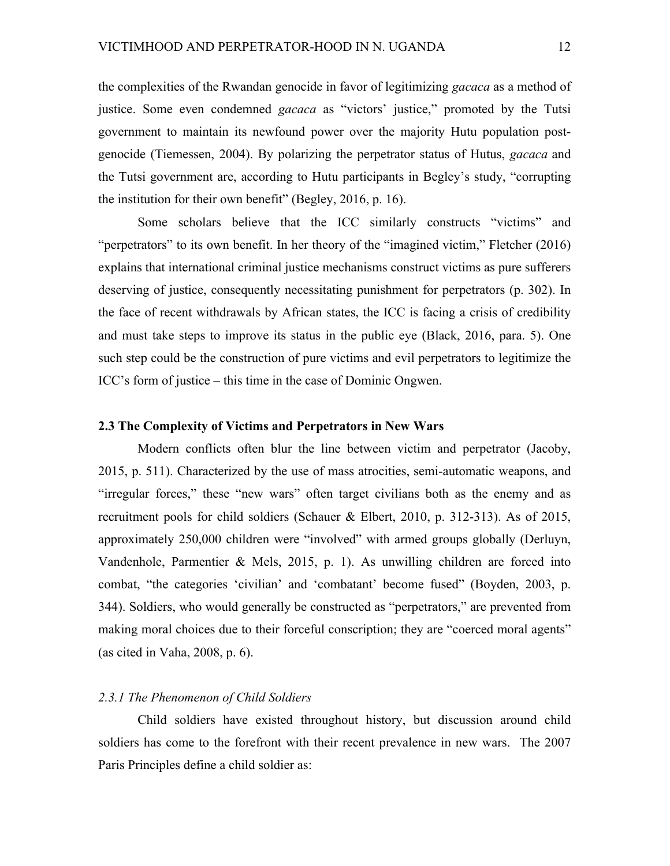the complexities of the Rwandan genocide in favor of legitimizing *gacaca* as a method of justice. Some even condemned *gacaca* as "victors' justice," promoted by the Tutsi government to maintain its newfound power over the majority Hutu population postgenocide (Tiemessen, 2004). By polarizing the perpetrator status of Hutus, *gacaca* and the Tutsi government are, according to Hutu participants in Begley's study, "corrupting the institution for their own benefit" (Begley, 2016, p. 16).

Some scholars believe that the ICC similarly constructs "victims" and "perpetrators" to its own benefit. In her theory of the "imagined victim," Fletcher (2016) explains that international criminal justice mechanisms construct victims as pure sufferers deserving of justice, consequently necessitating punishment for perpetrators (p. 302). In the face of recent withdrawals by African states, the ICC is facing a crisis of credibility and must take steps to improve its status in the public eye (Black, 2016, para. 5). One such step could be the construction of pure victims and evil perpetrators to legitimize the ICC's form of justice – this time in the case of Dominic Ongwen.

#### **2.3 The Complexity of Victims and Perpetrators in New Wars**

Modern conflicts often blur the line between victim and perpetrator (Jacoby, 2015, p. 511). Characterized by the use of mass atrocities, semi-automatic weapons, and "irregular forces," these "new wars" often target civilians both as the enemy and as recruitment pools for child soldiers (Schauer & Elbert, 2010, p. 312-313). As of 2015, approximately 250,000 children were "involved" with armed groups globally (Derluyn, Vandenhole, Parmentier & Mels, 2015, p. 1). As unwilling children are forced into combat, "the categories 'civilian' and 'combatant' become fused" (Boyden, 2003, p. 344). Soldiers, who would generally be constructed as "perpetrators," are prevented from making moral choices due to their forceful conscription; they are "coerced moral agents" (as cited in Vaha, 2008, p. 6).

# *2.3.1 The Phenomenon of Child Soldiers*

Child soldiers have existed throughout history, but discussion around child soldiers has come to the forefront with their recent prevalence in new wars. The 2007 Paris Principles define a child soldier as: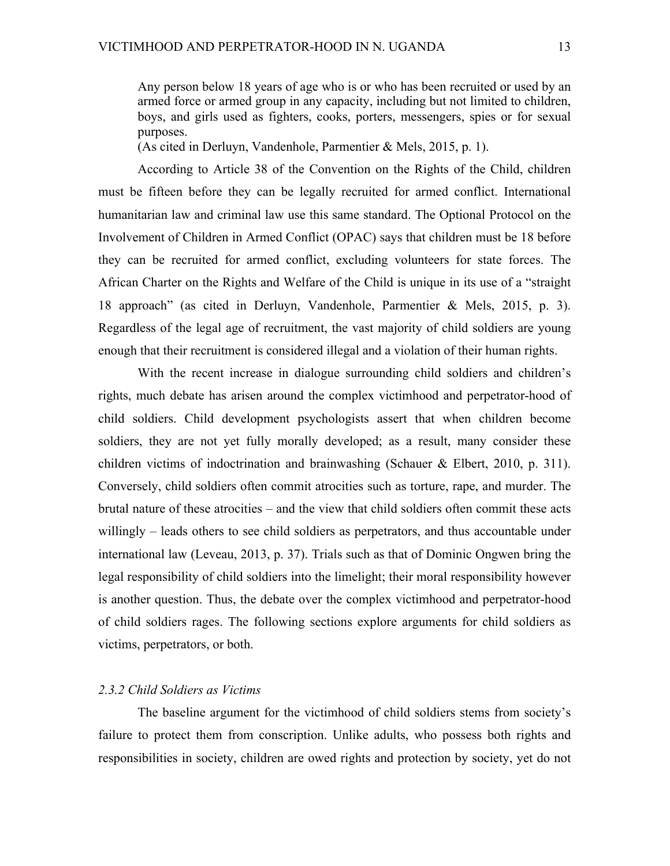Any person below 18 years of age who is or who has been recruited or used by an armed force or armed group in any capacity, including but not limited to children, boys, and girls used as fighters, cooks, porters, messengers, spies or for sexual purposes.

(As cited in Derluyn, Vandenhole, Parmentier & Mels, 2015, p. 1).

According to Article 38 of the Convention on the Rights of the Child, children must be fifteen before they can be legally recruited for armed conflict. International humanitarian law and criminal law use this same standard. The Optional Protocol on the Involvement of Children in Armed Conflict (OPAC) says that children must be 18 before they can be recruited for armed conflict, excluding volunteers for state forces. The African Charter on the Rights and Welfare of the Child is unique in its use of a "straight 18 approach" (as cited in Derluyn, Vandenhole, Parmentier & Mels, 2015, p. 3). Regardless of the legal age of recruitment, the vast majority of child soldiers are young enough that their recruitment is considered illegal and a violation of their human rights.

With the recent increase in dialogue surrounding child soldiers and children's rights, much debate has arisen around the complex victimhood and perpetrator-hood of child soldiers. Child development psychologists assert that when children become soldiers, they are not yet fully morally developed; as a result, many consider these children victims of indoctrination and brainwashing (Schauer & Elbert, 2010, p. 311). Conversely, child soldiers often commit atrocities such as torture, rape, and murder. The brutal nature of these atrocities – and the view that child soldiers often commit these acts willingly – leads others to see child soldiers as perpetrators, and thus accountable under international law (Leveau, 2013, p. 37). Trials such as that of Dominic Ongwen bring the legal responsibility of child soldiers into the limelight; their moral responsibility however is another question. Thus, the debate over the complex victimhood and perpetrator-hood of child soldiers rages. The following sections explore arguments for child soldiers as victims, perpetrators, or both.

#### *2.3.2 Child Soldiers as Victims*

The baseline argument for the victimhood of child soldiers stems from society's failure to protect them from conscription. Unlike adults, who possess both rights and responsibilities in society, children are owed rights and protection by society, yet do not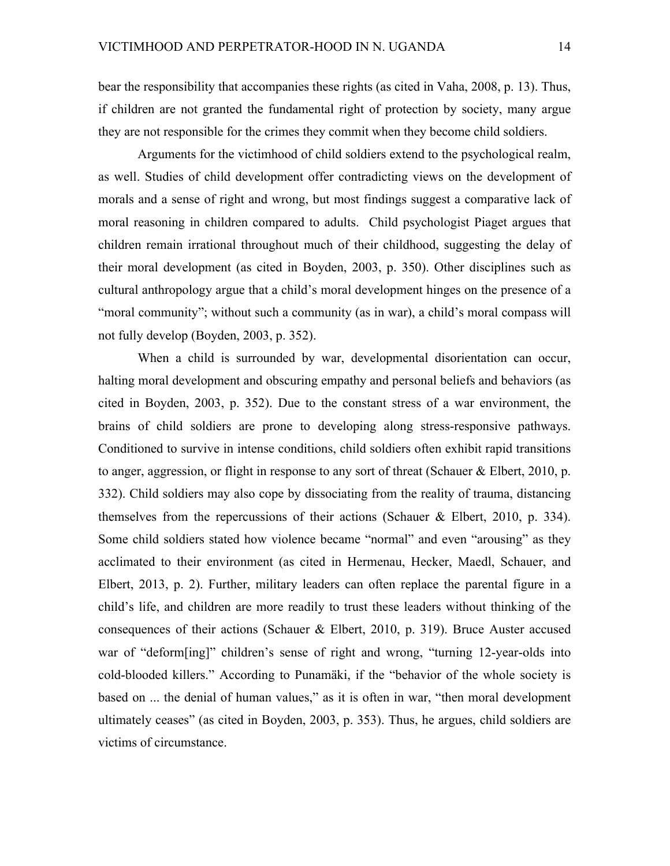bear the responsibility that accompanies these rights (as cited in Vaha, 2008, p. 13). Thus, if children are not granted the fundamental right of protection by society, many argue they are not responsible for the crimes they commit when they become child soldiers.

Arguments for the victimhood of child soldiers extend to the psychological realm, as well. Studies of child development offer contradicting views on the development of morals and a sense of right and wrong, but most findings suggest a comparative lack of moral reasoning in children compared to adults. Child psychologist Piaget argues that children remain irrational throughout much of their childhood, suggesting the delay of their moral development (as cited in Boyden, 2003, p. 350). Other disciplines such as cultural anthropology argue that a child's moral development hinges on the presence of a "moral community"; without such a community (as in war), a child's moral compass will not fully develop (Boyden, 2003, p. 352).

When a child is surrounded by war, developmental disorientation can occur, halting moral development and obscuring empathy and personal beliefs and behaviors (as cited in Boyden, 2003, p. 352). Due to the constant stress of a war environment, the brains of child soldiers are prone to developing along stress-responsive pathways. Conditioned to survive in intense conditions, child soldiers often exhibit rapid transitions to anger, aggression, or flight in response to any sort of threat (Schauer & Elbert, 2010, p. 332). Child soldiers may also cope by dissociating from the reality of trauma, distancing themselves from the repercussions of their actions (Schauer & Elbert, 2010, p. 334). Some child soldiers stated how violence became "normal" and even "arousing" as they acclimated to their environment (as cited in Hermenau, Hecker, Maedl, Schauer, and Elbert, 2013, p. 2). Further, military leaders can often replace the parental figure in a child's life, and children are more readily to trust these leaders without thinking of the consequences of their actions (Schauer & Elbert, 2010, p. 319). Bruce Auster accused war of "deform[ing]" children's sense of right and wrong, "turning 12-year-olds into cold-blooded killers." According to Punamäki, if the "behavior of the whole society is based on ... the denial of human values," as it is often in war, "then moral development ultimately ceases" (as cited in Boyden, 2003, p. 353). Thus, he argues, child soldiers are victims of circumstance.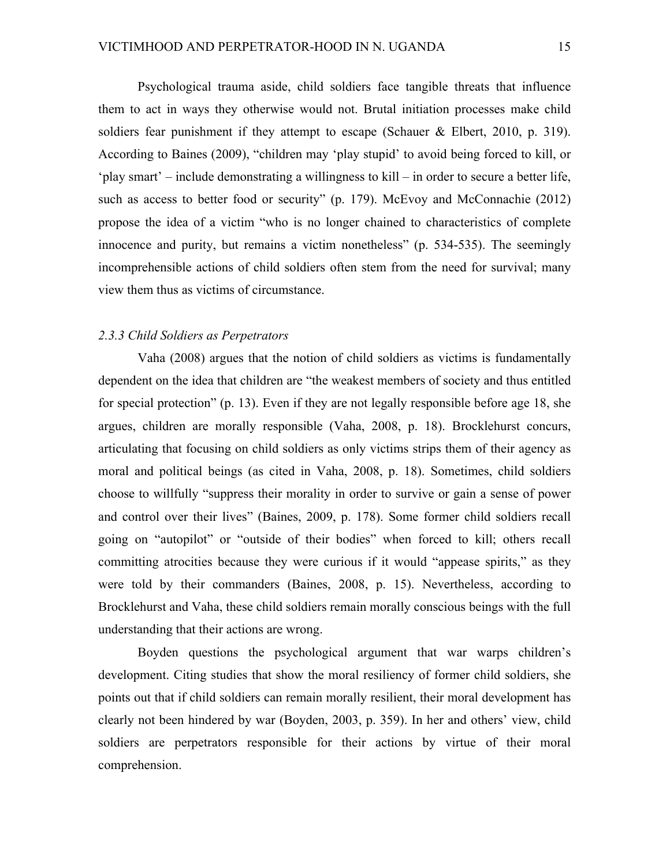Psychological trauma aside, child soldiers face tangible threats that influence them to act in ways they otherwise would not. Brutal initiation processes make child soldiers fear punishment if they attempt to escape (Schauer & Elbert, 2010, p. 319). According to Baines (2009), "children may 'play stupid' to avoid being forced to kill, or 'play smart' – include demonstrating a willingness to kill – in order to secure a better life, such as access to better food or security" (p. 179). McEvoy and McConnachie (2012) propose the idea of a victim "who is no longer chained to characteristics of complete innocence and purity, but remains a victim nonetheless" (p. 534-535). The seemingly incomprehensible actions of child soldiers often stem from the need for survival; many view them thus as victims of circumstance.

# *2.3.3 Child Soldiers as Perpetrators*

Vaha (2008) argues that the notion of child soldiers as victims is fundamentally dependent on the idea that children are "the weakest members of society and thus entitled for special protection" (p. 13). Even if they are not legally responsible before age 18, she argues, children are morally responsible (Vaha, 2008, p. 18). Brocklehurst concurs, articulating that focusing on child soldiers as only victims strips them of their agency as moral and political beings (as cited in Vaha, 2008, p. 18). Sometimes, child soldiers choose to willfully "suppress their morality in order to survive or gain a sense of power and control over their lives" (Baines, 2009, p. 178). Some former child soldiers recall going on "autopilot" or "outside of their bodies" when forced to kill; others recall committing atrocities because they were curious if it would "appease spirits," as they were told by their commanders (Baines, 2008, p. 15). Nevertheless, according to Brocklehurst and Vaha, these child soldiers remain morally conscious beings with the full understanding that their actions are wrong.

Boyden questions the psychological argument that war warps children's development. Citing studies that show the moral resiliency of former child soldiers, she points out that if child soldiers can remain morally resilient, their moral development has clearly not been hindered by war (Boyden, 2003, p. 359). In her and others' view, child soldiers are perpetrators responsible for their actions by virtue of their moral comprehension.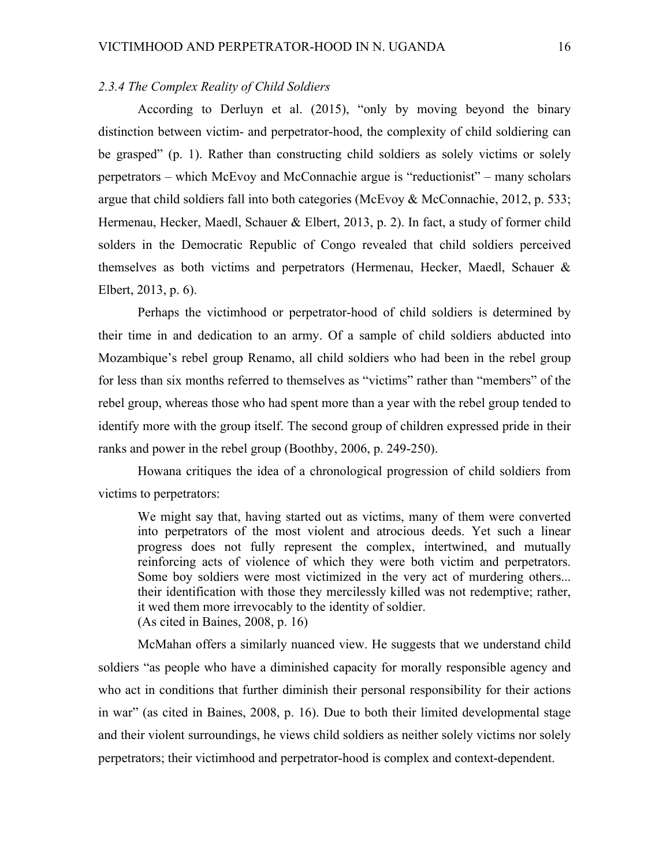# *2.3.4 The Complex Reality of Child Soldiers*

According to Derluyn et al. (2015), "only by moving beyond the binary distinction between victim- and perpetrator-hood, the complexity of child soldiering can be grasped" (p. 1). Rather than constructing child soldiers as solely victims or solely perpetrators – which McEvoy and McConnachie argue is "reductionist" – many scholars argue that child soldiers fall into both categories (McEvoy  $\&$  McConnachie, 2012, p. 533; Hermenau, Hecker, Maedl, Schauer & Elbert, 2013, p. 2). In fact, a study of former child solders in the Democratic Republic of Congo revealed that child soldiers perceived themselves as both victims and perpetrators (Hermenau, Hecker, Maedl, Schauer & Elbert, 2013, p. 6).

Perhaps the victimhood or perpetrator-hood of child soldiers is determined by their time in and dedication to an army. Of a sample of child soldiers abducted into Mozambique's rebel group Renamo, all child soldiers who had been in the rebel group for less than six months referred to themselves as "victims" rather than "members" of the rebel group, whereas those who had spent more than a year with the rebel group tended to identify more with the group itself. The second group of children expressed pride in their ranks and power in the rebel group (Boothby, 2006, p. 249-250).

Howana critiques the idea of a chronological progression of child soldiers from victims to perpetrators:

We might say that, having started out as victims, many of them were converted into perpetrators of the most violent and atrocious deeds. Yet such a linear progress does not fully represent the complex, intertwined, and mutually reinforcing acts of violence of which they were both victim and perpetrators. Some boy soldiers were most victimized in the very act of murdering others... their identification with those they mercilessly killed was not redemptive; rather, it wed them more irrevocably to the identity of soldier. (As cited in Baines, 2008, p. 16)

McMahan offers a similarly nuanced view. He suggests that we understand child soldiers "as people who have a diminished capacity for morally responsible agency and who act in conditions that further diminish their personal responsibility for their actions in war" (as cited in Baines, 2008, p. 16). Due to both their limited developmental stage and their violent surroundings, he views child soldiers as neither solely victims nor solely perpetrators; their victimhood and perpetrator-hood is complex and context-dependent.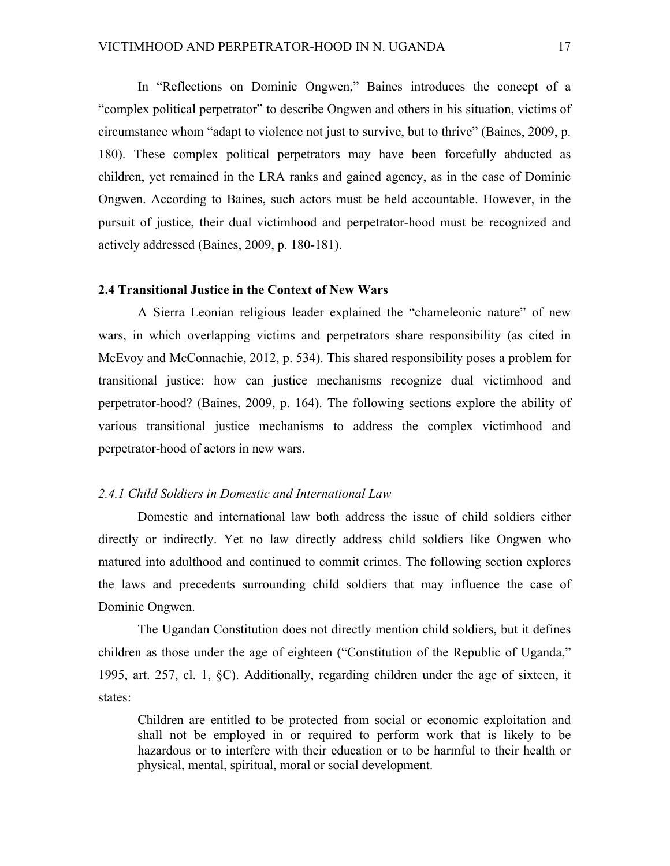In "Reflections on Dominic Ongwen," Baines introduces the concept of a "complex political perpetrator" to describe Ongwen and others in his situation, victims of circumstance whom "adapt to violence not just to survive, but to thrive" (Baines, 2009, p. 180). These complex political perpetrators may have been forcefully abducted as children, yet remained in the LRA ranks and gained agency, as in the case of Dominic Ongwen. According to Baines, such actors must be held accountable. However, in the pursuit of justice, their dual victimhood and perpetrator-hood must be recognized and actively addressed (Baines, 2009, p. 180-181).

# **2.4 Transitional Justice in the Context of New Wars**

A Sierra Leonian religious leader explained the "chameleonic nature" of new wars, in which overlapping victims and perpetrators share responsibility (as cited in McEvoy and McConnachie, 2012, p. 534). This shared responsibility poses a problem for transitional justice: how can justice mechanisms recognize dual victimhood and perpetrator-hood? (Baines, 2009, p. 164). The following sections explore the ability of various transitional justice mechanisms to address the complex victimhood and perpetrator-hood of actors in new wars.

# *2.4.1 Child Soldiers in Domestic and International Law*

Domestic and international law both address the issue of child soldiers either directly or indirectly. Yet no law directly address child soldiers like Ongwen who matured into adulthood and continued to commit crimes. The following section explores the laws and precedents surrounding child soldiers that may influence the case of Dominic Ongwen.

The Ugandan Constitution does not directly mention child soldiers, but it defines children as those under the age of eighteen ("Constitution of the Republic of Uganda," 1995, art. 257, cl. 1, §C). Additionally, regarding children under the age of sixteen, it states:

Children are entitled to be protected from social or economic exploitation and shall not be employed in or required to perform work that is likely to be hazardous or to interfere with their education or to be harmful to their health or physical, mental, spiritual, moral or social development.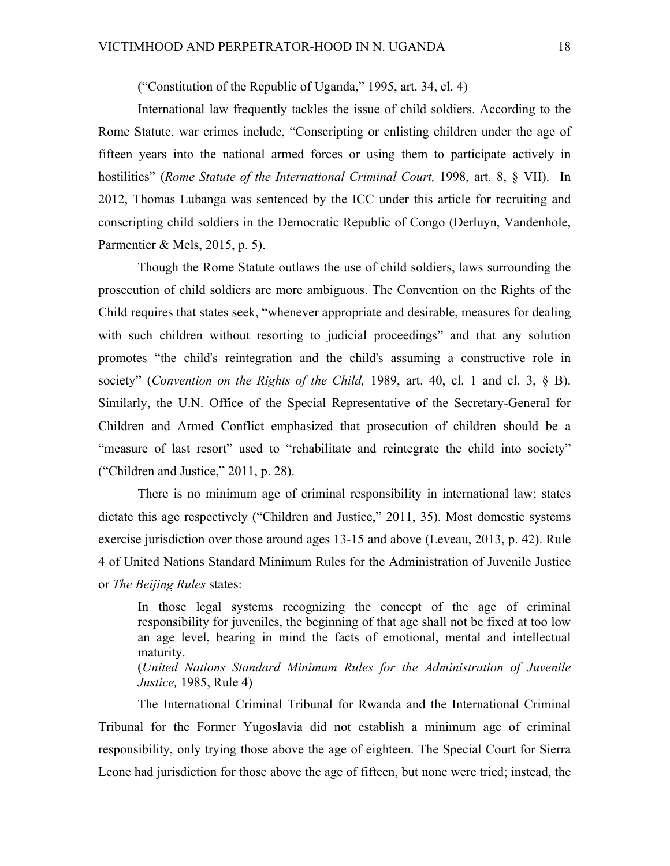("Constitution of the Republic of Uganda," 1995, art. 34, cl. 4)

International law frequently tackles the issue of child soldiers. According to the Rome Statute, war crimes include, "Conscripting or enlisting children under the age of fifteen years into the national armed forces or using them to participate actively in hostilities" (*Rome Statute of the International Criminal Court,* 1998, art. 8, § VII). In 2012, Thomas Lubanga was sentenced by the ICC under this article for recruiting and conscripting child soldiers in the Democratic Republic of Congo (Derluyn, Vandenhole, Parmentier & Mels, 2015, p. 5).

Though the Rome Statute outlaws the use of child soldiers, laws surrounding the prosecution of child soldiers are more ambiguous. The Convention on the Rights of the Child requires that states seek, "whenever appropriate and desirable, measures for dealing with such children without resorting to judicial proceedings" and that any solution promotes "the child's reintegration and the child's assuming a constructive role in society" (*Convention on the Rights of the Child,* 1989, art. 40, cl. 1 and cl. 3, § B). Similarly, the U.N. Office of the Special Representative of the Secretary-General for Children and Armed Conflict emphasized that prosecution of children should be a "measure of last resort" used to "rehabilitate and reintegrate the child into society" ("Children and Justice," 2011, p. 28).

There is no minimum age of criminal responsibility in international law; states dictate this age respectively ("Children and Justice," 2011, 35). Most domestic systems exercise jurisdiction over those around ages 13-15 and above (Leveau, 2013, p. 42). Rule 4 of United Nations Standard Minimum Rules for the Administration of Juvenile Justice or *The Beijing Rules* states:

In those legal systems recognizing the concept of the age of criminal responsibility for juveniles, the beginning of that age shall not be fixed at too low an age level, bearing in mind the facts of emotional, mental and intellectual maturity.

(*United Nations Standard Minimum Rules for the Administration of Juvenile Justice,* 1985, Rule 4)

The International Criminal Tribunal for Rwanda and the International Criminal Tribunal for the Former Yugoslavia did not establish a minimum age of criminal responsibility, only trying those above the age of eighteen. The Special Court for Sierra Leone had jurisdiction for those above the age of fifteen, but none were tried; instead, the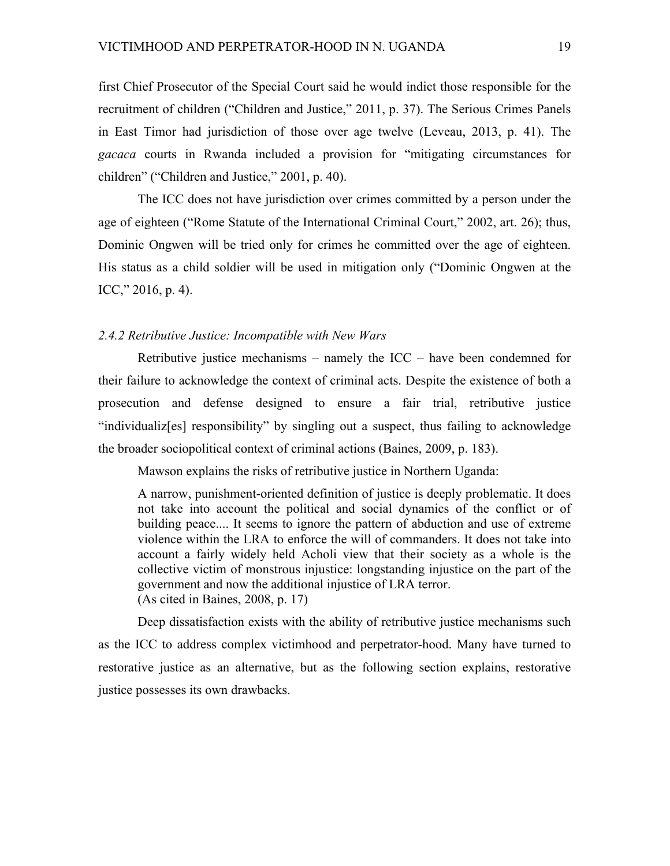first Chief Prosecutor of the Special Court said he would indict those responsible for the recruitment of children ("Children and Justice," 2011, p. 37). The Serious Crimes Panels in East Timor had jurisdiction of those over age twelve (Leveau, 2013, p. 41). The *gacaca* courts in Rwanda included a provision for "mitigating circumstances for children" ("Children and Justice," 2001, p. 40).

The ICC does not have jurisdiction over crimes committed by a person under the age of eighteen ("Rome Statute of the International Criminal Court," 2002, art. 26); thus, Dominic Ongwen will be tried only for crimes he committed over the age of eighteen. His status as a child soldier will be used in mitigation only ("Dominic Ongwen at the ICC," 2016, p. 4).

## *2.4.2 Retributive Justice: Incompatible with New Wars*

Retributive justice mechanisms – namely the  $ICC - have been condensed for$ their failure to acknowledge the context of criminal acts. Despite the existence of both a prosecution and defense designed to ensure a fair trial, retributive justice "individualiz[es] responsibility" by singling out a suspect, thus failing to acknowledge the broader sociopolitical context of criminal actions (Baines, 2009, p. 183).

Mawson explains the risks of retributive justice in Northern Uganda:

A narrow, punishment-oriented definition of justice is deeply problematic. It does not take into account the political and social dynamics of the conflict or of building peace.... It seems to ignore the pattern of abduction and use of extreme violence within the LRA to enforce the will of commanders. It does not take into account a fairly widely held Acholi view that their society as a whole is the collective victim of monstrous injustice: longstanding injustice on the part of the government and now the additional injustice of LRA terror. (As cited in Baines, 2008, p. 17)

Deep dissatisfaction exists with the ability of retributive justice mechanisms such as the ICC to address complex victimhood and perpetrator-hood. Many have turned to restorative justice as an alternative, but as the following section explains, restorative justice possesses its own drawbacks.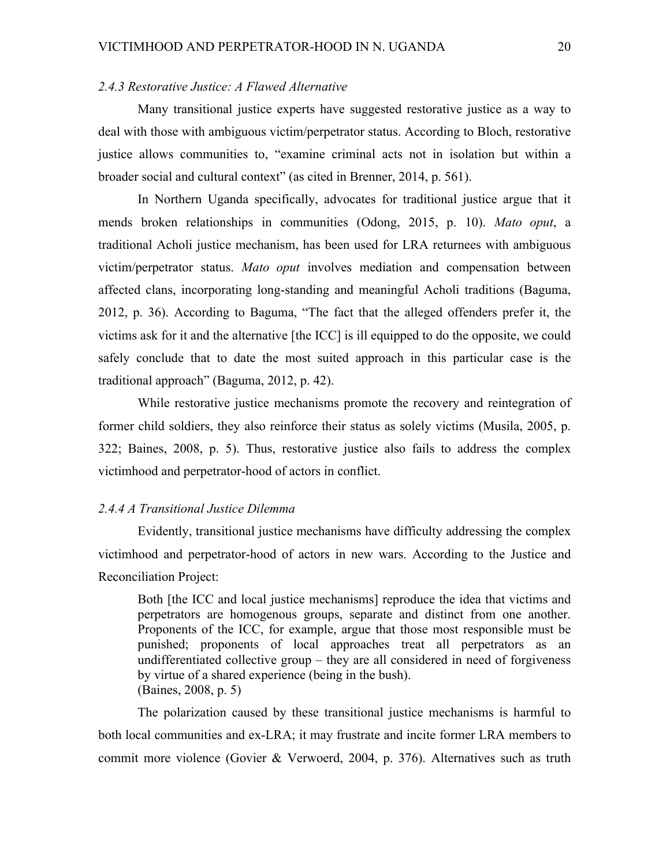# *2.4.3 Restorative Justice: A Flawed Alternative*

Many transitional justice experts have suggested restorative justice as a way to deal with those with ambiguous victim/perpetrator status. According to Bloch, restorative justice allows communities to, "examine criminal acts not in isolation but within a broader social and cultural context" (as cited in Brenner, 2014, p. 561).

In Northern Uganda specifically, advocates for traditional justice argue that it mends broken relationships in communities (Odong, 2015, p. 10). *Mato oput*, a traditional Acholi justice mechanism, has been used for LRA returnees with ambiguous victim/perpetrator status. *Mato oput* involves mediation and compensation between affected clans, incorporating long-standing and meaningful Acholi traditions (Baguma, 2012, p. 36). According to Baguma, "The fact that the alleged offenders prefer it, the victims ask for it and the alternative [the ICC] is ill equipped to do the opposite, we could safely conclude that to date the most suited approach in this particular case is the traditional approach" (Baguma, 2012, p. 42).

While restorative justice mechanisms promote the recovery and reintegration of former child soldiers, they also reinforce their status as solely victims (Musila, 2005, p. 322; Baines, 2008, p. 5). Thus, restorative justice also fails to address the complex victimhood and perpetrator-hood of actors in conflict.

#### *2.4.4 A Transitional Justice Dilemma*

Evidently, transitional justice mechanisms have difficulty addressing the complex victimhood and perpetrator-hood of actors in new wars. According to the Justice and Reconciliation Project:

Both [the ICC and local justice mechanisms] reproduce the idea that victims and perpetrators are homogenous groups, separate and distinct from one another. Proponents of the ICC, for example, argue that those most responsible must be punished; proponents of local approaches treat all perpetrators as an undifferentiated collective group – they are all considered in need of forgiveness by virtue of a shared experience (being in the bush). (Baines, 2008, p. 5)

The polarization caused by these transitional justice mechanisms is harmful to both local communities and ex-LRA; it may frustrate and incite former LRA members to commit more violence (Govier & Verwoerd, 2004, p. 376). Alternatives such as truth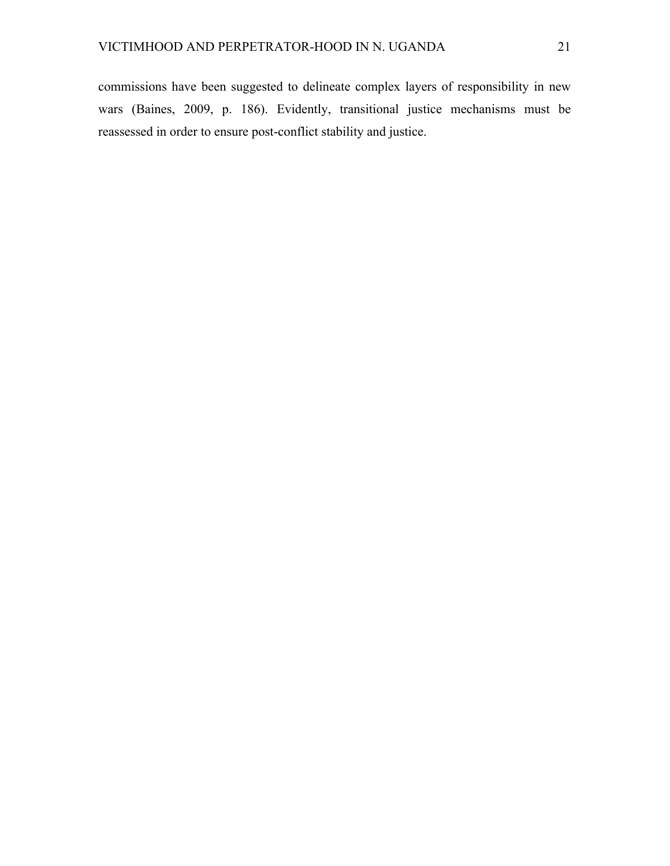commissions have been suggested to delineate complex layers of responsibility in new wars (Baines, 2009, p. 186). Evidently, transitional justice mechanisms must be reassessed in order to ensure post-conflict stability and justice.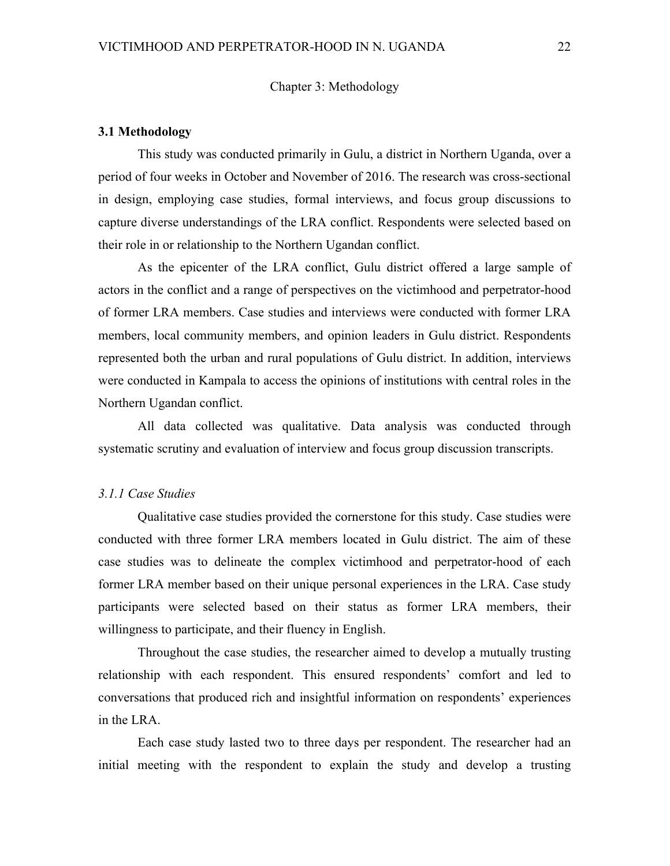# Chapter 3: Methodology

### **3.1 Methodology**

This study was conducted primarily in Gulu, a district in Northern Uganda, over a period of four weeks in October and November of 2016. The research was cross-sectional in design, employing case studies, formal interviews, and focus group discussions to capture diverse understandings of the LRA conflict. Respondents were selected based on their role in or relationship to the Northern Ugandan conflict.

As the epicenter of the LRA conflict, Gulu district offered a large sample of actors in the conflict and a range of perspectives on the victimhood and perpetrator-hood of former LRA members. Case studies and interviews were conducted with former LRA members, local community members, and opinion leaders in Gulu district. Respondents represented both the urban and rural populations of Gulu district. In addition, interviews were conducted in Kampala to access the opinions of institutions with central roles in the Northern Ugandan conflict.

All data collected was qualitative. Data analysis was conducted through systematic scrutiny and evaluation of interview and focus group discussion transcripts.

# *3.1.1 Case Studies*

Qualitative case studies provided the cornerstone for this study. Case studies were conducted with three former LRA members located in Gulu district. The aim of these case studies was to delineate the complex victimhood and perpetrator-hood of each former LRA member based on their unique personal experiences in the LRA. Case study participants were selected based on their status as former LRA members, their willingness to participate, and their fluency in English.

Throughout the case studies, the researcher aimed to develop a mutually trusting relationship with each respondent. This ensured respondents' comfort and led to conversations that produced rich and insightful information on respondents' experiences in the LRA.

Each case study lasted two to three days per respondent. The researcher had an initial meeting with the respondent to explain the study and develop a trusting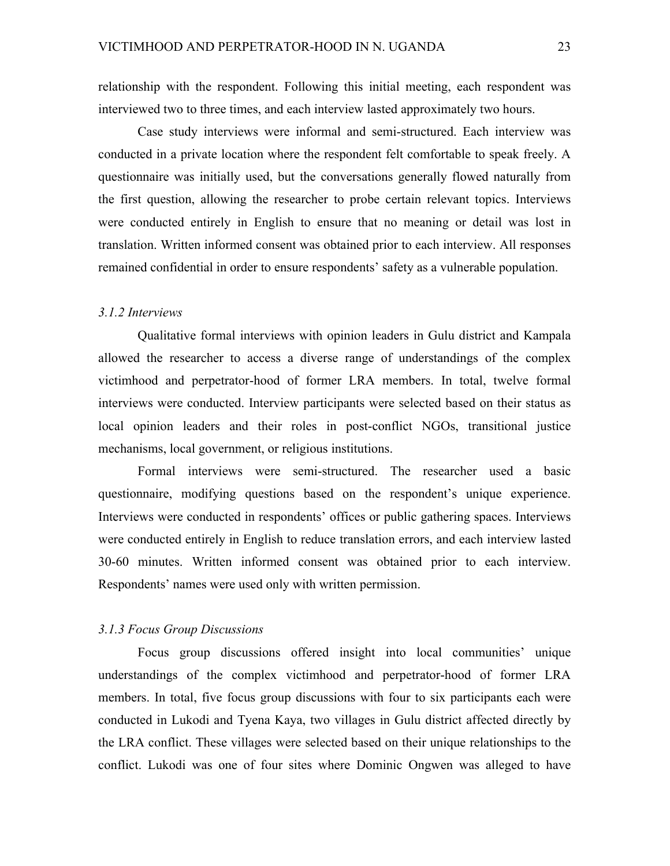relationship with the respondent. Following this initial meeting, each respondent was interviewed two to three times, and each interview lasted approximately two hours.

Case study interviews were informal and semi-structured. Each interview was conducted in a private location where the respondent felt comfortable to speak freely. A questionnaire was initially used, but the conversations generally flowed naturally from the first question, allowing the researcher to probe certain relevant topics. Interviews were conducted entirely in English to ensure that no meaning or detail was lost in translation. Written informed consent was obtained prior to each interview. All responses remained confidential in order to ensure respondents' safety as a vulnerable population.

#### *3.1.2 Interviews*

Qualitative formal interviews with opinion leaders in Gulu district and Kampala allowed the researcher to access a diverse range of understandings of the complex victimhood and perpetrator-hood of former LRA members. In total, twelve formal interviews were conducted. Interview participants were selected based on their status as local opinion leaders and their roles in post-conflict NGOs, transitional justice mechanisms, local government, or religious institutions.

Formal interviews were semi-structured. The researcher used a basic questionnaire, modifying questions based on the respondent's unique experience. Interviews were conducted in respondents' offices or public gathering spaces. Interviews were conducted entirely in English to reduce translation errors, and each interview lasted 30-60 minutes. Written informed consent was obtained prior to each interview. Respondents' names were used only with written permission.

#### *3.1.3 Focus Group Discussions*

Focus group discussions offered insight into local communities' unique understandings of the complex victimhood and perpetrator-hood of former LRA members. In total, five focus group discussions with four to six participants each were conducted in Lukodi and Tyena Kaya, two villages in Gulu district affected directly by the LRA conflict. These villages were selected based on their unique relationships to the conflict. Lukodi was one of four sites where Dominic Ongwen was alleged to have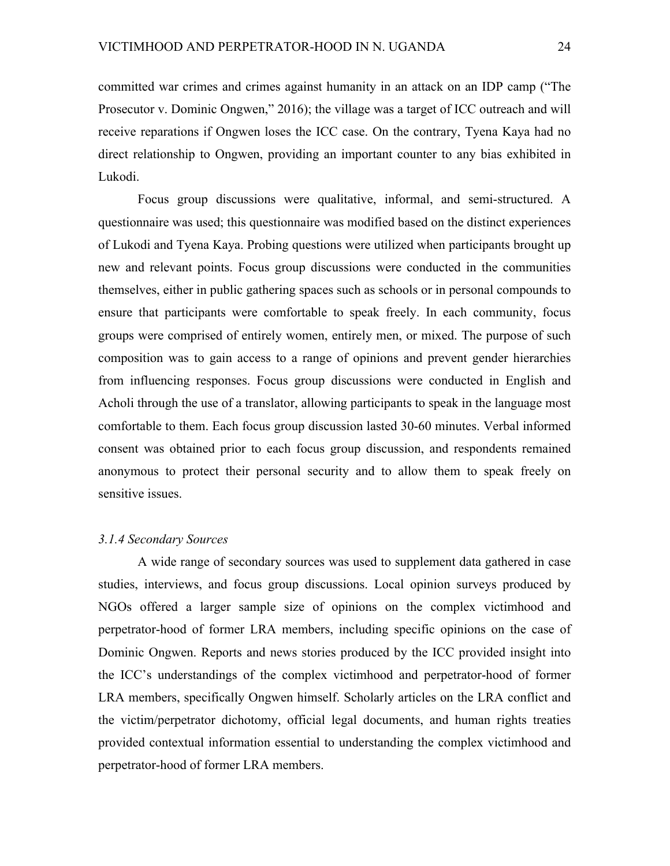committed war crimes and crimes against humanity in an attack on an IDP camp ("The Prosecutor v. Dominic Ongwen," 2016); the village was a target of ICC outreach and will receive reparations if Ongwen loses the ICC case. On the contrary, Tyena Kaya had no direct relationship to Ongwen, providing an important counter to any bias exhibited in Lukodi.

Focus group discussions were qualitative, informal, and semi-structured. A questionnaire was used; this questionnaire was modified based on the distinct experiences of Lukodi and Tyena Kaya. Probing questions were utilized when participants brought up new and relevant points. Focus group discussions were conducted in the communities themselves, either in public gathering spaces such as schools or in personal compounds to ensure that participants were comfortable to speak freely. In each community, focus groups were comprised of entirely women, entirely men, or mixed. The purpose of such composition was to gain access to a range of opinions and prevent gender hierarchies from influencing responses. Focus group discussions were conducted in English and Acholi through the use of a translator, allowing participants to speak in the language most comfortable to them. Each focus group discussion lasted 30-60 minutes. Verbal informed consent was obtained prior to each focus group discussion, and respondents remained anonymous to protect their personal security and to allow them to speak freely on sensitive issues.

#### *3.1.4 Secondary Sources*

A wide range of secondary sources was used to supplement data gathered in case studies, interviews, and focus group discussions. Local opinion surveys produced by NGOs offered a larger sample size of opinions on the complex victimhood and perpetrator-hood of former LRA members, including specific opinions on the case of Dominic Ongwen. Reports and news stories produced by the ICC provided insight into the ICC's understandings of the complex victimhood and perpetrator-hood of former LRA members, specifically Ongwen himself. Scholarly articles on the LRA conflict and the victim/perpetrator dichotomy, official legal documents, and human rights treaties provided contextual information essential to understanding the complex victimhood and perpetrator-hood of former LRA members.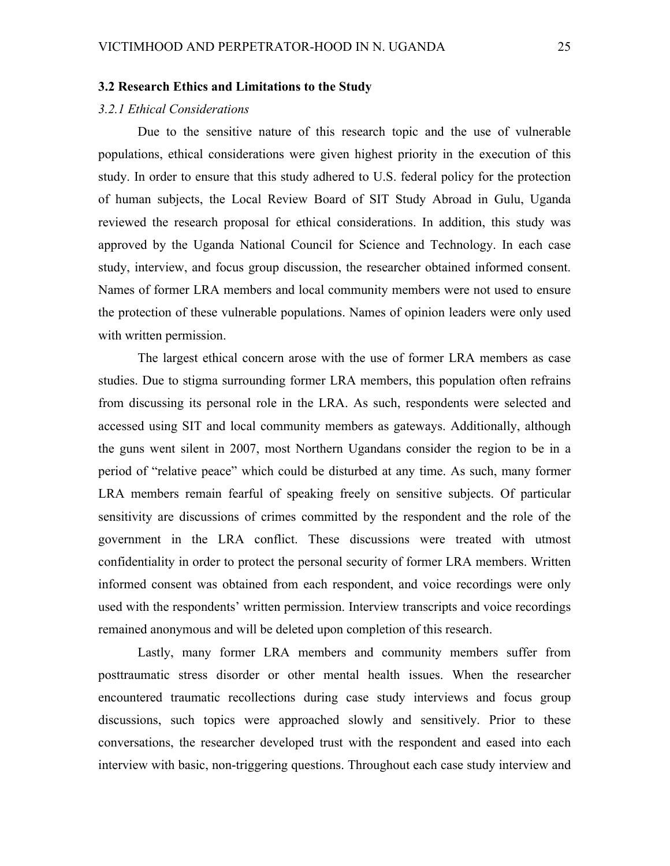# **3.2 Research Ethics and Limitations to the Study**

#### *3.2.1 Ethical Considerations*

Due to the sensitive nature of this research topic and the use of vulnerable populations, ethical considerations were given highest priority in the execution of this study. In order to ensure that this study adhered to U.S. federal policy for the protection of human subjects, the Local Review Board of SIT Study Abroad in Gulu, Uganda reviewed the research proposal for ethical considerations. In addition, this study was approved by the Uganda National Council for Science and Technology. In each case study, interview, and focus group discussion, the researcher obtained informed consent. Names of former LRA members and local community members were not used to ensure the protection of these vulnerable populations. Names of opinion leaders were only used with written permission.

The largest ethical concern arose with the use of former LRA members as case studies. Due to stigma surrounding former LRA members, this population often refrains from discussing its personal role in the LRA. As such, respondents were selected and accessed using SIT and local community members as gateways. Additionally, although the guns went silent in 2007, most Northern Ugandans consider the region to be in a period of "relative peace" which could be disturbed at any time. As such, many former LRA members remain fearful of speaking freely on sensitive subjects. Of particular sensitivity are discussions of crimes committed by the respondent and the role of the government in the LRA conflict. These discussions were treated with utmost confidentiality in order to protect the personal security of former LRA members. Written informed consent was obtained from each respondent, and voice recordings were only used with the respondents' written permission. Interview transcripts and voice recordings remained anonymous and will be deleted upon completion of this research.

Lastly, many former LRA members and community members suffer from posttraumatic stress disorder or other mental health issues. When the researcher encountered traumatic recollections during case study interviews and focus group discussions, such topics were approached slowly and sensitively. Prior to these conversations, the researcher developed trust with the respondent and eased into each interview with basic, non-triggering questions. Throughout each case study interview and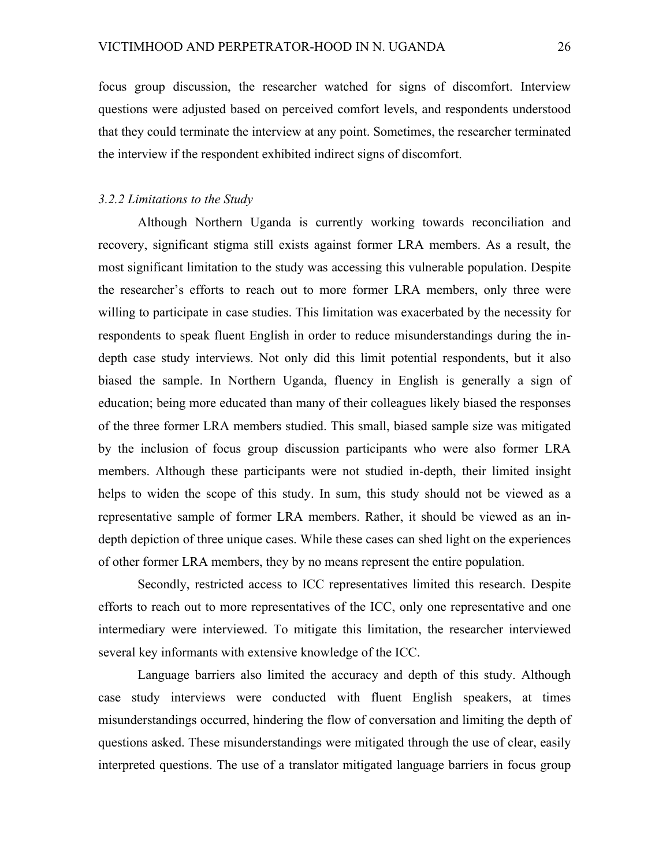focus group discussion, the researcher watched for signs of discomfort. Interview questions were adjusted based on perceived comfort levels, and respondents understood that they could terminate the interview at any point. Sometimes, the researcher terminated the interview if the respondent exhibited indirect signs of discomfort.

## *3.2.2 Limitations to the Study*

Although Northern Uganda is currently working towards reconciliation and recovery, significant stigma still exists against former LRA members. As a result, the most significant limitation to the study was accessing this vulnerable population. Despite the researcher's efforts to reach out to more former LRA members, only three were willing to participate in case studies. This limitation was exacerbated by the necessity for respondents to speak fluent English in order to reduce misunderstandings during the indepth case study interviews. Not only did this limit potential respondents, but it also biased the sample. In Northern Uganda, fluency in English is generally a sign of education; being more educated than many of their colleagues likely biased the responses of the three former LRA members studied. This small, biased sample size was mitigated by the inclusion of focus group discussion participants who were also former LRA members. Although these participants were not studied in-depth, their limited insight helps to widen the scope of this study. In sum, this study should not be viewed as a representative sample of former LRA members. Rather, it should be viewed as an indepth depiction of three unique cases. While these cases can shed light on the experiences of other former LRA members, they by no means represent the entire population.

Secondly, restricted access to ICC representatives limited this research. Despite efforts to reach out to more representatives of the ICC, only one representative and one intermediary were interviewed. To mitigate this limitation, the researcher interviewed several key informants with extensive knowledge of the ICC.

Language barriers also limited the accuracy and depth of this study. Although case study interviews were conducted with fluent English speakers, at times misunderstandings occurred, hindering the flow of conversation and limiting the depth of questions asked. These misunderstandings were mitigated through the use of clear, easily interpreted questions. The use of a translator mitigated language barriers in focus group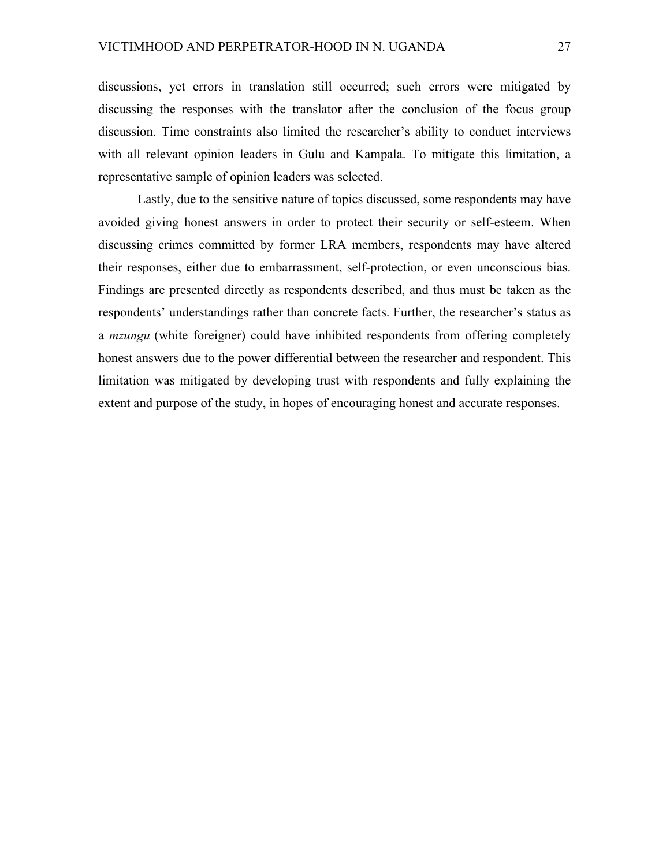discussions, yet errors in translation still occurred; such errors were mitigated by discussing the responses with the translator after the conclusion of the focus group discussion. Time constraints also limited the researcher's ability to conduct interviews with all relevant opinion leaders in Gulu and Kampala. To mitigate this limitation, a representative sample of opinion leaders was selected.

Lastly, due to the sensitive nature of topics discussed, some respondents may have avoided giving honest answers in order to protect their security or self-esteem. When discussing crimes committed by former LRA members, respondents may have altered their responses, either due to embarrassment, self-protection, or even unconscious bias. Findings are presented directly as respondents described, and thus must be taken as the respondents' understandings rather than concrete facts. Further, the researcher's status as a *mzungu* (white foreigner) could have inhibited respondents from offering completely honest answers due to the power differential between the researcher and respondent. This limitation was mitigated by developing trust with respondents and fully explaining the extent and purpose of the study, in hopes of encouraging honest and accurate responses.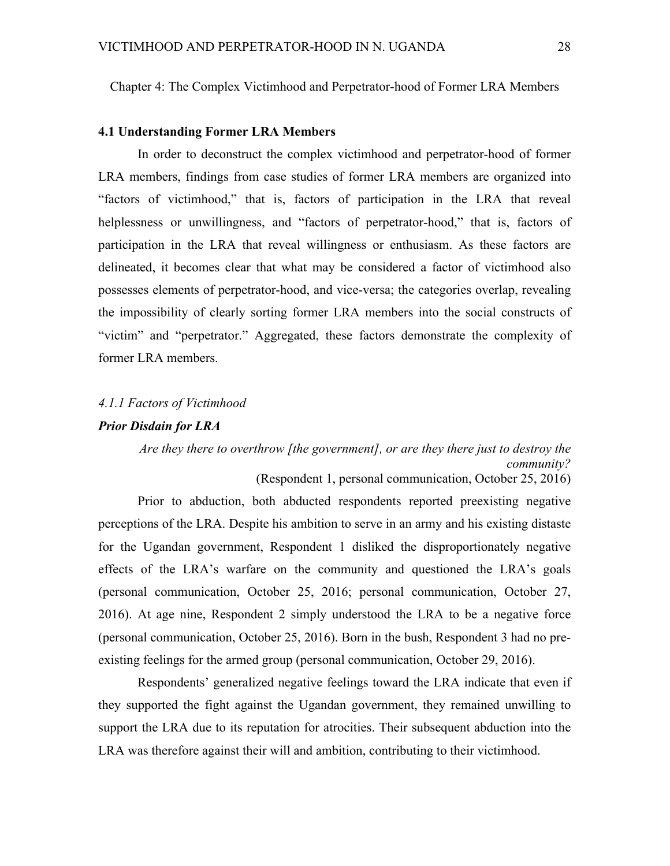Chapter 4: The Complex Victimhood and Perpetrator-hood of Former LRA Members

## **4.1 Understanding Former LRA Members**

In order to deconstruct the complex victimhood and perpetrator-hood of former LRA members, findings from case studies of former LRA members are organized into "factors of victimhood," that is, factors of participation in the LRA that reveal helplessness or unwillingness, and "factors of perpetrator-hood," that is, factors of participation in the LRA that reveal willingness or enthusiasm. As these factors are delineated, it becomes clear that what may be considered a factor of victimhood also possesses elements of perpetrator-hood, and vice-versa; the categories overlap, revealing the impossibility of clearly sorting former LRA members into the social constructs of "victim" and "perpetrator." Aggregated, these factors demonstrate the complexity of former LRA members.

#### *4.1.1 Factors of Victimhood*

#### *Prior Disdain for LRA*

*Are they there to overthrow [the government], or are they there just to destroy the community?* (Respondent 1, personal communication, October 25, 2016)

Prior to abduction, both abducted respondents reported preexisting negative perceptions of the LRA. Despite his ambition to serve in an army and his existing distaste for the Ugandan government, Respondent 1 disliked the disproportionately negative effects of the LRA's warfare on the community and questioned the LRA's goals (personal communication, October 25, 2016; personal communication, October 27, 2016). At age nine, Respondent 2 simply understood the LRA to be a negative force (personal communication, October 25, 2016). Born in the bush, Respondent 3 had no preexisting feelings for the armed group (personal communication, October 29, 2016).

Respondents' generalized negative feelings toward the LRA indicate that even if they supported the fight against the Ugandan government, they remained unwilling to support the LRA due to its reputation for atrocities. Their subsequent abduction into the LRA was therefore against their will and ambition, contributing to their victimhood.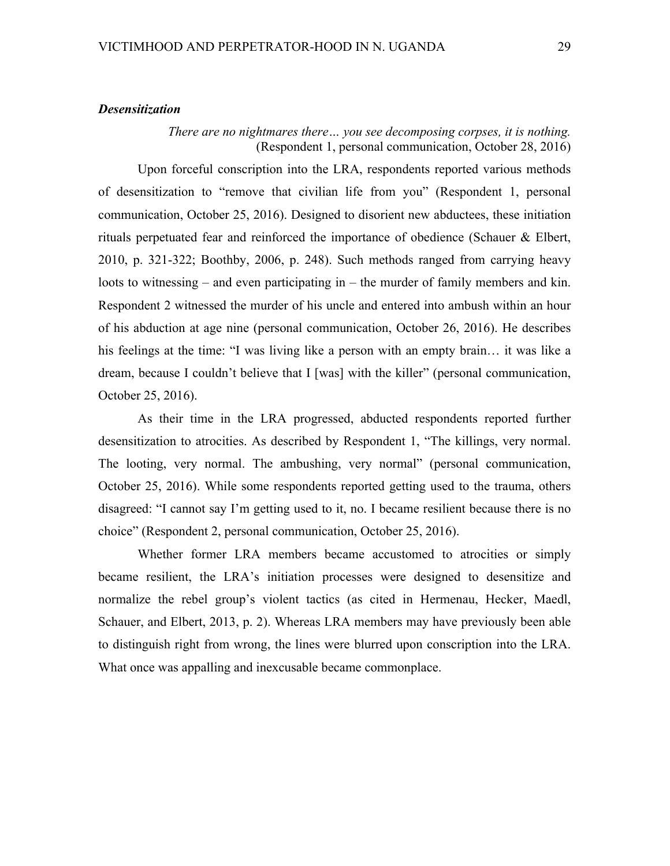## *Desensitization*

## *There are no nightmares there… you see decomposing corpses, it is nothing.* (Respondent 1, personal communication, October 28, 2016)

Upon forceful conscription into the LRA, respondents reported various methods of desensitization to "remove that civilian life from you" (Respondent 1, personal communication, October 25, 2016). Designed to disorient new abductees, these initiation rituals perpetuated fear and reinforced the importance of obedience (Schauer & Elbert, 2010, p. 321-322; Boothby, 2006, p. 248). Such methods ranged from carrying heavy loots to witnessing – and even participating in – the murder of family members and kin. Respondent 2 witnessed the murder of his uncle and entered into ambush within an hour of his abduction at age nine (personal communication, October 26, 2016). He describes his feelings at the time: "I was living like a person with an empty brain... it was like a dream, because I couldn't believe that I [was] with the killer" (personal communication, October 25, 2016).

As their time in the LRA progressed, abducted respondents reported further desensitization to atrocities. As described by Respondent 1, "The killings, very normal. The looting, very normal. The ambushing, very normal" (personal communication, October 25, 2016). While some respondents reported getting used to the trauma, others disagreed: "I cannot say I'm getting used to it, no. I became resilient because there is no choice" (Respondent 2, personal communication, October 25, 2016).

Whether former LRA members became accustomed to atrocities or simply became resilient, the LRA's initiation processes were designed to desensitize and normalize the rebel group's violent tactics (as cited in Hermenau, Hecker, Maedl, Schauer, and Elbert, 2013, p. 2). Whereas LRA members may have previously been able to distinguish right from wrong, the lines were blurred upon conscription into the LRA. What once was appalling and inexcusable became commonplace.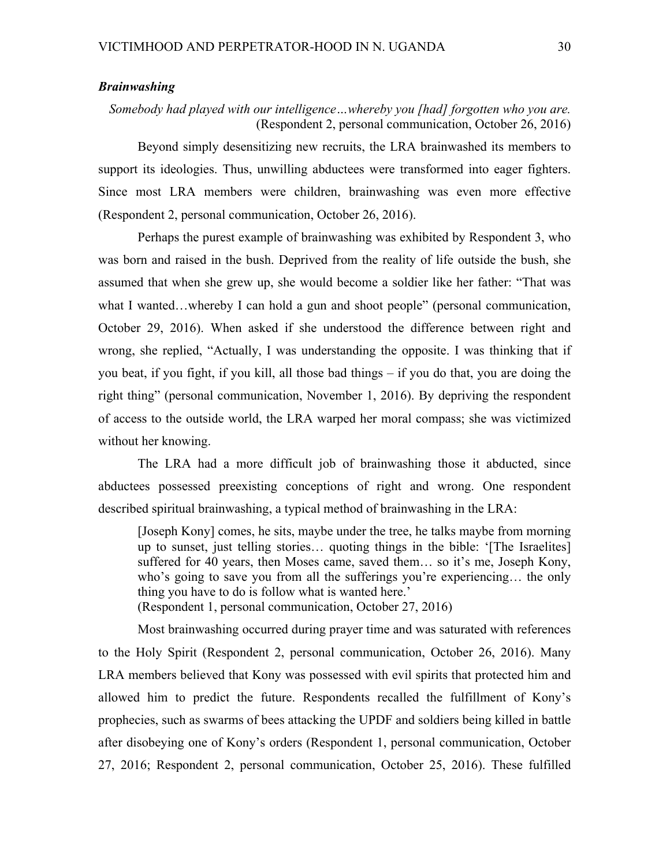### *Brainwashing*

## *Somebody had played with our intelligence…whereby you [had] forgotten who you are.* (Respondent 2, personal communication, October 26, 2016)

Beyond simply desensitizing new recruits, the LRA brainwashed its members to support its ideologies. Thus, unwilling abductees were transformed into eager fighters. Since most LRA members were children, brainwashing was even more effective (Respondent 2, personal communication, October 26, 2016).

Perhaps the purest example of brainwashing was exhibited by Respondent 3, who was born and raised in the bush. Deprived from the reality of life outside the bush, she assumed that when she grew up, she would become a soldier like her father: "That was what I wanted...whereby I can hold a gun and shoot people" (personal communication, October 29, 2016). When asked if she understood the difference between right and wrong, she replied, "Actually, I was understanding the opposite. I was thinking that if you beat, if you fight, if you kill, all those bad things – if you do that, you are doing the right thing" (personal communication, November 1, 2016). By depriving the respondent of access to the outside world, the LRA warped her moral compass; she was victimized without her knowing.

The LRA had a more difficult job of brainwashing those it abducted, since abductees possessed preexisting conceptions of right and wrong. One respondent described spiritual brainwashing, a typical method of brainwashing in the LRA:

[Joseph Kony] comes, he sits, maybe under the tree, he talks maybe from morning up to sunset, just telling stories… quoting things in the bible: '[The Israelites] suffered for 40 years, then Moses came, saved them… so it's me, Joseph Kony, who's going to save you from all the sufferings you're experiencing… the only thing you have to do is follow what is wanted here.'

(Respondent 1, personal communication, October 27, 2016)

Most brainwashing occurred during prayer time and was saturated with references to the Holy Spirit (Respondent 2, personal communication, October 26, 2016). Many LRA members believed that Kony was possessed with evil spirits that protected him and allowed him to predict the future. Respondents recalled the fulfillment of Kony's prophecies, such as swarms of bees attacking the UPDF and soldiers being killed in battle after disobeying one of Kony's orders (Respondent 1, personal communication, October 27, 2016; Respondent 2, personal communication, October 25, 2016). These fulfilled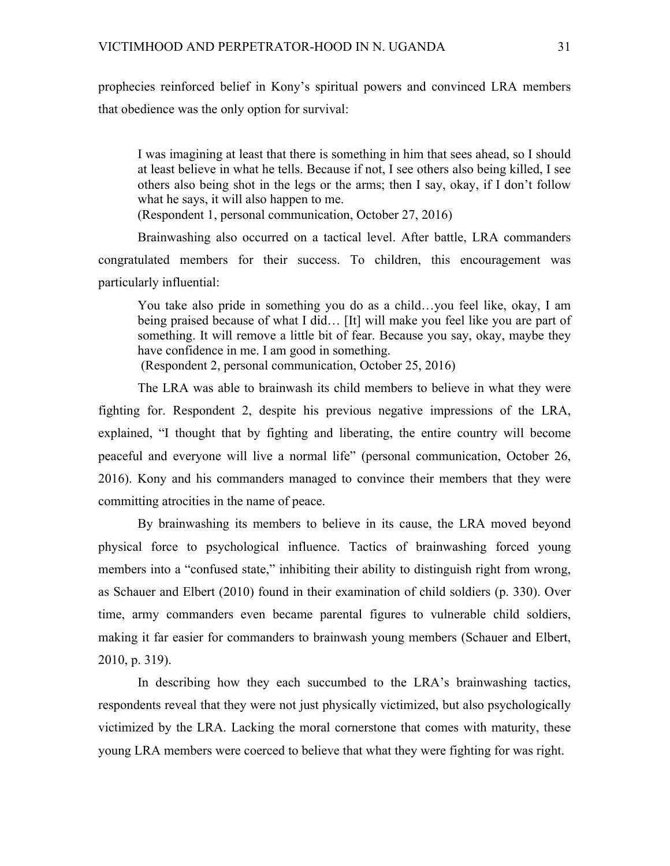prophecies reinforced belief in Kony's spiritual powers and convinced LRA members that obedience was the only option for survival:

I was imagining at least that there is something in him that sees ahead, so I should at least believe in what he tells. Because if not, I see others also being killed, I see others also being shot in the legs or the arms; then I say, okay, if I don't follow what he says, it will also happen to me.

(Respondent 1, personal communication, October 27, 2016)

Brainwashing also occurred on a tactical level. After battle, LRA commanders congratulated members for their success. To children, this encouragement was particularly influential:

You take also pride in something you do as a child…you feel like, okay, I am being praised because of what I did… [It] will make you feel like you are part of something. It will remove a little bit of fear. Because you say, okay, maybe they have confidence in me. I am good in something.

(Respondent 2, personal communication, October 25, 2016)

The LRA was able to brainwash its child members to believe in what they were fighting for. Respondent 2, despite his previous negative impressions of the LRA, explained, "I thought that by fighting and liberating, the entire country will become peaceful and everyone will live a normal life" (personal communication, October 26, 2016). Kony and his commanders managed to convince their members that they were committing atrocities in the name of peace.

By brainwashing its members to believe in its cause, the LRA moved beyond physical force to psychological influence. Tactics of brainwashing forced young members into a "confused state," inhibiting their ability to distinguish right from wrong, as Schauer and Elbert (2010) found in their examination of child soldiers (p. 330). Over time, army commanders even became parental figures to vulnerable child soldiers, making it far easier for commanders to brainwash young members (Schauer and Elbert, 2010, p. 319).

In describing how they each succumbed to the LRA's brainwashing tactics, respondents reveal that they were not just physically victimized, but also psychologically victimized by the LRA. Lacking the moral cornerstone that comes with maturity, these young LRA members were coerced to believe that what they were fighting for was right.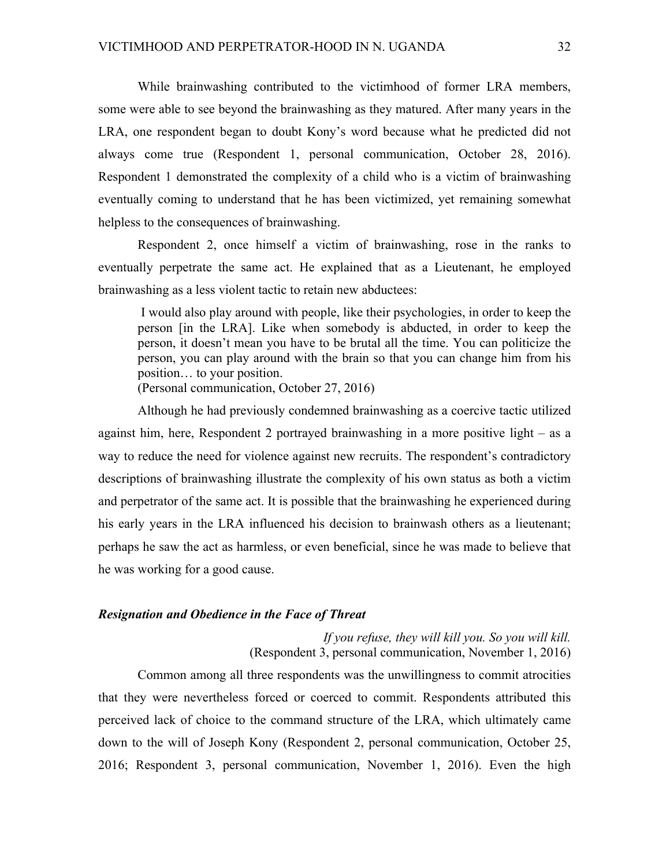While brainwashing contributed to the victimhood of former LRA members, some were able to see beyond the brainwashing as they matured. After many years in the LRA, one respondent began to doubt Kony's word because what he predicted did not always come true (Respondent 1, personal communication, October 28, 2016). Respondent 1 demonstrated the complexity of a child who is a victim of brainwashing eventually coming to understand that he has been victimized, yet remaining somewhat helpless to the consequences of brainwashing.

Respondent 2, once himself a victim of brainwashing, rose in the ranks to eventually perpetrate the same act. He explained that as a Lieutenant, he employed brainwashing as a less violent tactic to retain new abductees:

I would also play around with people, like their psychologies, in order to keep the person [in the LRA]. Like when somebody is abducted, in order to keep the person, it doesn't mean you have to be brutal all the time. You can politicize the person, you can play around with the brain so that you can change him from his position… to your position.

(Personal communication, October 27, 2016)

Although he had previously condemned brainwashing as a coercive tactic utilized against him, here, Respondent 2 portrayed brainwashing in a more positive light – as a way to reduce the need for violence against new recruits. The respondent's contradictory descriptions of brainwashing illustrate the complexity of his own status as both a victim and perpetrator of the same act. It is possible that the brainwashing he experienced during his early years in the LRA influenced his decision to brainwash others as a lieutenant; perhaps he saw the act as harmless, or even beneficial, since he was made to believe that he was working for a good cause.

## *Resignation and Obedience in the Face of Threat*

*If you refuse, they will kill you. So you will kill.* (Respondent 3, personal communication, November 1, 2016)

Common among all three respondents was the unwillingness to commit atrocities that they were nevertheless forced or coerced to commit. Respondents attributed this perceived lack of choice to the command structure of the LRA, which ultimately came down to the will of Joseph Kony (Respondent 2, personal communication, October 25, 2016; Respondent 3, personal communication, November 1, 2016). Even the high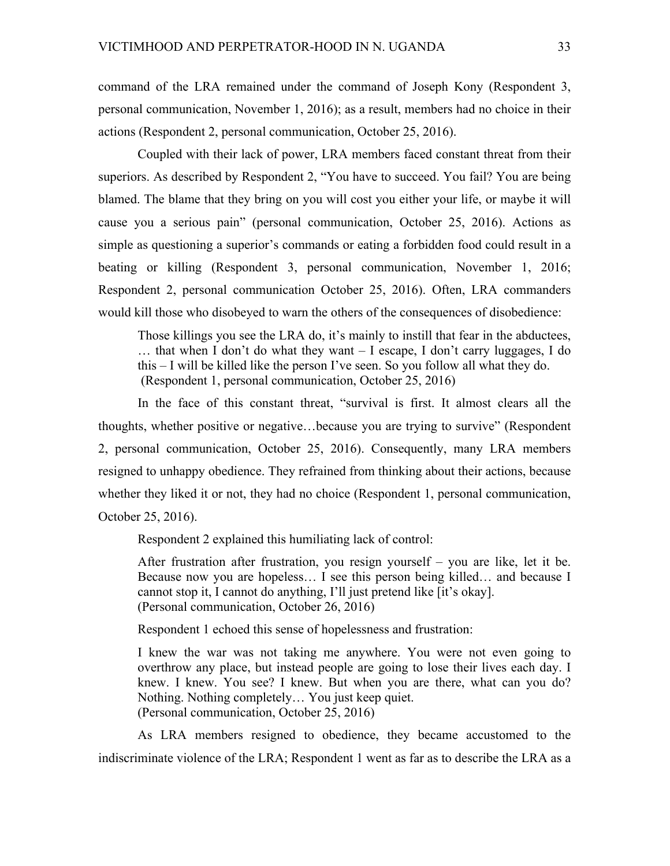command of the LRA remained under the command of Joseph Kony (Respondent 3, personal communication, November 1, 2016); as a result, members had no choice in their actions (Respondent 2, personal communication, October 25, 2016).

Coupled with their lack of power, LRA members faced constant threat from their superiors. As described by Respondent 2, "You have to succeed. You fail? You are being blamed. The blame that they bring on you will cost you either your life, or maybe it will cause you a serious pain" (personal communication, October 25, 2016). Actions as simple as questioning a superior's commands or eating a forbidden food could result in a beating or killing (Respondent 3, personal communication, November 1, 2016; Respondent 2, personal communication October 25, 2016). Often, LRA commanders would kill those who disobeyed to warn the others of the consequences of disobedience:

Those killings you see the LRA do, it's mainly to instill that fear in the abductees, … that when I don't do what they want – I escape, I don't carry luggages, I do this – I will be killed like the person I've seen. So you follow all what they do. (Respondent 1, personal communication, October 25, 2016)

In the face of this constant threat, "survival is first. It almost clears all the thoughts, whether positive or negative…because you are trying to survive" (Respondent 2, personal communication, October 25, 2016). Consequently, many LRA members resigned to unhappy obedience. They refrained from thinking about their actions, because whether they liked it or not, they had no choice (Respondent 1, personal communication, October 25, 2016).

Respondent 2 explained this humiliating lack of control:

After frustration after frustration, you resign yourself – you are like, let it be. Because now you are hopeless… I see this person being killed… and because I cannot stop it, I cannot do anything, I'll just pretend like [it's okay]. (Personal communication, October 26, 2016)

Respondent 1 echoed this sense of hopelessness and frustration:

I knew the war was not taking me anywhere. You were not even going to overthrow any place, but instead people are going to lose their lives each day. I knew. I knew. You see? I knew. But when you are there, what can you do? Nothing. Nothing completely… You just keep quiet. (Personal communication, October 25, 2016)

As LRA members resigned to obedience, they became accustomed to the indiscriminate violence of the LRA; Respondent 1 went as far as to describe the LRA as a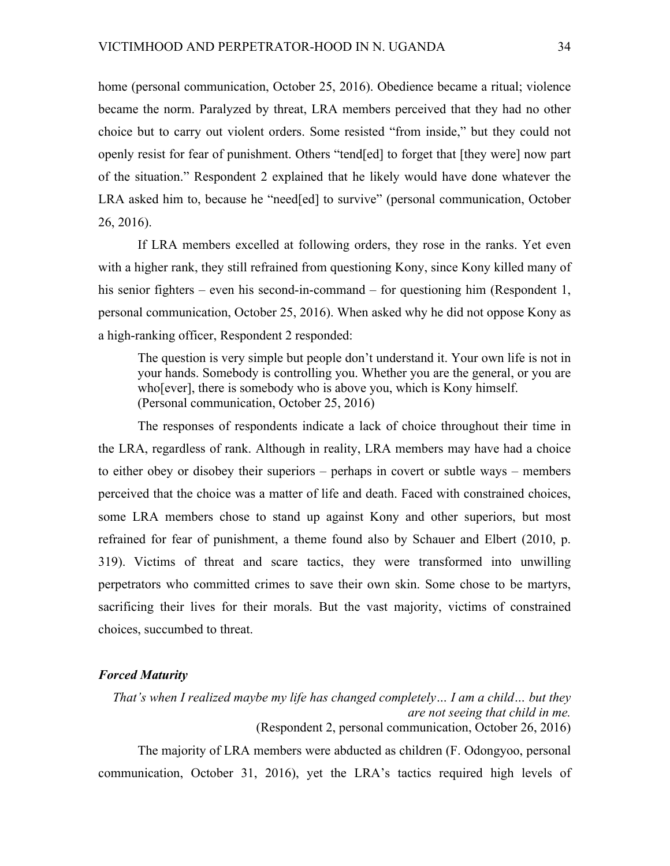home (personal communication, October 25, 2016). Obedience became a ritual; violence became the norm. Paralyzed by threat, LRA members perceived that they had no other choice but to carry out violent orders. Some resisted "from inside," but they could not openly resist for fear of punishment. Others "tend[ed] to forget that [they were] now part of the situation." Respondent 2 explained that he likely would have done whatever the LRA asked him to, because he "need[ed] to survive" (personal communication, October 26, 2016).

If LRA members excelled at following orders, they rose in the ranks. Yet even with a higher rank, they still refrained from questioning Kony, since Kony killed many of his senior fighters – even his second-in-command – for questioning him (Respondent 1, personal communication, October 25, 2016). When asked why he did not oppose Kony as a high-ranking officer, Respondent 2 responded:

The question is very simple but people don't understand it. Your own life is not in your hands. Somebody is controlling you. Whether you are the general, or you are who[ever], there is somebody who is above you, which is Kony himself. (Personal communication, October 25, 2016)

The responses of respondents indicate a lack of choice throughout their time in the LRA, regardless of rank. Although in reality, LRA members may have had a choice to either obey or disobey their superiors – perhaps in covert or subtle ways – members perceived that the choice was a matter of life and death. Faced with constrained choices, some LRA members chose to stand up against Kony and other superiors, but most refrained for fear of punishment, a theme found also by Schauer and Elbert (2010, p. 319). Victims of threat and scare tactics, they were transformed into unwilling perpetrators who committed crimes to save their own skin. Some chose to be martyrs, sacrificing their lives for their morals. But the vast majority, victims of constrained choices, succumbed to threat.

## *Forced Maturity*

*That's when I realized maybe my life has changed completely… I am a child… but they are not seeing that child in me.* (Respondent 2, personal communication, October 26, 2016) The majority of LRA members were abducted as children (F. Odongyoo, personal

communication, October 31, 2016), yet the LRA's tactics required high levels of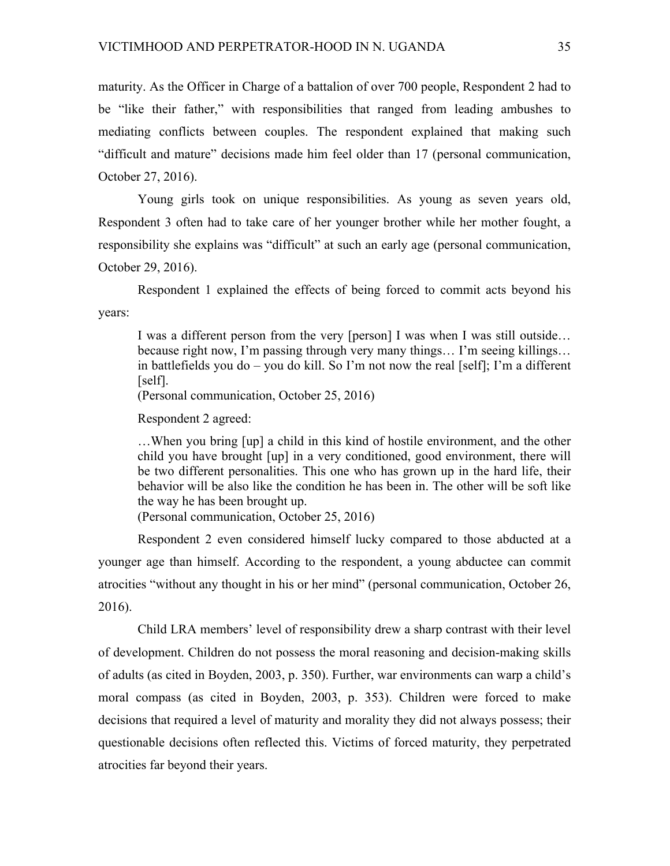maturity. As the Officer in Charge of a battalion of over 700 people, Respondent 2 had to be "like their father," with responsibilities that ranged from leading ambushes to mediating conflicts between couples. The respondent explained that making such "difficult and mature" decisions made him feel older than 17 (personal communication, October 27, 2016).

Young girls took on unique responsibilities. As young as seven years old, Respondent 3 often had to take care of her younger brother while her mother fought, a responsibility she explains was "difficult" at such an early age (personal communication, October 29, 2016).

Respondent 1 explained the effects of being forced to commit acts beyond his years:

I was a different person from the very [person] I was when I was still outside… because right now, I'm passing through very many things… I'm seeing killings… in battlefields you do – you do kill. So I'm not now the real [self]; I'm a different [self].

(Personal communication, October 25, 2016)

Respondent 2 agreed:

…When you bring [up] a child in this kind of hostile environment, and the other child you have brought [up] in a very conditioned, good environment, there will be two different personalities. This one who has grown up in the hard life, their behavior will be also like the condition he has been in. The other will be soft like the way he has been brought up.

(Personal communication, October 25, 2016)

Respondent 2 even considered himself lucky compared to those abducted at a younger age than himself. According to the respondent, a young abductee can commit atrocities "without any thought in his or her mind" (personal communication, October 26, 2016).

Child LRA members' level of responsibility drew a sharp contrast with their level of development. Children do not possess the moral reasoning and decision-making skills of adults (as cited in Boyden, 2003, p. 350). Further, war environments can warp a child's moral compass (as cited in Boyden, 2003, p. 353). Children were forced to make decisions that required a level of maturity and morality they did not always possess; their questionable decisions often reflected this. Victims of forced maturity, they perpetrated atrocities far beyond their years.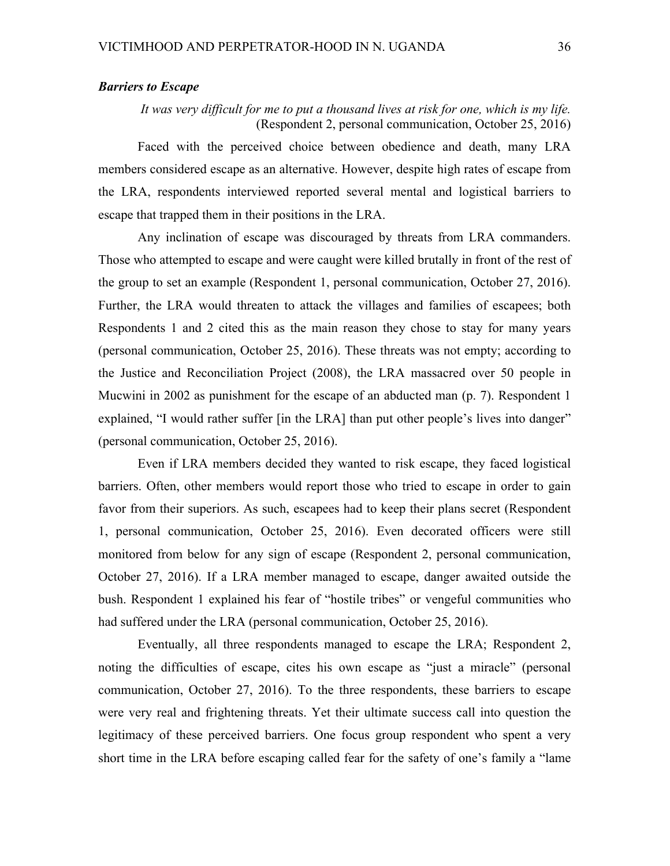## *Barriers to Escape*

*It was very difficult for me to put a thousand lives at risk for one, which is my life.* (Respondent 2, personal communication, October 25, 2016)

Faced with the perceived choice between obedience and death, many LRA members considered escape as an alternative. However, despite high rates of escape from the LRA, respondents interviewed reported several mental and logistical barriers to escape that trapped them in their positions in the LRA.

Any inclination of escape was discouraged by threats from LRA commanders. Those who attempted to escape and were caught were killed brutally in front of the rest of the group to set an example (Respondent 1, personal communication, October 27, 2016). Further, the LRA would threaten to attack the villages and families of escapees; both Respondents 1 and 2 cited this as the main reason they chose to stay for many years (personal communication, October 25, 2016). These threats was not empty; according to the Justice and Reconciliation Project (2008), the LRA massacred over 50 people in Mucwini in 2002 as punishment for the escape of an abducted man (p. 7). Respondent 1 explained, "I would rather suffer [in the LRA] than put other people's lives into danger" (personal communication, October 25, 2016).

Even if LRA members decided they wanted to risk escape, they faced logistical barriers. Often, other members would report those who tried to escape in order to gain favor from their superiors. As such, escapees had to keep their plans secret (Respondent 1, personal communication, October 25, 2016). Even decorated officers were still monitored from below for any sign of escape (Respondent 2, personal communication, October 27, 2016). If a LRA member managed to escape, danger awaited outside the bush. Respondent 1 explained his fear of "hostile tribes" or vengeful communities who had suffered under the LRA (personal communication, October 25, 2016).

Eventually, all three respondents managed to escape the LRA; Respondent 2, noting the difficulties of escape, cites his own escape as "just a miracle" (personal communication, October 27, 2016). To the three respondents, these barriers to escape were very real and frightening threats. Yet their ultimate success call into question the legitimacy of these perceived barriers. One focus group respondent who spent a very short time in the LRA before escaping called fear for the safety of one's family a "lame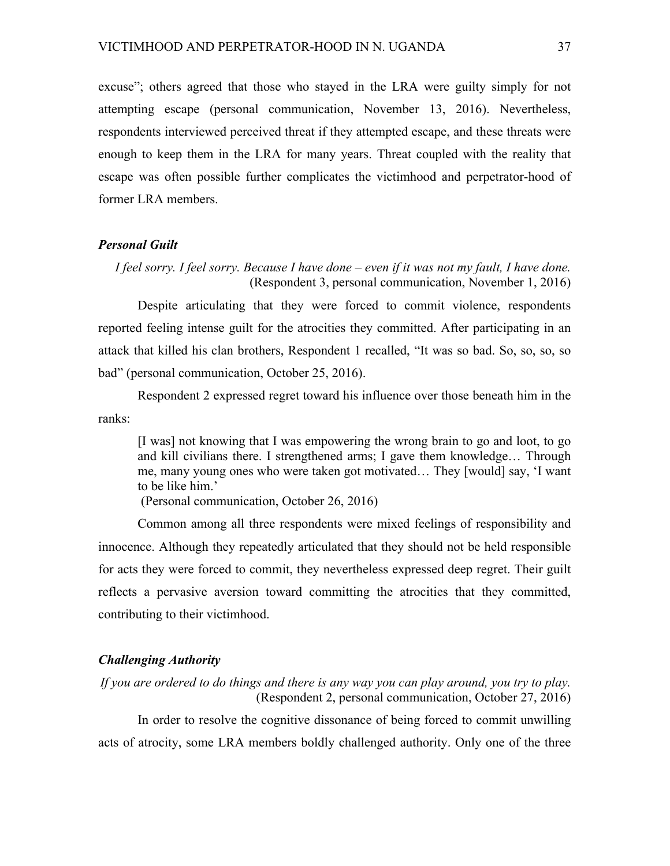excuse"; others agreed that those who stayed in the LRA were guilty simply for not attempting escape (personal communication, November 13, 2016). Nevertheless, respondents interviewed perceived threat if they attempted escape, and these threats were enough to keep them in the LRA for many years. Threat coupled with the reality that escape was often possible further complicates the victimhood and perpetrator-hood of former LRA members.

#### *Personal Guilt*

*I feel sorry. I feel sorry. Because I have done – even if it was not my fault, I have done.* (Respondent 3, personal communication, November 1, 2016)

Despite articulating that they were forced to commit violence, respondents reported feeling intense guilt for the atrocities they committed. After participating in an attack that killed his clan brothers, Respondent 1 recalled, "It was so bad. So, so, so, so bad" (personal communication, October 25, 2016).

Respondent 2 expressed regret toward his influence over those beneath him in the ranks:

[I was] not knowing that I was empowering the wrong brain to go and loot, to go and kill civilians there. I strengthened arms; I gave them knowledge… Through me, many young ones who were taken got motivated… They [would] say, 'I want to be like him.'

(Personal communication, October 26, 2016)

Common among all three respondents were mixed feelings of responsibility and innocence. Although they repeatedly articulated that they should not be held responsible for acts they were forced to commit, they nevertheless expressed deep regret. Their guilt reflects a pervasive aversion toward committing the atrocities that they committed, contributing to their victimhood.

## *Challenging Authority*

*If you are ordered to do things and there is any way you can play around, you try to play.* (Respondent 2, personal communication, October 27, 2016)

In order to resolve the cognitive dissonance of being forced to commit unwilling acts of atrocity, some LRA members boldly challenged authority. Only one of the three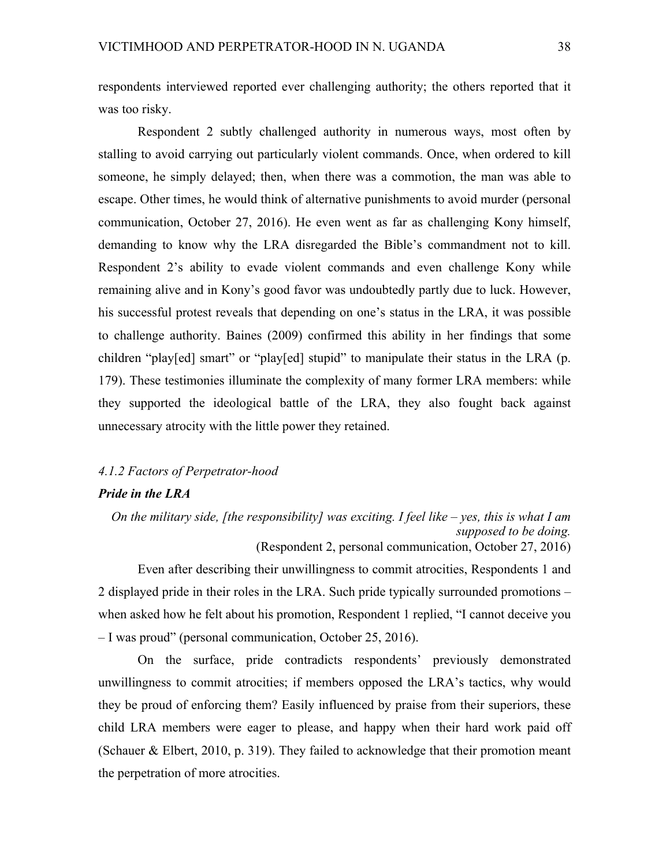respondents interviewed reported ever challenging authority; the others reported that it was too risky.

Respondent 2 subtly challenged authority in numerous ways, most often by stalling to avoid carrying out particularly violent commands. Once, when ordered to kill someone, he simply delayed; then, when there was a commotion, the man was able to escape. Other times, he would think of alternative punishments to avoid murder (personal communication, October 27, 2016). He even went as far as challenging Kony himself, demanding to know why the LRA disregarded the Bible's commandment not to kill. Respondent 2's ability to evade violent commands and even challenge Kony while remaining alive and in Kony's good favor was undoubtedly partly due to luck. However, his successful protest reveals that depending on one's status in the LRA, it was possible to challenge authority. Baines (2009) confirmed this ability in her findings that some children "play[ed] smart" or "play[ed] stupid" to manipulate their status in the LRA (p. 179). These testimonies illuminate the complexity of many former LRA members: while they supported the ideological battle of the LRA, they also fought back against unnecessary atrocity with the little power they retained.

# *4.1.2 Factors of Perpetrator-hood*

## *Pride in the LRA*

*On the military side, [the responsibility] was exciting. I feel like – yes, this is what I am supposed to be doing.* (Respondent 2, personal communication, October 27, 2016)

Even after describing their unwillingness to commit atrocities, Respondents 1 and 2 displayed pride in their roles in the LRA. Such pride typically surrounded promotions – when asked how he felt about his promotion, Respondent 1 replied, "I cannot deceive you – I was proud" (personal communication, October 25, 2016).

On the surface, pride contradicts respondents' previously demonstrated unwillingness to commit atrocities; if members opposed the LRA's tactics, why would they be proud of enforcing them? Easily influenced by praise from their superiors, these child LRA members were eager to please, and happy when their hard work paid off (Schauer & Elbert, 2010, p. 319). They failed to acknowledge that their promotion meant the perpetration of more atrocities.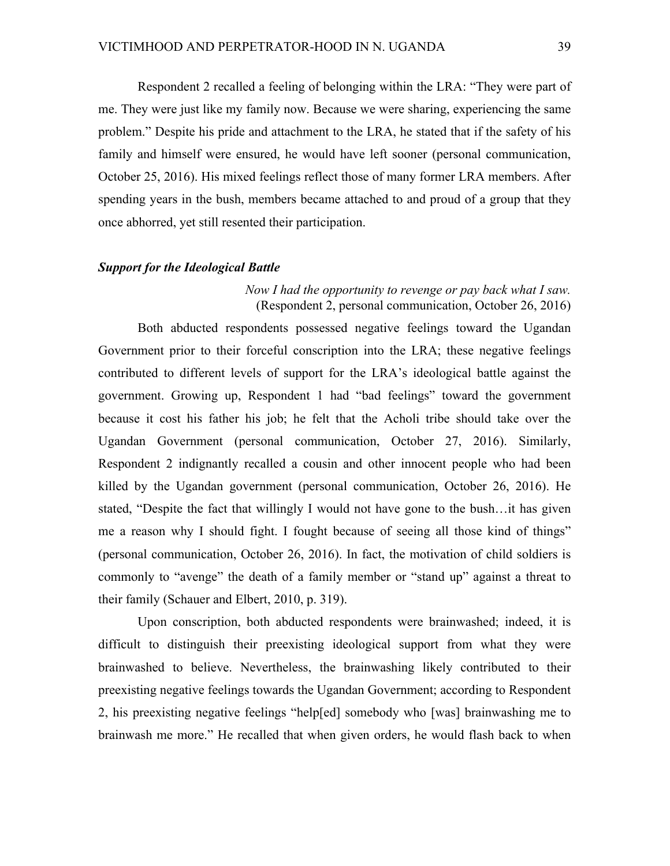Respondent 2 recalled a feeling of belonging within the LRA: "They were part of me. They were just like my family now. Because we were sharing, experiencing the same problem." Despite his pride and attachment to the LRA, he stated that if the safety of his family and himself were ensured, he would have left sooner (personal communication, October 25, 2016). His mixed feelings reflect those of many former LRA members. After spending years in the bush, members became attached to and proud of a group that they once abhorred, yet still resented their participation.

## *Support for the Ideological Battle*

## *Now I had the opportunity to revenge or pay back what I saw.* (Respondent 2, personal communication, October 26, 2016)

Both abducted respondents possessed negative feelings toward the Ugandan Government prior to their forceful conscription into the LRA; these negative feelings contributed to different levels of support for the LRA's ideological battle against the government. Growing up, Respondent 1 had "bad feelings" toward the government because it cost his father his job; he felt that the Acholi tribe should take over the Ugandan Government (personal communication, October 27, 2016). Similarly, Respondent 2 indignantly recalled a cousin and other innocent people who had been killed by the Ugandan government (personal communication, October 26, 2016). He stated, "Despite the fact that willingly I would not have gone to the bush…it has given me a reason why I should fight. I fought because of seeing all those kind of things" (personal communication, October 26, 2016). In fact, the motivation of child soldiers is commonly to "avenge" the death of a family member or "stand up" against a threat to their family (Schauer and Elbert, 2010, p. 319).

Upon conscription, both abducted respondents were brainwashed; indeed, it is difficult to distinguish their preexisting ideological support from what they were brainwashed to believe. Nevertheless, the brainwashing likely contributed to their preexisting negative feelings towards the Ugandan Government; according to Respondent 2, his preexisting negative feelings "help[ed] somebody who [was] brainwashing me to brainwash me more." He recalled that when given orders, he would flash back to when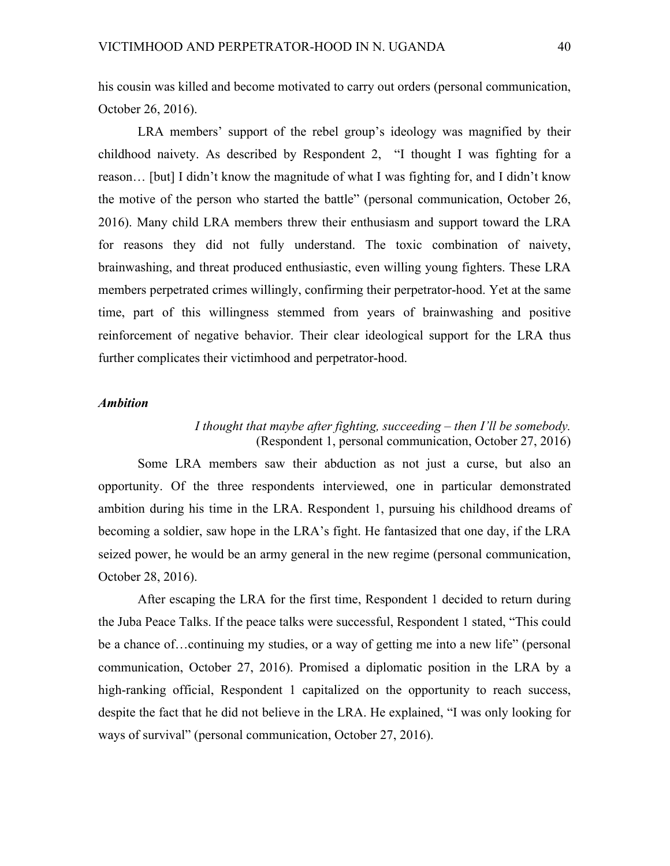his cousin was killed and become motivated to carry out orders (personal communication, October 26, 2016).

LRA members' support of the rebel group's ideology was magnified by their childhood naivety. As described by Respondent 2, "I thought I was fighting for a reason… [but] I didn't know the magnitude of what I was fighting for, and I didn't know the motive of the person who started the battle" (personal communication, October 26, 2016). Many child LRA members threw their enthusiasm and support toward the LRA for reasons they did not fully understand. The toxic combination of naivety, brainwashing, and threat produced enthusiastic, even willing young fighters. These LRA members perpetrated crimes willingly, confirming their perpetrator-hood. Yet at the same time, part of this willingness stemmed from years of brainwashing and positive reinforcement of negative behavior. Their clear ideological support for the LRA thus further complicates their victimhood and perpetrator-hood.

## *Ambition*

## *I thought that maybe after fighting, succeeding – then I'll be somebody.* (Respondent 1, personal communication, October 27, 2016)

Some LRA members saw their abduction as not just a curse, but also an opportunity. Of the three respondents interviewed, one in particular demonstrated ambition during his time in the LRA. Respondent 1, pursuing his childhood dreams of becoming a soldier, saw hope in the LRA's fight. He fantasized that one day, if the LRA seized power, he would be an army general in the new regime (personal communication, October 28, 2016).

After escaping the LRA for the first time, Respondent 1 decided to return during the Juba Peace Talks. If the peace talks were successful, Respondent 1 stated, "This could be a chance of…continuing my studies, or a way of getting me into a new life" (personal communication, October 27, 2016). Promised a diplomatic position in the LRA by a high-ranking official, Respondent 1 capitalized on the opportunity to reach success, despite the fact that he did not believe in the LRA. He explained, "I was only looking for ways of survival" (personal communication, October 27, 2016).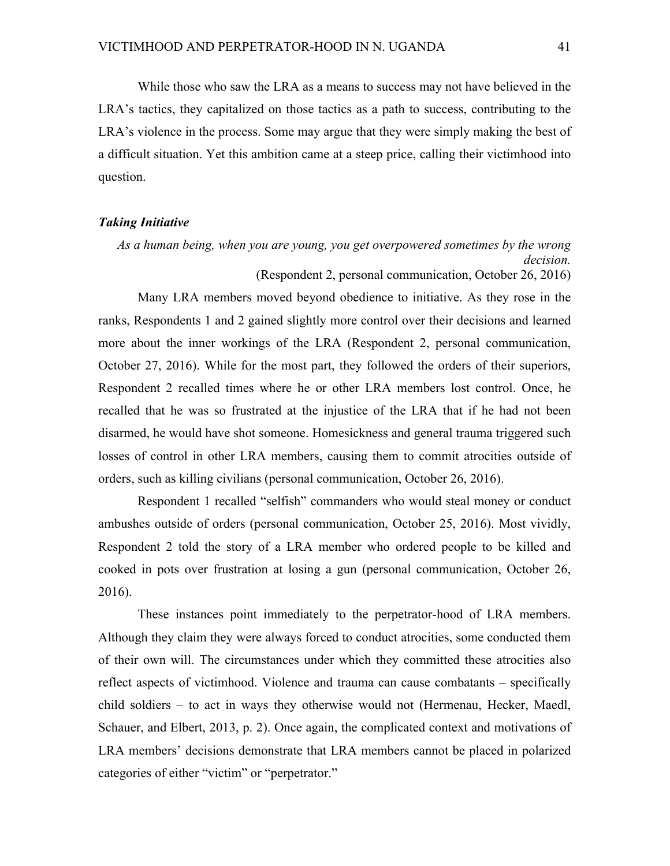While those who saw the LRA as a means to success may not have believed in the LRA's tactics, they capitalized on those tactics as a path to success, contributing to the LRA's violence in the process. Some may argue that they were simply making the best of a difficult situation. Yet this ambition came at a steep price, calling their victimhood into question.

#### *Taking Initiative*

*As a human being, when you are young, you get overpowered sometimes by the wrong decision.*  (Respondent 2, personal communication, October 26, 2016)

Many LRA members moved beyond obedience to initiative. As they rose in the ranks, Respondents 1 and 2 gained slightly more control over their decisions and learned more about the inner workings of the LRA (Respondent 2, personal communication, October 27, 2016). While for the most part, they followed the orders of their superiors, Respondent 2 recalled times where he or other LRA members lost control. Once, he recalled that he was so frustrated at the injustice of the LRA that if he had not been disarmed, he would have shot someone. Homesickness and general trauma triggered such losses of control in other LRA members, causing them to commit atrocities outside of orders, such as killing civilians (personal communication, October 26, 2016).

Respondent 1 recalled "selfish" commanders who would steal money or conduct ambushes outside of orders (personal communication, October 25, 2016). Most vividly, Respondent 2 told the story of a LRA member who ordered people to be killed and cooked in pots over frustration at losing a gun (personal communication, October 26, 2016).

These instances point immediately to the perpetrator-hood of LRA members. Although they claim they were always forced to conduct atrocities, some conducted them of their own will. The circumstances under which they committed these atrocities also reflect aspects of victimhood. Violence and trauma can cause combatants – specifically child soldiers – to act in ways they otherwise would not (Hermenau, Hecker, Maedl, Schauer, and Elbert, 2013, p. 2). Once again, the complicated context and motivations of LRA members' decisions demonstrate that LRA members cannot be placed in polarized categories of either "victim" or "perpetrator."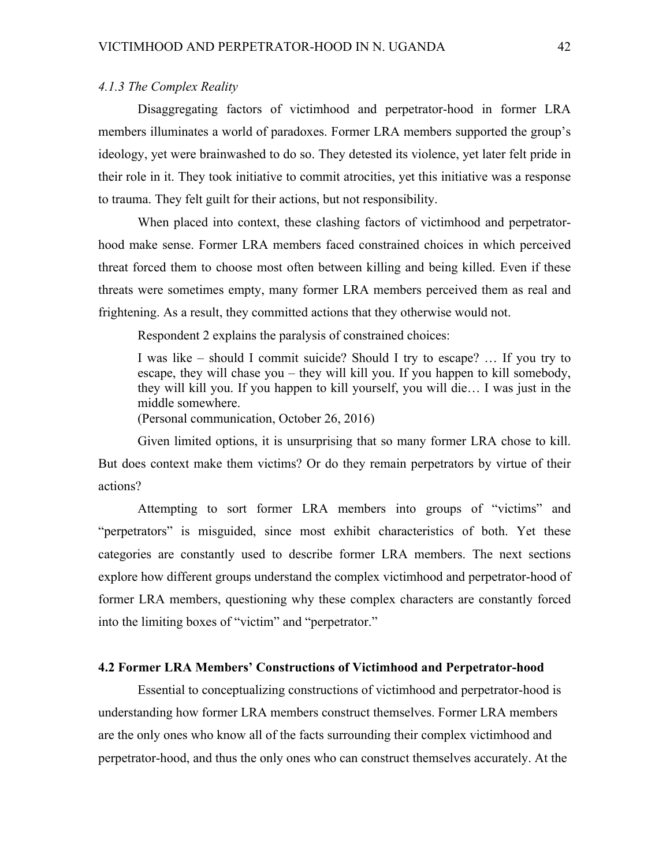## *4.1.3 The Complex Reality*

Disaggregating factors of victimhood and perpetrator-hood in former LRA members illuminates a world of paradoxes. Former LRA members supported the group's ideology, yet were brainwashed to do so. They detested its violence, yet later felt pride in their role in it. They took initiative to commit atrocities, yet this initiative was a response to trauma. They felt guilt for their actions, but not responsibility.

When placed into context, these clashing factors of victimhood and perpetratorhood make sense. Former LRA members faced constrained choices in which perceived threat forced them to choose most often between killing and being killed. Even if these threats were sometimes empty, many former LRA members perceived them as real and frightening. As a result, they committed actions that they otherwise would not.

Respondent 2 explains the paralysis of constrained choices:

I was like – should I commit suicide? Should I try to escape? … If you try to escape, they will chase you – they will kill you. If you happen to kill somebody, they will kill you. If you happen to kill yourself, you will die… I was just in the middle somewhere.

(Personal communication, October 26, 2016)

Given limited options, it is unsurprising that so many former LRA chose to kill. But does context make them victims? Or do they remain perpetrators by virtue of their actions?

Attempting to sort former LRA members into groups of "victims" and "perpetrators" is misguided, since most exhibit characteristics of both. Yet these categories are constantly used to describe former LRA members. The next sections explore how different groups understand the complex victimhood and perpetrator-hood of former LRA members, questioning why these complex characters are constantly forced into the limiting boxes of "victim" and "perpetrator."

#### **4.2 Former LRA Members' Constructions of Victimhood and Perpetrator-hood**

Essential to conceptualizing constructions of victimhood and perpetrator-hood is understanding how former LRA members construct themselves. Former LRA members are the only ones who know all of the facts surrounding their complex victimhood and perpetrator-hood, and thus the only ones who can construct themselves accurately. At the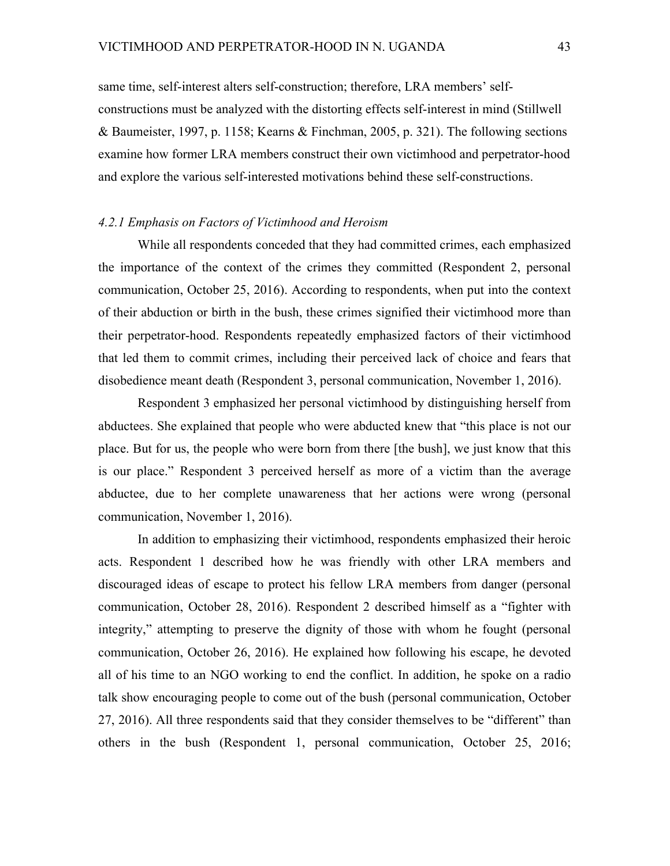same time, self-interest alters self-construction; therefore, LRA members' selfconstructions must be analyzed with the distorting effects self-interest in mind (Stillwell & Baumeister, 1997, p. 1158; Kearns & Finchman, 2005, p. 321). The following sections examine how former LRA members construct their own victimhood and perpetrator-hood and explore the various self-interested motivations behind these self-constructions.

#### *4.2.1 Emphasis on Factors of Victimhood and Heroism*

While all respondents conceded that they had committed crimes, each emphasized the importance of the context of the crimes they committed (Respondent 2, personal communication, October 25, 2016). According to respondents, when put into the context of their abduction or birth in the bush, these crimes signified their victimhood more than their perpetrator-hood. Respondents repeatedly emphasized factors of their victimhood that led them to commit crimes, including their perceived lack of choice and fears that disobedience meant death (Respondent 3, personal communication, November 1, 2016).

Respondent 3 emphasized her personal victimhood by distinguishing herself from abductees. She explained that people who were abducted knew that "this place is not our place. But for us, the people who were born from there [the bush], we just know that this is our place." Respondent 3 perceived herself as more of a victim than the average abductee, due to her complete unawareness that her actions were wrong (personal communication, November 1, 2016).

In addition to emphasizing their victimhood, respondents emphasized their heroic acts. Respondent 1 described how he was friendly with other LRA members and discouraged ideas of escape to protect his fellow LRA members from danger (personal communication, October 28, 2016). Respondent 2 described himself as a "fighter with integrity," attempting to preserve the dignity of those with whom he fought (personal communication, October 26, 2016). He explained how following his escape, he devoted all of his time to an NGO working to end the conflict. In addition, he spoke on a radio talk show encouraging people to come out of the bush (personal communication, October 27, 2016). All three respondents said that they consider themselves to be "different" than others in the bush (Respondent 1, personal communication, October 25, 2016;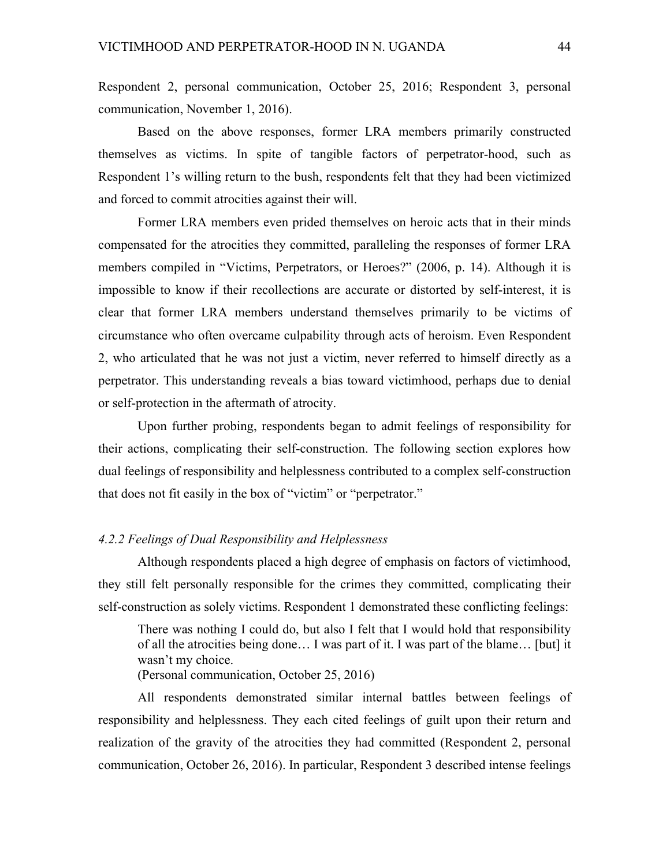Respondent 2, personal communication, October 25, 2016; Respondent 3, personal communication, November 1, 2016).

Based on the above responses, former LRA members primarily constructed themselves as victims. In spite of tangible factors of perpetrator-hood, such as Respondent 1's willing return to the bush, respondents felt that they had been victimized and forced to commit atrocities against their will.

Former LRA members even prided themselves on heroic acts that in their minds compensated for the atrocities they committed, paralleling the responses of former LRA members compiled in "Victims, Perpetrators, or Heroes?" (2006, p. 14). Although it is impossible to know if their recollections are accurate or distorted by self-interest, it is clear that former LRA members understand themselves primarily to be victims of circumstance who often overcame culpability through acts of heroism. Even Respondent 2, who articulated that he was not just a victim, never referred to himself directly as a perpetrator. This understanding reveals a bias toward victimhood, perhaps due to denial or self-protection in the aftermath of atrocity.

Upon further probing, respondents began to admit feelings of responsibility for their actions, complicating their self-construction. The following section explores how dual feelings of responsibility and helplessness contributed to a complex self-construction that does not fit easily in the box of "victim" or "perpetrator."

## *4.2.2 Feelings of Dual Responsibility and Helplessness*

Although respondents placed a high degree of emphasis on factors of victimhood, they still felt personally responsible for the crimes they committed, complicating their self-construction as solely victims. Respondent 1 demonstrated these conflicting feelings:

There was nothing I could do, but also I felt that I would hold that responsibility of all the atrocities being done… I was part of it. I was part of the blame… [but] it wasn't my choice. (Personal communication, October 25, 2016)

All respondents demonstrated similar internal battles between feelings of responsibility and helplessness. They each cited feelings of guilt upon their return and realization of the gravity of the atrocities they had committed (Respondent 2, personal communication, October 26, 2016). In particular, Respondent 3 described intense feelings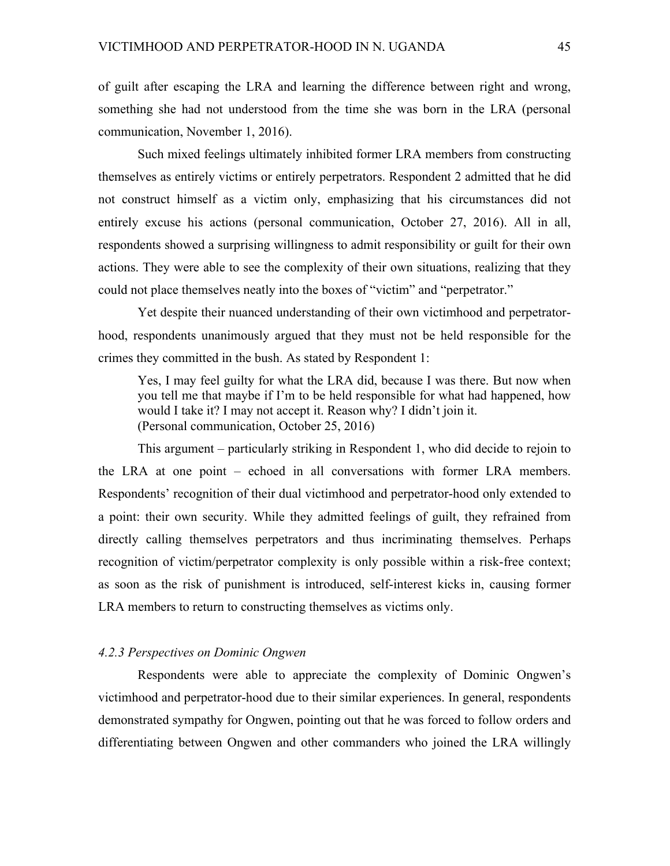of guilt after escaping the LRA and learning the difference between right and wrong, something she had not understood from the time she was born in the LRA (personal communication, November 1, 2016).

Such mixed feelings ultimately inhibited former LRA members from constructing themselves as entirely victims or entirely perpetrators. Respondent 2 admitted that he did not construct himself as a victim only, emphasizing that his circumstances did not entirely excuse his actions (personal communication, October 27, 2016). All in all, respondents showed a surprising willingness to admit responsibility or guilt for their own actions. They were able to see the complexity of their own situations, realizing that they could not place themselves neatly into the boxes of "victim" and "perpetrator."

Yet despite their nuanced understanding of their own victimhood and perpetratorhood, respondents unanimously argued that they must not be held responsible for the crimes they committed in the bush. As stated by Respondent 1:

Yes, I may feel guilty for what the LRA did, because I was there. But now when you tell me that maybe if I'm to be held responsible for what had happened, how would I take it? I may not accept it. Reason why? I didn't join it. (Personal communication, October 25, 2016)

This argument – particularly striking in Respondent 1, who did decide to rejoin to the LRA at one point – echoed in all conversations with former LRA members. Respondents' recognition of their dual victimhood and perpetrator-hood only extended to a point: their own security. While they admitted feelings of guilt, they refrained from directly calling themselves perpetrators and thus incriminating themselves. Perhaps recognition of victim/perpetrator complexity is only possible within a risk-free context; as soon as the risk of punishment is introduced, self-interest kicks in, causing former LRA members to return to constructing themselves as victims only.

## *4.2.3 Perspectives on Dominic Ongwen*

Respondents were able to appreciate the complexity of Dominic Ongwen's victimhood and perpetrator-hood due to their similar experiences. In general, respondents demonstrated sympathy for Ongwen, pointing out that he was forced to follow orders and differentiating between Ongwen and other commanders who joined the LRA willingly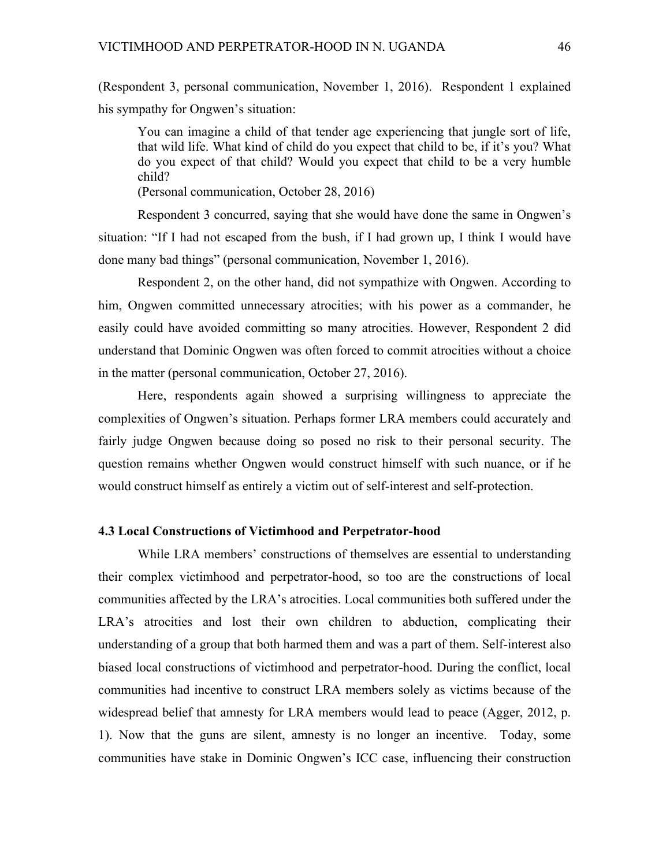(Respondent 3, personal communication, November 1, 2016). Respondent 1 explained his sympathy for Ongwen's situation:

You can imagine a child of that tender age experiencing that jungle sort of life, that wild life. What kind of child do you expect that child to be, if it's you? What do you expect of that child? Would you expect that child to be a very humble child?

(Personal communication, October 28, 2016)

Respondent 3 concurred, saying that she would have done the same in Ongwen's situation: "If I had not escaped from the bush, if I had grown up, I think I would have done many bad things" (personal communication, November 1, 2016).

Respondent 2, on the other hand, did not sympathize with Ongwen. According to him, Ongwen committed unnecessary atrocities; with his power as a commander, he easily could have avoided committing so many atrocities. However, Respondent 2 did understand that Dominic Ongwen was often forced to commit atrocities without a choice in the matter (personal communication, October 27, 2016).

Here, respondents again showed a surprising willingness to appreciate the complexities of Ongwen's situation. Perhaps former LRA members could accurately and fairly judge Ongwen because doing so posed no risk to their personal security. The question remains whether Ongwen would construct himself with such nuance, or if he would construct himself as entirely a victim out of self-interest and self-protection.

### **4.3 Local Constructions of Victimhood and Perpetrator-hood**

While LRA members' constructions of themselves are essential to understanding their complex victimhood and perpetrator-hood, so too are the constructions of local communities affected by the LRA's atrocities. Local communities both suffered under the LRA's atrocities and lost their own children to abduction, complicating their understanding of a group that both harmed them and was a part of them. Self-interest also biased local constructions of victimhood and perpetrator-hood. During the conflict, local communities had incentive to construct LRA members solely as victims because of the widespread belief that amnesty for LRA members would lead to peace (Agger, 2012, p. 1). Now that the guns are silent, amnesty is no longer an incentive. Today, some communities have stake in Dominic Ongwen's ICC case, influencing their construction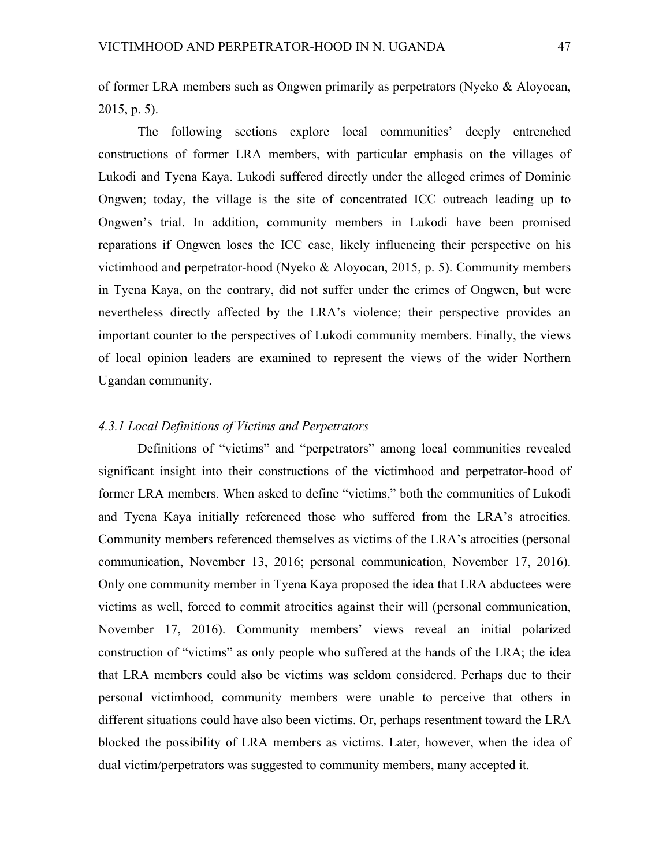of former LRA members such as Ongwen primarily as perpetrators (Nyeko & Aloyocan, 2015, p. 5).

The following sections explore local communities' deeply entrenched constructions of former LRA members, with particular emphasis on the villages of Lukodi and Tyena Kaya. Lukodi suffered directly under the alleged crimes of Dominic Ongwen; today, the village is the site of concentrated ICC outreach leading up to Ongwen's trial. In addition, community members in Lukodi have been promised reparations if Ongwen loses the ICC case, likely influencing their perspective on his victimhood and perpetrator-hood (Nyeko & Aloyocan, 2015, p. 5). Community members in Tyena Kaya, on the contrary, did not suffer under the crimes of Ongwen, but were nevertheless directly affected by the LRA's violence; their perspective provides an important counter to the perspectives of Lukodi community members. Finally, the views of local opinion leaders are examined to represent the views of the wider Northern Ugandan community.

### *4.3.1 Local Definitions of Victims and Perpetrators*

Definitions of "victims" and "perpetrators" among local communities revealed significant insight into their constructions of the victimhood and perpetrator-hood of former LRA members. When asked to define "victims," both the communities of Lukodi and Tyena Kaya initially referenced those who suffered from the LRA's atrocities. Community members referenced themselves as victims of the LRA's atrocities (personal communication, November 13, 2016; personal communication, November 17, 2016). Only one community member in Tyena Kaya proposed the idea that LRA abductees were victims as well, forced to commit atrocities against their will (personal communication, November 17, 2016). Community members' views reveal an initial polarized construction of "victims" as only people who suffered at the hands of the LRA; the idea that LRA members could also be victims was seldom considered. Perhaps due to their personal victimhood, community members were unable to perceive that others in different situations could have also been victims. Or, perhaps resentment toward the LRA blocked the possibility of LRA members as victims. Later, however, when the idea of dual victim/perpetrators was suggested to community members, many accepted it.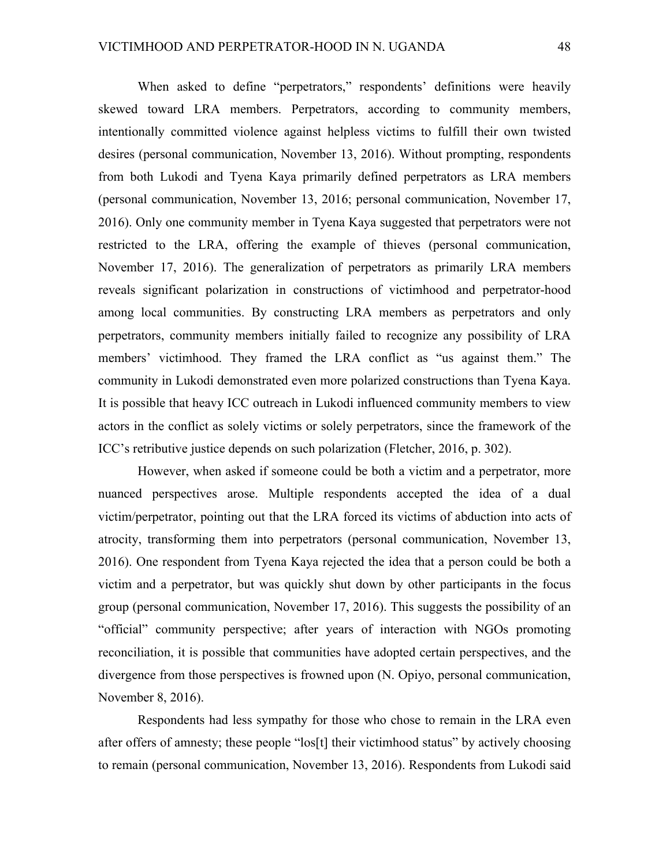When asked to define "perpetrators," respondents' definitions were heavily skewed toward LRA members. Perpetrators, according to community members, intentionally committed violence against helpless victims to fulfill their own twisted desires (personal communication, November 13, 2016). Without prompting, respondents from both Lukodi and Tyena Kaya primarily defined perpetrators as LRA members (personal communication, November 13, 2016; personal communication, November 17, 2016). Only one community member in Tyena Kaya suggested that perpetrators were not restricted to the LRA, offering the example of thieves (personal communication, November 17, 2016). The generalization of perpetrators as primarily LRA members reveals significant polarization in constructions of victimhood and perpetrator-hood among local communities. By constructing LRA members as perpetrators and only perpetrators, community members initially failed to recognize any possibility of LRA members' victimhood. They framed the LRA conflict as "us against them." The community in Lukodi demonstrated even more polarized constructions than Tyena Kaya. It is possible that heavy ICC outreach in Lukodi influenced community members to view actors in the conflict as solely victims or solely perpetrators, since the framework of the ICC's retributive justice depends on such polarization (Fletcher, 2016, p. 302).

However, when asked if someone could be both a victim and a perpetrator, more nuanced perspectives arose. Multiple respondents accepted the idea of a dual victim/perpetrator, pointing out that the LRA forced its victims of abduction into acts of atrocity, transforming them into perpetrators (personal communication, November 13, 2016). One respondent from Tyena Kaya rejected the idea that a person could be both a victim and a perpetrator, but was quickly shut down by other participants in the focus group (personal communication, November 17, 2016). This suggests the possibility of an "official" community perspective; after years of interaction with NGOs promoting reconciliation, it is possible that communities have adopted certain perspectives, and the divergence from those perspectives is frowned upon (N. Opiyo, personal communication, November 8, 2016).

Respondents had less sympathy for those who chose to remain in the LRA even after offers of amnesty; these people "los[t] their victimhood status" by actively choosing to remain (personal communication, November 13, 2016). Respondents from Lukodi said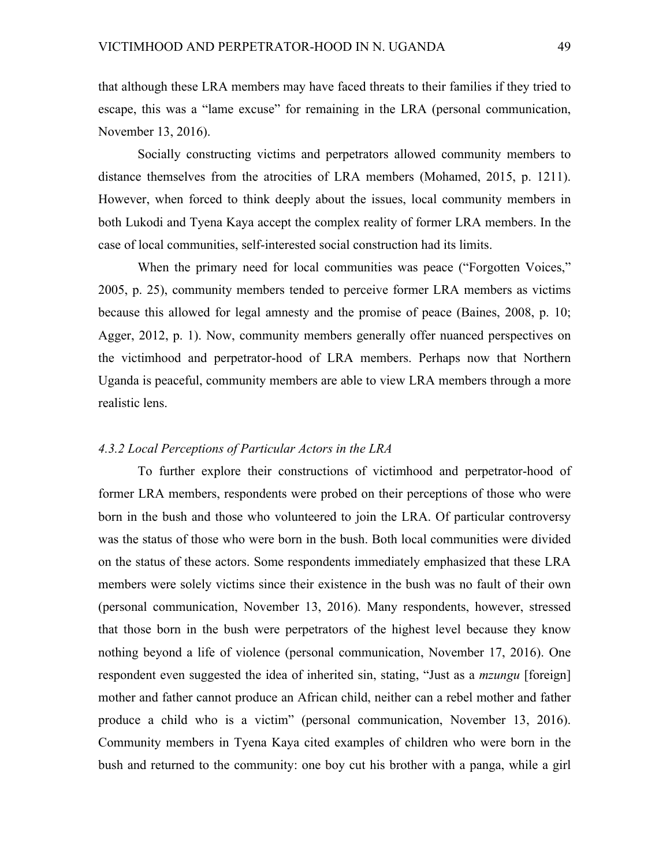that although these LRA members may have faced threats to their families if they tried to escape, this was a "lame excuse" for remaining in the LRA (personal communication, November 13, 2016).

Socially constructing victims and perpetrators allowed community members to distance themselves from the atrocities of LRA members (Mohamed, 2015, p. 1211). However, when forced to think deeply about the issues, local community members in both Lukodi and Tyena Kaya accept the complex reality of former LRA members. In the case of local communities, self-interested social construction had its limits.

When the primary need for local communities was peace ("Forgotten Voices," 2005, p. 25), community members tended to perceive former LRA members as victims because this allowed for legal amnesty and the promise of peace (Baines, 2008, p. 10; Agger, 2012, p. 1). Now, community members generally offer nuanced perspectives on the victimhood and perpetrator-hood of LRA members. Perhaps now that Northern Uganda is peaceful, community members are able to view LRA members through a more realistic lens.

## *4.3.2 Local Perceptions of Particular Actors in the LRA*

To further explore their constructions of victimhood and perpetrator-hood of former LRA members, respondents were probed on their perceptions of those who were born in the bush and those who volunteered to join the LRA. Of particular controversy was the status of those who were born in the bush. Both local communities were divided on the status of these actors. Some respondents immediately emphasized that these LRA members were solely victims since their existence in the bush was no fault of their own (personal communication, November 13, 2016). Many respondents, however, stressed that those born in the bush were perpetrators of the highest level because they know nothing beyond a life of violence (personal communication, November 17, 2016). One respondent even suggested the idea of inherited sin, stating, "Just as a *mzungu* [foreign] mother and father cannot produce an African child, neither can a rebel mother and father produce a child who is a victim" (personal communication, November 13, 2016). Community members in Tyena Kaya cited examples of children who were born in the bush and returned to the community: one boy cut his brother with a panga, while a girl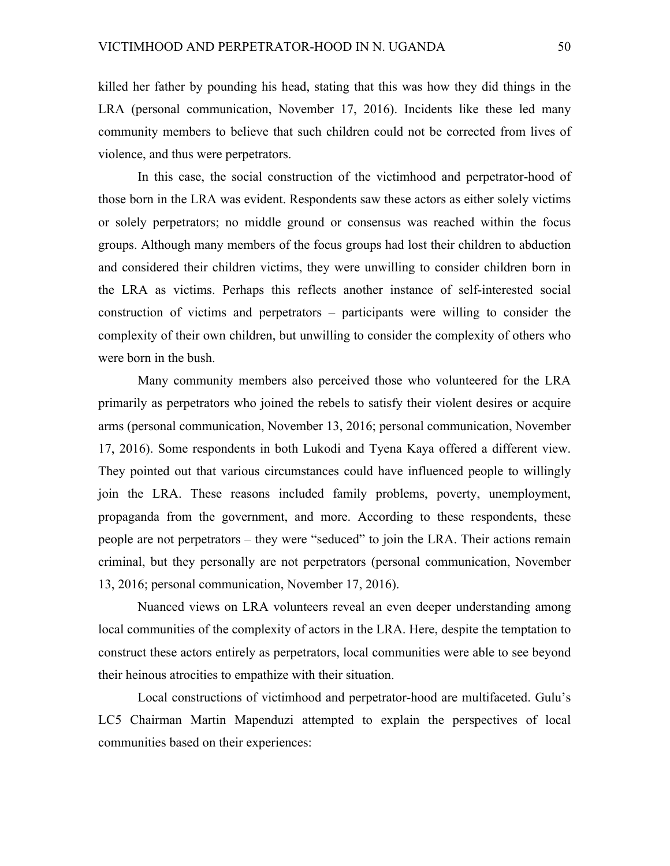killed her father by pounding his head, stating that this was how they did things in the LRA (personal communication, November 17, 2016). Incidents like these led many community members to believe that such children could not be corrected from lives of violence, and thus were perpetrators.

In this case, the social construction of the victimhood and perpetrator-hood of those born in the LRA was evident. Respondents saw these actors as either solely victims or solely perpetrators; no middle ground or consensus was reached within the focus groups. Although many members of the focus groups had lost their children to abduction and considered their children victims, they were unwilling to consider children born in the LRA as victims. Perhaps this reflects another instance of self-interested social construction of victims and perpetrators – participants were willing to consider the complexity of their own children, but unwilling to consider the complexity of others who were born in the bush.

Many community members also perceived those who volunteered for the LRA primarily as perpetrators who joined the rebels to satisfy their violent desires or acquire arms (personal communication, November 13, 2016; personal communication, November 17, 2016). Some respondents in both Lukodi and Tyena Kaya offered a different view. They pointed out that various circumstances could have influenced people to willingly join the LRA. These reasons included family problems, poverty, unemployment, propaganda from the government, and more. According to these respondents, these people are not perpetrators – they were "seduced" to join the LRA. Their actions remain criminal, but they personally are not perpetrators (personal communication, November 13, 2016; personal communication, November 17, 2016).

Nuanced views on LRA volunteers reveal an even deeper understanding among local communities of the complexity of actors in the LRA. Here, despite the temptation to construct these actors entirely as perpetrators, local communities were able to see beyond their heinous atrocities to empathize with their situation.

Local constructions of victimhood and perpetrator-hood are multifaceted. Gulu's LC5 Chairman Martin Mapenduzi attempted to explain the perspectives of local communities based on their experiences: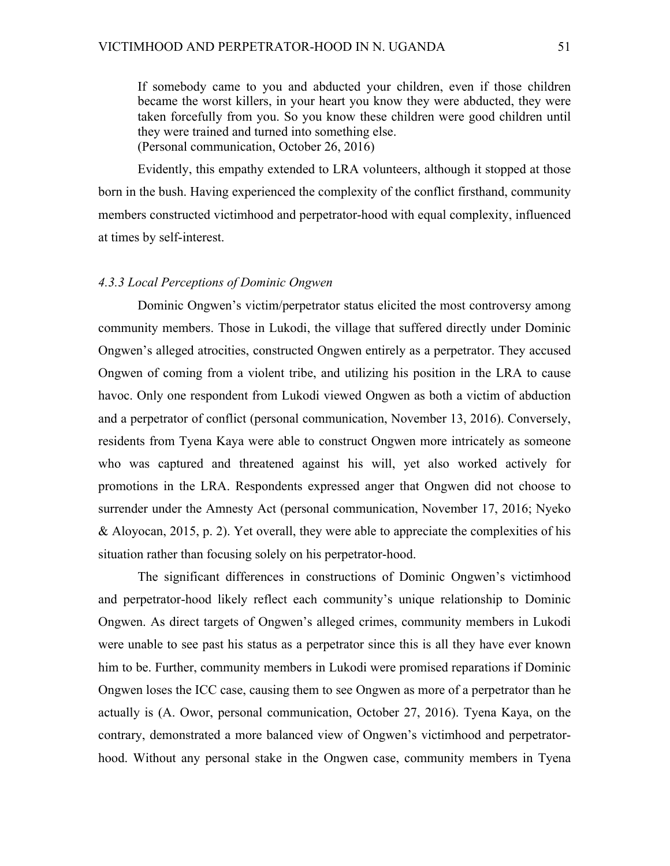If somebody came to you and abducted your children, even if those children became the worst killers, in your heart you know they were abducted, they were taken forcefully from you. So you know these children were good children until they were trained and turned into something else. (Personal communication, October 26, 2016)

Evidently, this empathy extended to LRA volunteers, although it stopped at those born in the bush. Having experienced the complexity of the conflict firsthand, community members constructed victimhood and perpetrator-hood with equal complexity, influenced at times by self-interest.

#### *4.3.3 Local Perceptions of Dominic Ongwen*

Dominic Ongwen's victim/perpetrator status elicited the most controversy among community members. Those in Lukodi, the village that suffered directly under Dominic Ongwen's alleged atrocities, constructed Ongwen entirely as a perpetrator. They accused Ongwen of coming from a violent tribe, and utilizing his position in the LRA to cause havoc. Only one respondent from Lukodi viewed Ongwen as both a victim of abduction and a perpetrator of conflict (personal communication, November 13, 2016). Conversely, residents from Tyena Kaya were able to construct Ongwen more intricately as someone who was captured and threatened against his will, yet also worked actively for promotions in the LRA. Respondents expressed anger that Ongwen did not choose to surrender under the Amnesty Act (personal communication, November 17, 2016; Nyeko & Aloyocan, 2015, p. 2). Yet overall, they were able to appreciate the complexities of his situation rather than focusing solely on his perpetrator-hood.

The significant differences in constructions of Dominic Ongwen's victimhood and perpetrator-hood likely reflect each community's unique relationship to Dominic Ongwen. As direct targets of Ongwen's alleged crimes, community members in Lukodi were unable to see past his status as a perpetrator since this is all they have ever known him to be. Further, community members in Lukodi were promised reparations if Dominic Ongwen loses the ICC case, causing them to see Ongwen as more of a perpetrator than he actually is (A. Owor, personal communication, October 27, 2016). Tyena Kaya, on the contrary, demonstrated a more balanced view of Ongwen's victimhood and perpetratorhood. Without any personal stake in the Ongwen case, community members in Tyena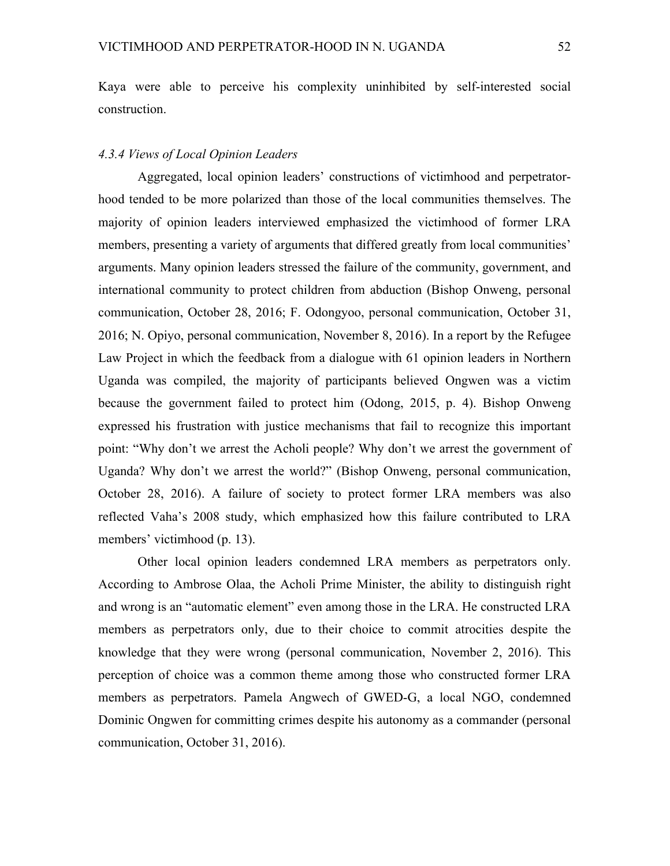Kaya were able to perceive his complexity uninhibited by self-interested social construction.

### *4.3.4 Views of Local Opinion Leaders*

Aggregated, local opinion leaders' constructions of victimhood and perpetratorhood tended to be more polarized than those of the local communities themselves. The majority of opinion leaders interviewed emphasized the victimhood of former LRA members, presenting a variety of arguments that differed greatly from local communities' arguments. Many opinion leaders stressed the failure of the community, government, and international community to protect children from abduction (Bishop Onweng, personal communication, October 28, 2016; F. Odongyoo, personal communication, October 31, 2016; N. Opiyo, personal communication, November 8, 2016). In a report by the Refugee Law Project in which the feedback from a dialogue with 61 opinion leaders in Northern Uganda was compiled, the majority of participants believed Ongwen was a victim because the government failed to protect him (Odong, 2015, p. 4). Bishop Onweng expressed his frustration with justice mechanisms that fail to recognize this important point: "Why don't we arrest the Acholi people? Why don't we arrest the government of Uganda? Why don't we arrest the world?" (Bishop Onweng, personal communication, October 28, 2016). A failure of society to protect former LRA members was also reflected Vaha's 2008 study, which emphasized how this failure contributed to LRA members' victimhood (p. 13).

Other local opinion leaders condemned LRA members as perpetrators only. According to Ambrose Olaa, the Acholi Prime Minister, the ability to distinguish right and wrong is an "automatic element" even among those in the LRA. He constructed LRA members as perpetrators only, due to their choice to commit atrocities despite the knowledge that they were wrong (personal communication, November 2, 2016). This perception of choice was a common theme among those who constructed former LRA members as perpetrators. Pamela Angwech of GWED-G, a local NGO, condemned Dominic Ongwen for committing crimes despite his autonomy as a commander (personal communication, October 31, 2016).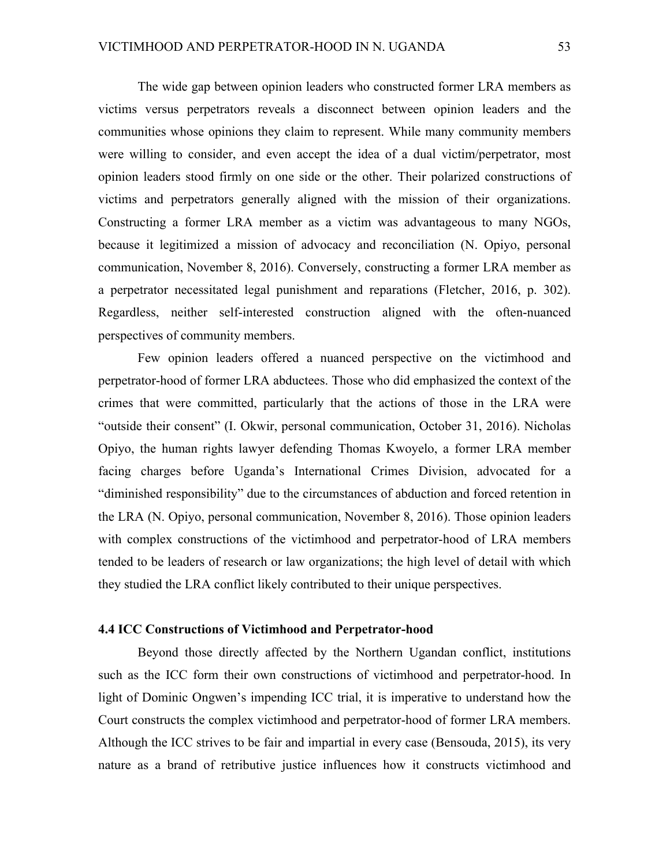The wide gap between opinion leaders who constructed former LRA members as victims versus perpetrators reveals a disconnect between opinion leaders and the communities whose opinions they claim to represent. While many community members were willing to consider, and even accept the idea of a dual victim/perpetrator, most opinion leaders stood firmly on one side or the other. Their polarized constructions of victims and perpetrators generally aligned with the mission of their organizations. Constructing a former LRA member as a victim was advantageous to many NGOs, because it legitimized a mission of advocacy and reconciliation (N. Opiyo, personal communication, November 8, 2016). Conversely, constructing a former LRA member as a perpetrator necessitated legal punishment and reparations (Fletcher, 2016, p. 302). Regardless, neither self-interested construction aligned with the often-nuanced perspectives of community members.

Few opinion leaders offered a nuanced perspective on the victimhood and perpetrator-hood of former LRA abductees. Those who did emphasized the context of the crimes that were committed, particularly that the actions of those in the LRA were "outside their consent" (I. Okwir, personal communication, October 31, 2016). Nicholas Opiyo, the human rights lawyer defending Thomas Kwoyelo, a former LRA member facing charges before Uganda's International Crimes Division, advocated for a "diminished responsibility" due to the circumstances of abduction and forced retention in the LRA (N. Opiyo, personal communication, November 8, 2016). Those opinion leaders with complex constructions of the victimhood and perpetrator-hood of LRA members tended to be leaders of research or law organizations; the high level of detail with which they studied the LRA conflict likely contributed to their unique perspectives.

#### **4.4 ICC Constructions of Victimhood and Perpetrator-hood**

Beyond those directly affected by the Northern Ugandan conflict, institutions such as the ICC form their own constructions of victimhood and perpetrator-hood. In light of Dominic Ongwen's impending ICC trial, it is imperative to understand how the Court constructs the complex victimhood and perpetrator-hood of former LRA members. Although the ICC strives to be fair and impartial in every case (Bensouda, 2015), its very nature as a brand of retributive justice influences how it constructs victimhood and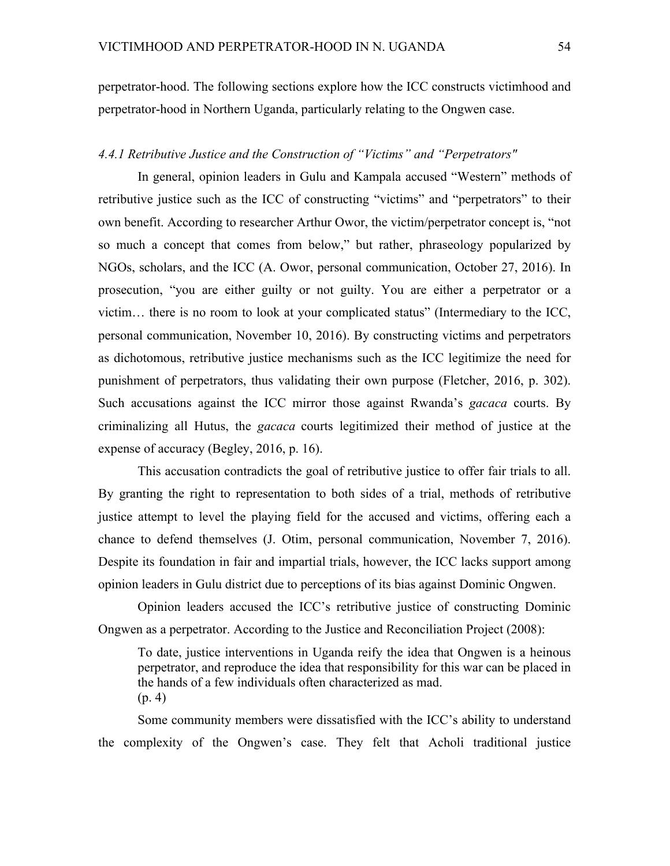perpetrator-hood. The following sections explore how the ICC constructs victimhood and perpetrator-hood in Northern Uganda, particularly relating to the Ongwen case.

### *4.4.1 Retributive Justice and the Construction of "Victims" and "Perpetrators"*

In general, opinion leaders in Gulu and Kampala accused "Western" methods of retributive justice such as the ICC of constructing "victims" and "perpetrators" to their own benefit. According to researcher Arthur Owor, the victim/perpetrator concept is, "not so much a concept that comes from below," but rather, phraseology popularized by NGOs, scholars, and the ICC (A. Owor, personal communication, October 27, 2016). In prosecution, "you are either guilty or not guilty. You are either a perpetrator or a victim… there is no room to look at your complicated status" (Intermediary to the ICC, personal communication, November 10, 2016). By constructing victims and perpetrators as dichotomous, retributive justice mechanisms such as the ICC legitimize the need for punishment of perpetrators, thus validating their own purpose (Fletcher, 2016, p. 302). Such accusations against the ICC mirror those against Rwanda's *gacaca* courts. By criminalizing all Hutus, the *gacaca* courts legitimized their method of justice at the expense of accuracy (Begley, 2016, p. 16).

This accusation contradicts the goal of retributive justice to offer fair trials to all. By granting the right to representation to both sides of a trial, methods of retributive justice attempt to level the playing field for the accused and victims, offering each a chance to defend themselves (J. Otim, personal communication, November 7, 2016). Despite its foundation in fair and impartial trials, however, the ICC lacks support among opinion leaders in Gulu district due to perceptions of its bias against Dominic Ongwen.

Opinion leaders accused the ICC's retributive justice of constructing Dominic Ongwen as a perpetrator. According to the Justice and Reconciliation Project (2008):

To date, justice interventions in Uganda reify the idea that Ongwen is a heinous perpetrator, and reproduce the idea that responsibility for this war can be placed in the hands of a few individuals often characterized as mad. (p. 4)

Some community members were dissatisfied with the ICC's ability to understand the complexity of the Ongwen's case. They felt that Acholi traditional justice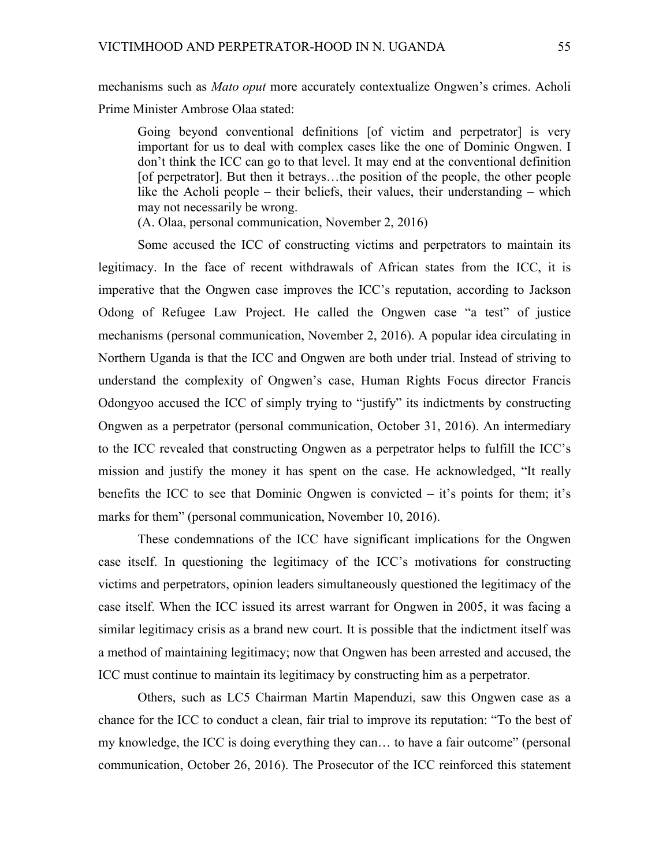mechanisms such as *Mato oput* more accurately contextualize Ongwen's crimes. Acholi Prime Minister Ambrose Olaa stated:

Going beyond conventional definitions [of victim and perpetrator] is very important for us to deal with complex cases like the one of Dominic Ongwen. I don't think the ICC can go to that level. It may end at the conventional definition [of perpetrator]. But then it betrays…the position of the people, the other people like the Acholi people – their beliefs, their values, their understanding – which may not necessarily be wrong.

(A. Olaa, personal communication, November 2, 2016)

Some accused the ICC of constructing victims and perpetrators to maintain its legitimacy. In the face of recent withdrawals of African states from the ICC, it is imperative that the Ongwen case improves the ICC's reputation, according to Jackson Odong of Refugee Law Project. He called the Ongwen case "a test" of justice mechanisms (personal communication, November 2, 2016). A popular idea circulating in Northern Uganda is that the ICC and Ongwen are both under trial. Instead of striving to understand the complexity of Ongwen's case, Human Rights Focus director Francis Odongyoo accused the ICC of simply trying to "justify" its indictments by constructing Ongwen as a perpetrator (personal communication, October 31, 2016). An intermediary to the ICC revealed that constructing Ongwen as a perpetrator helps to fulfill the ICC's mission and justify the money it has spent on the case. He acknowledged, "It really benefits the ICC to see that Dominic Ongwen is convicted  $-$  it's points for them; it's marks for them" (personal communication, November 10, 2016).

These condemnations of the ICC have significant implications for the Ongwen case itself. In questioning the legitimacy of the ICC's motivations for constructing victims and perpetrators, opinion leaders simultaneously questioned the legitimacy of the case itself. When the ICC issued its arrest warrant for Ongwen in 2005, it was facing a similar legitimacy crisis as a brand new court. It is possible that the indictment itself was a method of maintaining legitimacy; now that Ongwen has been arrested and accused, the ICC must continue to maintain its legitimacy by constructing him as a perpetrator.

Others, such as LC5 Chairman Martin Mapenduzi, saw this Ongwen case as a chance for the ICC to conduct a clean, fair trial to improve its reputation: "To the best of my knowledge, the ICC is doing everything they can… to have a fair outcome" (personal communication, October 26, 2016). The Prosecutor of the ICC reinforced this statement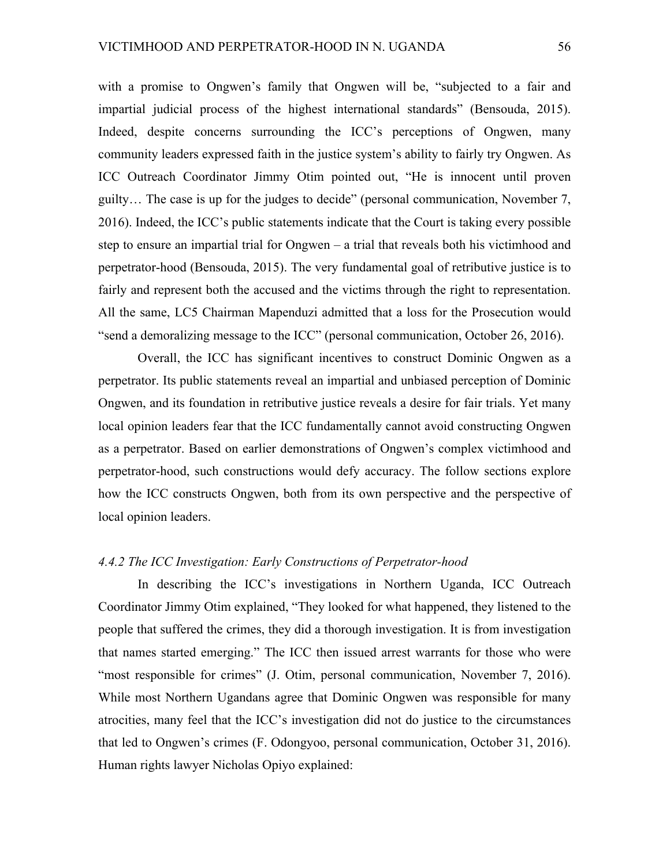with a promise to Ongwen's family that Ongwen will be, "subjected to a fair and impartial judicial process of the highest international standards" (Bensouda, 2015). Indeed, despite concerns surrounding the ICC's perceptions of Ongwen, many community leaders expressed faith in the justice system's ability to fairly try Ongwen. As ICC Outreach Coordinator Jimmy Otim pointed out, "He is innocent until proven guilty… The case is up for the judges to decide" (personal communication, November 7, 2016). Indeed, the ICC's public statements indicate that the Court is taking every possible step to ensure an impartial trial for Ongwen – a trial that reveals both his victimhood and perpetrator-hood (Bensouda, 2015). The very fundamental goal of retributive justice is to fairly and represent both the accused and the victims through the right to representation. All the same, LC5 Chairman Mapenduzi admitted that a loss for the Prosecution would "send a demoralizing message to the ICC" (personal communication, October 26, 2016).

Overall, the ICC has significant incentives to construct Dominic Ongwen as a perpetrator. Its public statements reveal an impartial and unbiased perception of Dominic Ongwen, and its foundation in retributive justice reveals a desire for fair trials. Yet many local opinion leaders fear that the ICC fundamentally cannot avoid constructing Ongwen as a perpetrator. Based on earlier demonstrations of Ongwen's complex victimhood and perpetrator-hood, such constructions would defy accuracy. The follow sections explore how the ICC constructs Ongwen, both from its own perspective and the perspective of local opinion leaders.

## *4.4.2 The ICC Investigation: Early Constructions of Perpetrator-hood*

In describing the ICC's investigations in Northern Uganda, ICC Outreach Coordinator Jimmy Otim explained, "They looked for what happened, they listened to the people that suffered the crimes, they did a thorough investigation. It is from investigation that names started emerging." The ICC then issued arrest warrants for those who were "most responsible for crimes" (J. Otim, personal communication, November 7, 2016). While most Northern Ugandans agree that Dominic Ongwen was responsible for many atrocities, many feel that the ICC's investigation did not do justice to the circumstances that led to Ongwen's crimes (F. Odongyoo, personal communication, October 31, 2016). Human rights lawyer Nicholas Opiyo explained: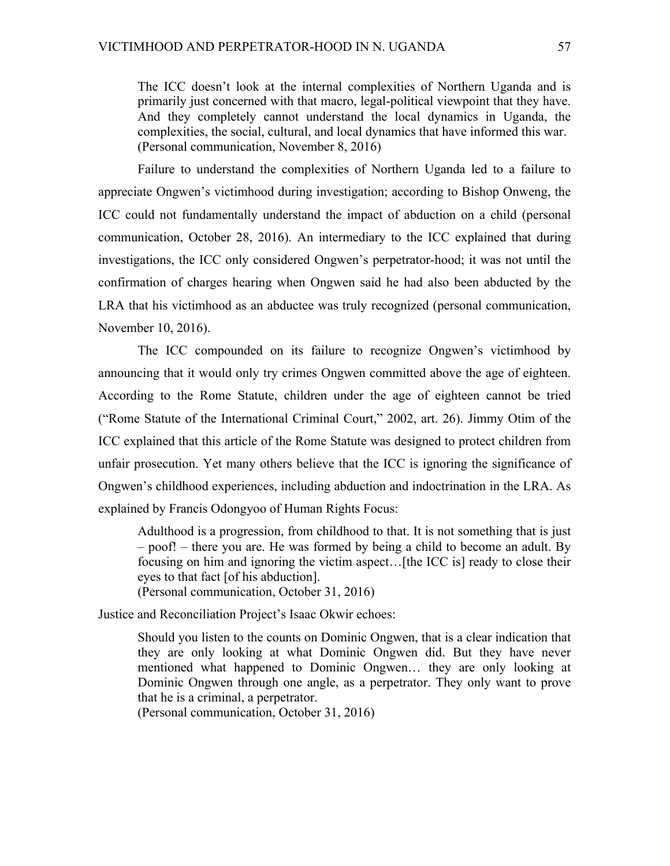The ICC doesn't look at the internal complexities of Northern Uganda and is primarily just concerned with that macro, legal-political viewpoint that they have. And they completely cannot understand the local dynamics in Uganda, the complexities, the social, cultural, and local dynamics that have informed this war. (Personal communication, November 8, 2016)

Failure to understand the complexities of Northern Uganda led to a failure to appreciate Ongwen's victimhood during investigation; according to Bishop Onweng, the ICC could not fundamentally understand the impact of abduction on a child (personal communication, October 28, 2016). An intermediary to the ICC explained that during investigations, the ICC only considered Ongwen's perpetrator-hood; it was not until the confirmation of charges hearing when Ongwen said he had also been abducted by the LRA that his victimhood as an abductee was truly recognized (personal communication, November 10, 2016).

The ICC compounded on its failure to recognize Ongwen's victimhood by announcing that it would only try crimes Ongwen committed above the age of eighteen. According to the Rome Statute, children under the age of eighteen cannot be tried ("Rome Statute of the International Criminal Court," 2002, art. 26). Jimmy Otim of the ICC explained that this article of the Rome Statute was designed to protect children from unfair prosecution. Yet many others believe that the ICC is ignoring the significance of Ongwen's childhood experiences, including abduction and indoctrination in the LRA. As explained by Francis Odongyoo of Human Rights Focus:

Adulthood is a progression, from childhood to that. It is not something that is just – poof! – there you are. He was formed by being a child to become an adult. By focusing on him and ignoring the victim aspect…[the ICC is] ready to close their eyes to that fact [of his abduction]. (Personal communication, October 31, 2016)

Justice and Reconciliation Project's Isaac Okwir echoes:

Should you listen to the counts on Dominic Ongwen, that is a clear indication that they are only looking at what Dominic Ongwen did. But they have never mentioned what happened to Dominic Ongwen… they are only looking at Dominic Ongwen through one angle, as a perpetrator. They only want to prove that he is a criminal, a perpetrator.

(Personal communication, October 31, 2016)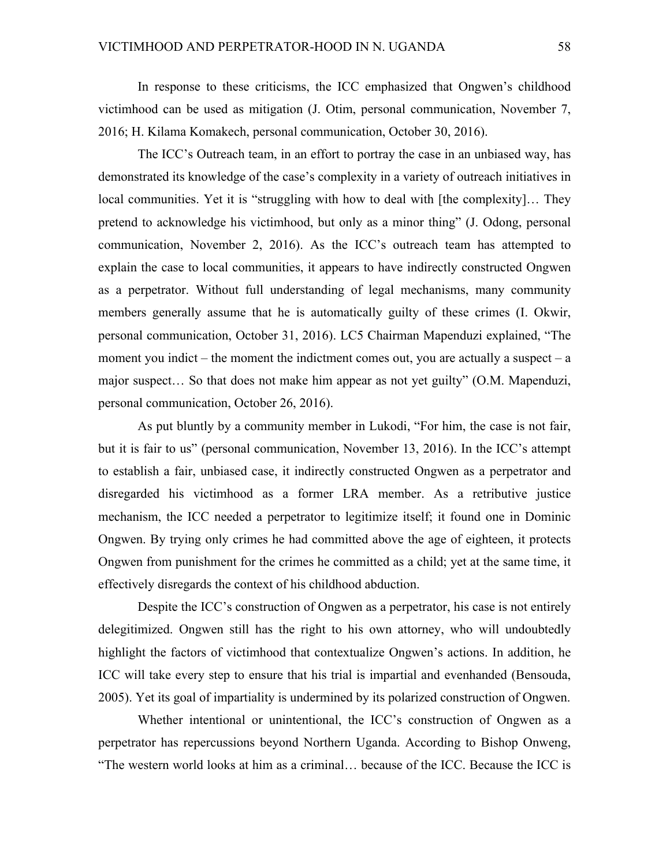In response to these criticisms, the ICC emphasized that Ongwen's childhood victimhood can be used as mitigation (J. Otim, personal communication, November 7, 2016; H. Kilama Komakech, personal communication, October 30, 2016).

The ICC's Outreach team, in an effort to portray the case in an unbiased way, has demonstrated its knowledge of the case's complexity in a variety of outreach initiatives in local communities. Yet it is "struggling with how to deal with [the complexity]… They pretend to acknowledge his victimhood, but only as a minor thing" (J. Odong, personal communication, November 2, 2016). As the ICC's outreach team has attempted to explain the case to local communities, it appears to have indirectly constructed Ongwen as a perpetrator. Without full understanding of legal mechanisms, many community members generally assume that he is automatically guilty of these crimes (I. Okwir, personal communication, October 31, 2016). LC5 Chairman Mapenduzi explained, "The moment you indict – the moment the indictment comes out, you are actually a suspect –  $a$ major suspect… So that does not make him appear as not yet guilty" (O.M. Mapenduzi, personal communication, October 26, 2016).

As put bluntly by a community member in Lukodi, "For him, the case is not fair, but it is fair to us" (personal communication, November 13, 2016). In the ICC's attempt to establish a fair, unbiased case, it indirectly constructed Ongwen as a perpetrator and disregarded his victimhood as a former LRA member. As a retributive justice mechanism, the ICC needed a perpetrator to legitimize itself; it found one in Dominic Ongwen. By trying only crimes he had committed above the age of eighteen, it protects Ongwen from punishment for the crimes he committed as a child; yet at the same time, it effectively disregards the context of his childhood abduction.

Despite the ICC's construction of Ongwen as a perpetrator, his case is not entirely delegitimized. Ongwen still has the right to his own attorney, who will undoubtedly highlight the factors of victimhood that contextualize Ongwen's actions. In addition, he ICC will take every step to ensure that his trial is impartial and evenhanded (Bensouda, 2005). Yet its goal of impartiality is undermined by its polarized construction of Ongwen.

Whether intentional or unintentional, the ICC's construction of Ongwen as a perpetrator has repercussions beyond Northern Uganda. According to Bishop Onweng, "The western world looks at him as a criminal… because of the ICC. Because the ICC is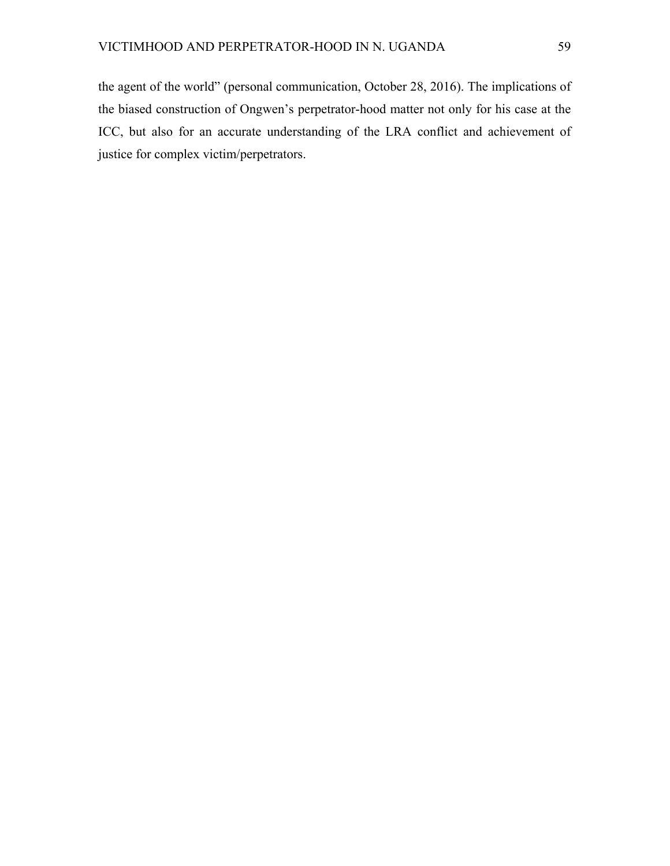the agent of the world" (personal communication, October 28, 2016). The implications of the biased construction of Ongwen's perpetrator-hood matter not only for his case at the ICC, but also for an accurate understanding of the LRA conflict and achievement of justice for complex victim/perpetrators.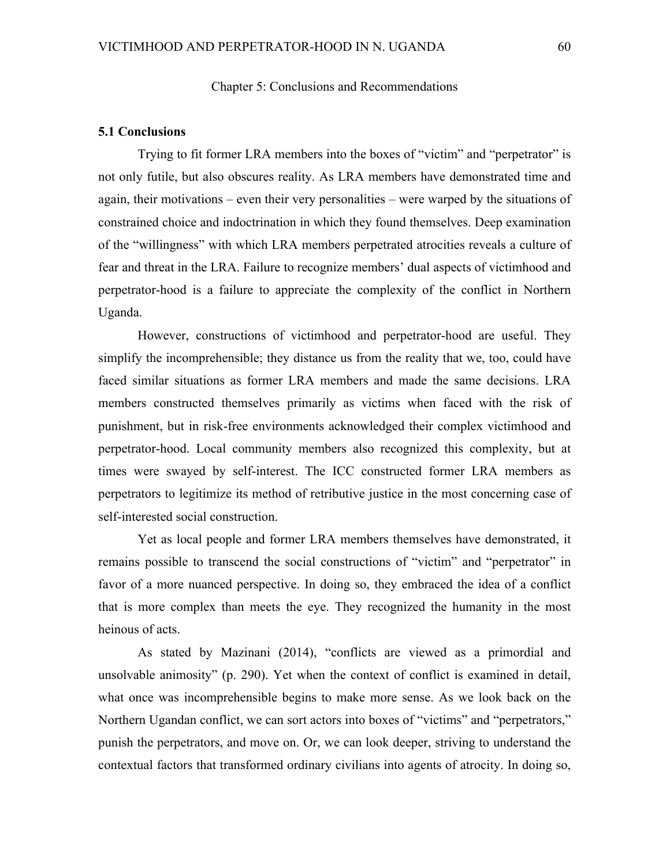### Chapter 5: Conclusions and Recommendations

#### **5.1 Conclusions**

Trying to fit former LRA members into the boxes of "victim" and "perpetrator" is not only futile, but also obscures reality. As LRA members have demonstrated time and again, their motivations – even their very personalities – were warped by the situations of constrained choice and indoctrination in which they found themselves. Deep examination of the "willingness" with which LRA members perpetrated atrocities reveals a culture of fear and threat in the LRA. Failure to recognize members' dual aspects of victimhood and perpetrator-hood is a failure to appreciate the complexity of the conflict in Northern Uganda.

However, constructions of victimhood and perpetrator-hood are useful. They simplify the incomprehensible; they distance us from the reality that we, too, could have faced similar situations as former LRA members and made the same decisions. LRA members constructed themselves primarily as victims when faced with the risk of punishment, but in risk-free environments acknowledged their complex victimhood and perpetrator-hood. Local community members also recognized this complexity, but at times were swayed by self-interest. The ICC constructed former LRA members as perpetrators to legitimize its method of retributive justice in the most concerning case of self-interested social construction.

Yet as local people and former LRA members themselves have demonstrated, it remains possible to transcend the social constructions of "victim" and "perpetrator" in favor of a more nuanced perspective. In doing so, they embraced the idea of a conflict that is more complex than meets the eye. They recognized the humanity in the most heinous of acts.

As stated by Mazinani (2014), "conflicts are viewed as a primordial and unsolvable animosity" (p. 290). Yet when the context of conflict is examined in detail, what once was incomprehensible begins to make more sense. As we look back on the Northern Ugandan conflict, we can sort actors into boxes of "victims" and "perpetrators," punish the perpetrators, and move on. Or, we can look deeper, striving to understand the contextual factors that transformed ordinary civilians into agents of atrocity. In doing so,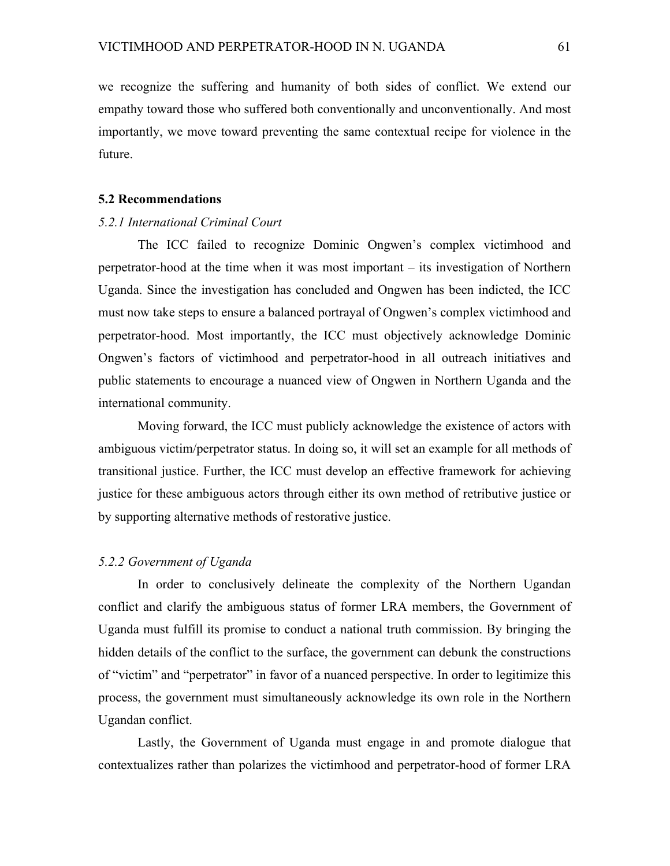we recognize the suffering and humanity of both sides of conflict. We extend our empathy toward those who suffered both conventionally and unconventionally. And most importantly, we move toward preventing the same contextual recipe for violence in the future.

#### **5.2 Recommendations**

## *5.2.1 International Criminal Court*

The ICC failed to recognize Dominic Ongwen's complex victimhood and perpetrator-hood at the time when it was most important – its investigation of Northern Uganda. Since the investigation has concluded and Ongwen has been indicted, the ICC must now take steps to ensure a balanced portrayal of Ongwen's complex victimhood and perpetrator-hood. Most importantly, the ICC must objectively acknowledge Dominic Ongwen's factors of victimhood and perpetrator-hood in all outreach initiatives and public statements to encourage a nuanced view of Ongwen in Northern Uganda and the international community.

Moving forward, the ICC must publicly acknowledge the existence of actors with ambiguous victim/perpetrator status. In doing so, it will set an example for all methods of transitional justice. Further, the ICC must develop an effective framework for achieving justice for these ambiguous actors through either its own method of retributive justice or by supporting alternative methods of restorative justice.

## *5.2.2 Government of Uganda*

In order to conclusively delineate the complexity of the Northern Ugandan conflict and clarify the ambiguous status of former LRA members, the Government of Uganda must fulfill its promise to conduct a national truth commission. By bringing the hidden details of the conflict to the surface, the government can debunk the constructions of "victim" and "perpetrator" in favor of a nuanced perspective. In order to legitimize this process, the government must simultaneously acknowledge its own role in the Northern Ugandan conflict.

Lastly, the Government of Uganda must engage in and promote dialogue that contextualizes rather than polarizes the victimhood and perpetrator-hood of former LRA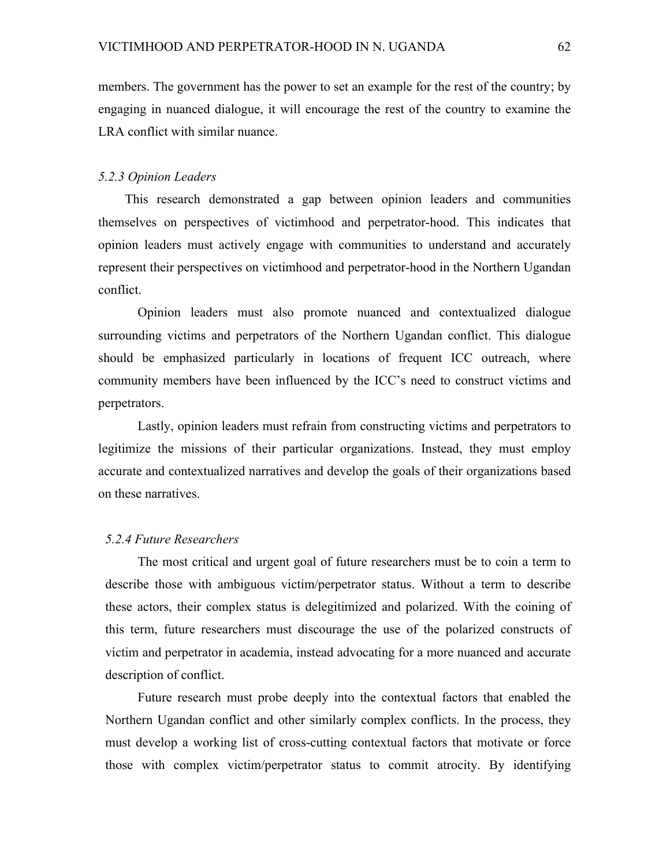members. The government has the power to set an example for the rest of the country; by engaging in nuanced dialogue, it will encourage the rest of the country to examine the LRA conflict with similar nuance.

#### *5.2.3 Opinion Leaders*

This research demonstrated a gap between opinion leaders and communities themselves on perspectives of victimhood and perpetrator-hood. This indicates that opinion leaders must actively engage with communities to understand and accurately represent their perspectives on victimhood and perpetrator-hood in the Northern Ugandan conflict.

Opinion leaders must also promote nuanced and contextualized dialogue surrounding victims and perpetrators of the Northern Ugandan conflict. This dialogue should be emphasized particularly in locations of frequent ICC outreach, where community members have been influenced by the ICC's need to construct victims and perpetrators.

Lastly, opinion leaders must refrain from constructing victims and perpetrators to legitimize the missions of their particular organizations. Instead, they must employ accurate and contextualized narratives and develop the goals of their organizations based on these narratives.

## *5.2.4 Future Researchers*

The most critical and urgent goal of future researchers must be to coin a term to describe those with ambiguous victim/perpetrator status. Without a term to describe these actors, their complex status is delegitimized and polarized. With the coining of this term, future researchers must discourage the use of the polarized constructs of victim and perpetrator in academia, instead advocating for a more nuanced and accurate description of conflict.

Future research must probe deeply into the contextual factors that enabled the Northern Ugandan conflict and other similarly complex conflicts. In the process, they must develop a working list of cross-cutting contextual factors that motivate or force those with complex victim/perpetrator status to commit atrocity. By identifying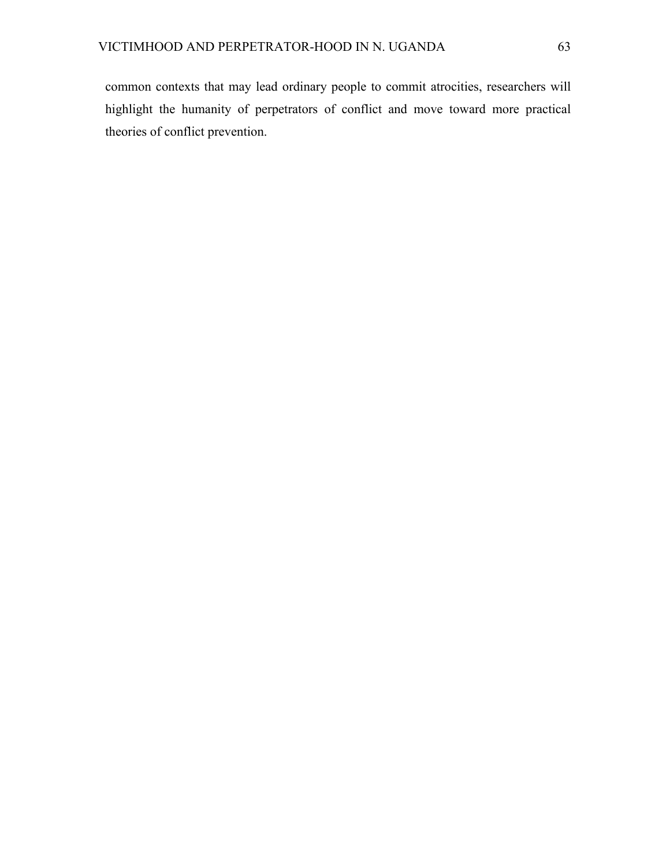common contexts that may lead ordinary people to commit atrocities, researchers will highlight the humanity of perpetrators of conflict and move toward more practical theories of conflict prevention.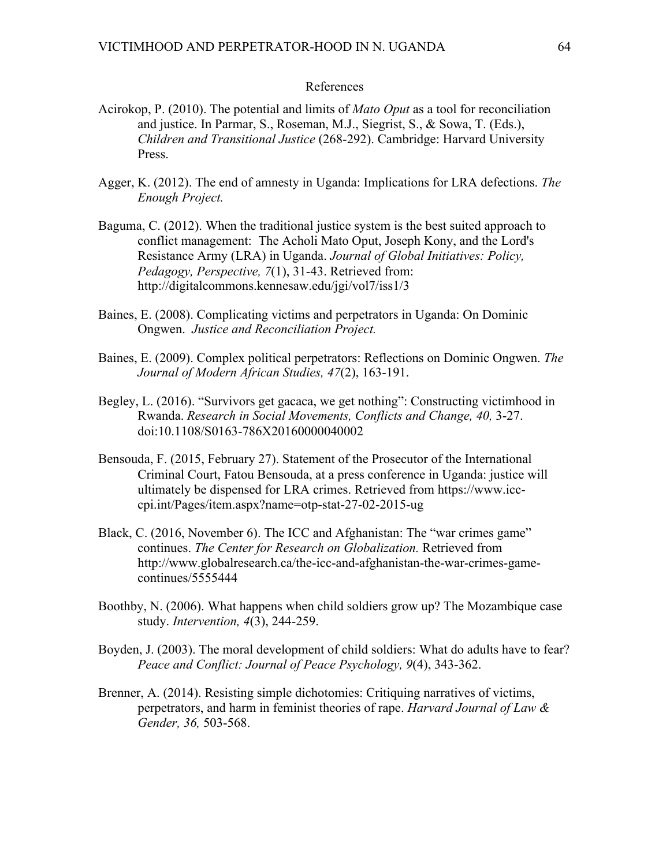## References

- Acirokop, P. (2010). The potential and limits of *Mato Oput* as a tool for reconciliation and justice. In Parmar, S., Roseman, M.J., Siegrist, S., & Sowa, T. (Eds.), *Children and Transitional Justice* (268-292). Cambridge: Harvard University Press.
- Agger, K. (2012). The end of amnesty in Uganda: Implications for LRA defections. *The Enough Project.*
- Baguma, C. (2012). When the traditional justice system is the best suited approach to conflict management: The Acholi Mato Oput, Joseph Kony, and the Lord's Resistance Army (LRA) in Uganda. *Journal of Global Initiatives: Policy, Pedagogy, Perspective, 7*(1), 31-43. Retrieved from: http://digitalcommons.kennesaw.edu/jgi/vol7/iss1/3
- Baines, E. (2008). Complicating victims and perpetrators in Uganda: On Dominic Ongwen. *Justice and Reconciliation Project.*
- Baines, E. (2009). Complex political perpetrators: Reflections on Dominic Ongwen. *The Journal of Modern African Studies, 47*(2), 163-191.
- Begley, L. (2016). "Survivors get gacaca, we get nothing": Constructing victimhood in Rwanda. *Research in Social Movements, Conflicts and Change, 40,* 3-27. doi:10.1108/S0163-786X20160000040002
- Bensouda, F. (2015, February 27). Statement of the Prosecutor of the International Criminal Court, Fatou Bensouda, at a press conference in Uganda: justice will ultimately be dispensed for LRA crimes. Retrieved from https://www.icccpi.int/Pages/item.aspx?name=otp-stat-27-02-2015-ug
- Black, C. (2016, November 6). The ICC and Afghanistan: The "war crimes game" continues. *The Center for Research on Globalization.* Retrieved from http://www.globalresearch.ca/the-icc-and-afghanistan-the-war-crimes-gamecontinues/5555444
- Boothby, N. (2006). What happens when child soldiers grow up? The Mozambique case study. *Intervention, 4*(3), 244-259.
- Boyden, J. (2003). The moral development of child soldiers: What do adults have to fear? *Peace and Conflict: Journal of Peace Psychology, 9*(4), 343-362.
- Brenner, A. (2014). Resisting simple dichotomies: Critiquing narratives of victims, perpetrators, and harm in feminist theories of rape. *Harvard Journal of Law & Gender, 36,* 503-568.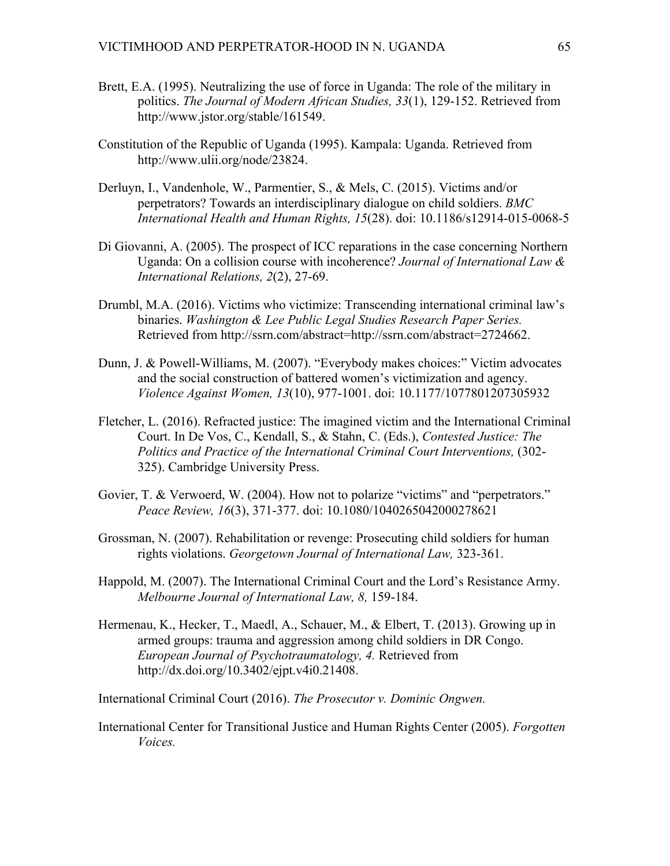- Brett, E.A. (1995). Neutralizing the use of force in Uganda: The role of the military in politics. *The Journal of Modern African Studies, 33*(1), 129-152. Retrieved from http://www.jstor.org/stable/161549.
- Constitution of the Republic of Uganda (1995). Kampala: Uganda. Retrieved from http://www.ulii.org/node/23824.
- Derluyn, I., Vandenhole, W., Parmentier, S., & Mels, C. (2015). Victims and/or perpetrators? Towards an interdisciplinary dialogue on child soldiers. *BMC International Health and Human Rights, 15*(28). doi: 10.1186/s12914-015-0068-5
- Di Giovanni, A. (2005). The prospect of ICC reparations in the case concerning Northern Uganda: On a collision course with incoherence? *Journal of International Law & International Relations, 2*(2), 27-69.
- Drumbl, M.A. (2016). Victims who victimize: Transcending international criminal law's binaries. *Washington & Lee Public Legal Studies Research Paper Series.*  Retrieved from http://ssrn.com/abstract=http://ssrn.com/abstract=2724662.
- Dunn, J. & Powell-Williams, M. (2007). "Everybody makes choices:" Victim advocates and the social construction of battered women's victimization and agency. *Violence Against Women, 13*(10), 977-1001. doi: 10.1177/1077801207305932
- Fletcher, L. (2016). Refracted justice: The imagined victim and the International Criminal Court. In De Vos, C., Kendall, S., & Stahn, C. (Eds.), *Contested Justice: The Politics and Practice of the International Criminal Court Interventions,* (302- 325). Cambridge University Press.
- Govier, T. & Verwoerd, W. (2004). How not to polarize "victims" and "perpetrators." *Peace Review, 16*(3), 371-377. doi: 10.1080/1040265042000278621
- Grossman, N. (2007). Rehabilitation or revenge: Prosecuting child soldiers for human rights violations. *Georgetown Journal of International Law,* 323-361.
- Happold, M. (2007). The International Criminal Court and the Lord's Resistance Army. *Melbourne Journal of International Law, 8,* 159-184.
- Hermenau, K., Hecker, T., Maedl, A., Schauer, M., & Elbert, T. (2013). Growing up in armed groups: trauma and aggression among child soldiers in DR Congo. *European Journal of Psychotraumatology, 4.* Retrieved from http://dx.doi.org/10.3402/ejpt.v4i0.21408.

International Criminal Court (2016). *The Prosecutor v. Dominic Ongwen.*

International Center for Transitional Justice and Human Rights Center (2005). *Forgotten Voices.*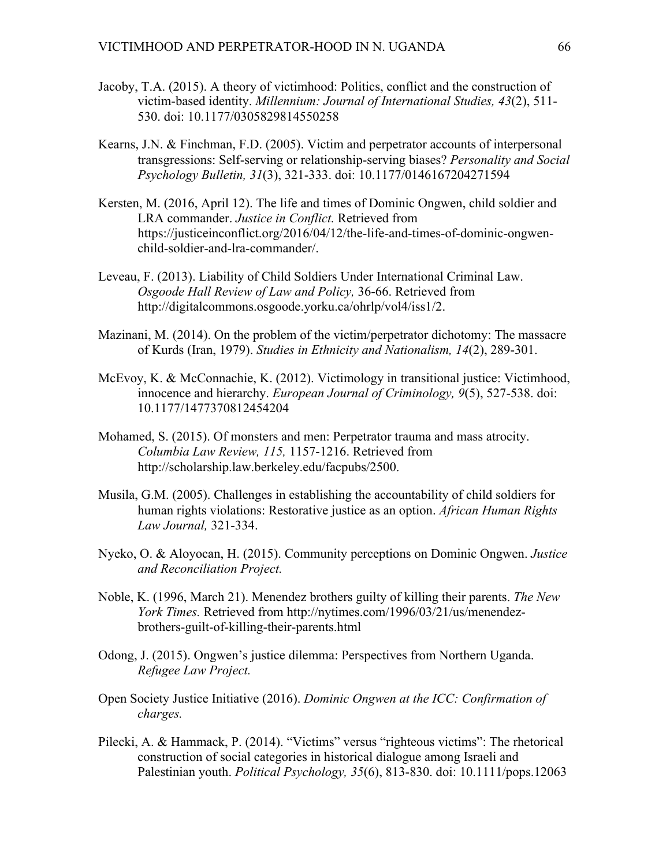- Jacoby, T.A. (2015). A theory of victimhood: Politics, conflict and the construction of victim-based identity. *Millennium: Journal of International Studies, 43*(2), 511- 530. doi: 10.1177/0305829814550258
- Kearns, J.N. & Finchman, F.D. (2005). Victim and perpetrator accounts of interpersonal transgressions: Self-serving or relationship-serving biases? *Personality and Social Psychology Bulletin, 31*(3), 321-333. doi: 10.1177/0146167204271594
- Kersten, M. (2016, April 12). The life and times of Dominic Ongwen, child soldier and LRA commander. *Justice in Conflict.* Retrieved from https://justiceinconflict.org/2016/04/12/the-life-and-times-of-dominic-ongwenchild-soldier-and-lra-commander/.
- Leveau, F. (2013). Liability of Child Soldiers Under International Criminal Law. *Osgoode Hall Review of Law and Policy,* 36-66. Retrieved from http://digitalcommons.osgoode.yorku.ca/ohrlp/vol4/iss1/2.
- Mazinani, M. (2014). On the problem of the victim/perpetrator dichotomy: The massacre of Kurds (Iran, 1979). *Studies in Ethnicity and Nationalism, 14*(2), 289-301.
- McEvoy, K. & McConnachie, K. (2012). Victimology in transitional justice: Victimhood, innocence and hierarchy. *European Journal of Criminology, 9*(5), 527-538. doi: 10.1177/1477370812454204
- Mohamed, S. (2015). Of monsters and men: Perpetrator trauma and mass atrocity. *Columbia Law Review, 115,* 1157-1216. Retrieved from http://scholarship.law.berkeley.edu/facpubs/2500.
- Musila, G.M. (2005). Challenges in establishing the accountability of child soldiers for human rights violations: Restorative justice as an option. *African Human Rights Law Journal,* 321-334.
- Nyeko, O. & Aloyocan, H. (2015). Community perceptions on Dominic Ongwen. *Justice and Reconciliation Project.*
- Noble, K. (1996, March 21). Menendez brothers guilty of killing their parents. *The New York Times.* Retrieved from http://nytimes.com/1996/03/21/us/menendezbrothers-guilt-of-killing-their-parents.html
- Odong, J. (2015). Ongwen's justice dilemma: Perspectives from Northern Uganda. *Refugee Law Project.*
- Open Society Justice Initiative (2016). *Dominic Ongwen at the ICC: Confirmation of charges.*
- Pilecki, A. & Hammack, P. (2014). "Victims" versus "righteous victims": The rhetorical construction of social categories in historical dialogue among Israeli and Palestinian youth. *Political Psychology, 35*(6), 813-830. doi: 10.1111/pops.12063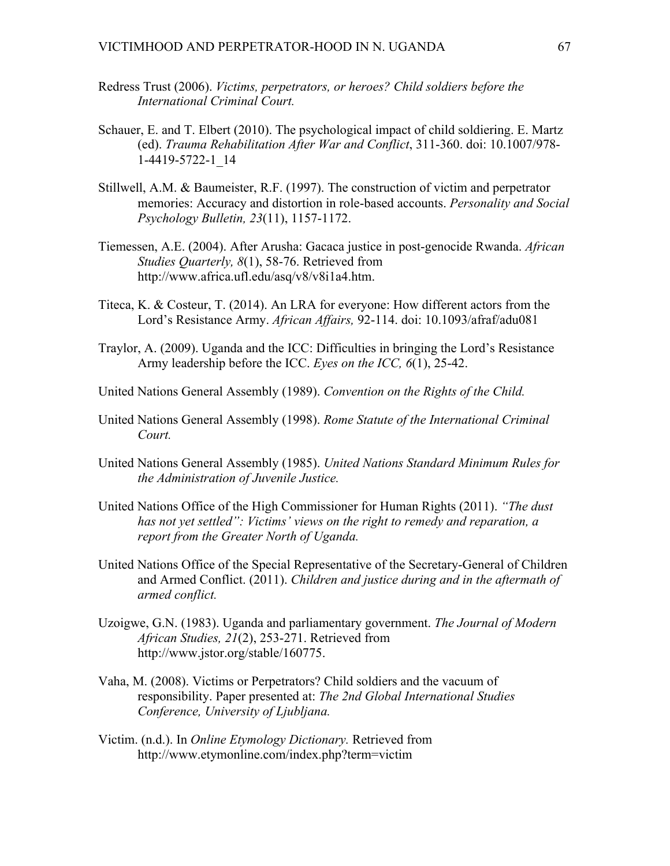- Redress Trust (2006). *Victims, perpetrators, or heroes? Child soldiers before the International Criminal Court.*
- Schauer, E. and T. Elbert (2010). The psychological impact of child soldiering. E. Martz (ed). *Trauma Rehabilitation After War and Conflict*, 311-360. doi: 10.1007/978- 1-4419-5722-1\_14
- Stillwell, A.M. & Baumeister, R.F. (1997). The construction of victim and perpetrator memories: Accuracy and distortion in role-based accounts. *Personality and Social Psychology Bulletin, 23*(11), 1157-1172.
- Tiemessen, A.E. (2004). After Arusha: Gacaca justice in post-genocide Rwanda. *African Studies Quarterly, 8*(1), 58-76. Retrieved from http://www.africa.ufl.edu/asq/v8/v8i1a4.htm.
- Titeca, K. & Costeur, T. (2014). An LRA for everyone: How different actors from the Lord's Resistance Army. *African Affairs,* 92-114. doi: 10.1093/afraf/adu081
- Traylor, A. (2009). Uganda and the ICC: Difficulties in bringing the Lord's Resistance Army leadership before the ICC. *Eyes on the ICC, 6*(1), 25-42.
- United Nations General Assembly (1989). *Convention on the Rights of the Child.*
- United Nations General Assembly (1998). *Rome Statute of the International Criminal Court.*
- United Nations General Assembly (1985). *United Nations Standard Minimum Rules for the Administration of Juvenile Justice.*
- United Nations Office of the High Commissioner for Human Rights (2011). *"The dust has not yet settled": Victims' views on the right to remedy and reparation, a report from the Greater North of Uganda.*
- United Nations Office of the Special Representative of the Secretary-General of Children and Armed Conflict. (2011). *Children and justice during and in the aftermath of armed conflict.*
- Uzoigwe, G.N. (1983). Uganda and parliamentary government. *The Journal of Modern African Studies, 21*(2), 253-271. Retrieved from http://www.jstor.org/stable/160775.
- Vaha, M. (2008). Victims or Perpetrators? Child soldiers and the vacuum of responsibility. Paper presented at: *The 2nd Global International Studies Conference, University of Ljubljana.*
- Victim. (n.d.). In *Online Etymology Dictionary.* Retrieved from http://www.etymonline.com/index.php?term=victim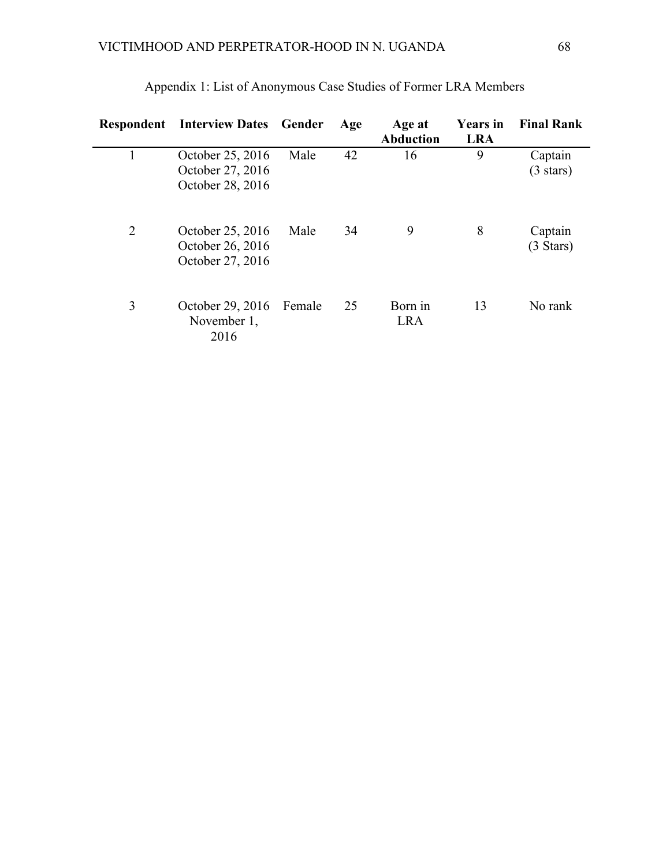| Respondent     | <b>Interview Dates</b>                                   | Gender | Age | Age at<br><b>Abduction</b> | <b>Years</b> in<br><b>LRA</b> | <b>Final Rank</b>              |
|----------------|----------------------------------------------------------|--------|-----|----------------------------|-------------------------------|--------------------------------|
|                | October 25, 2016<br>October 27, 2016<br>October 28, 2016 | Male   | 42  | 16                         | 9                             | Captain<br>$(3 \text{ stars})$ |
| $\overline{2}$ | October 25, 2016<br>October 26, 2016<br>October 27, 2016 | Male   | 34  | 9                          | 8                             | Captain<br>$(3 \text{ Stars})$ |
| 3              | October 29, 2016<br>November 1,<br>2016                  | Female | 25  | Born in<br><b>LRA</b>      | 13                            | No rank                        |

Appendix 1: List of Anonymous Case Studies of Former LRA Members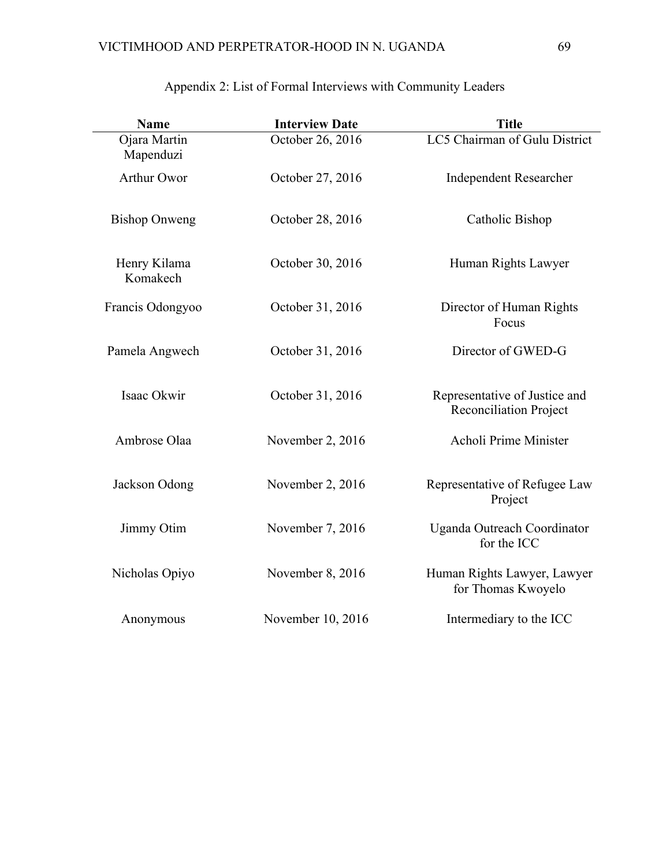| <b>Name</b>               | <b>Interview Date</b> | <b>Title</b>                                                   |
|---------------------------|-----------------------|----------------------------------------------------------------|
| Ojara Martin<br>Mapenduzi | October 26, 2016      | LC5 Chairman of Gulu District                                  |
| Arthur Owor               | October 27, 2016      | <b>Independent Researcher</b>                                  |
| <b>Bishop Onweng</b>      | October 28, 2016      | Catholic Bishop                                                |
| Henry Kilama<br>Komakech  | October 30, 2016      | Human Rights Lawyer                                            |
| Francis Odongyoo          | October 31, 2016      | Director of Human Rights<br>Focus                              |
| Pamela Angwech            | October 31, 2016      | Director of GWED-G                                             |
| Isaac Okwir               | October 31, 2016      | Representative of Justice and<br><b>Reconciliation Project</b> |
| Ambrose Olaa              | November 2, 2016      | Acholi Prime Minister                                          |
| Jackson Odong             | November 2, 2016      | Representative of Refugee Law<br>Project                       |
| Jimmy Otim                | November 7, 2016      | Uganda Outreach Coordinator<br>for the ICC                     |
| Nicholas Opiyo            | November 8, 2016      | Human Rights Lawyer, Lawyer<br>for Thomas Kwoyelo              |
| Anonymous                 | November 10, 2016     | Intermediary to the ICC                                        |

## Appendix 2: List of Formal Interviews with Community Leaders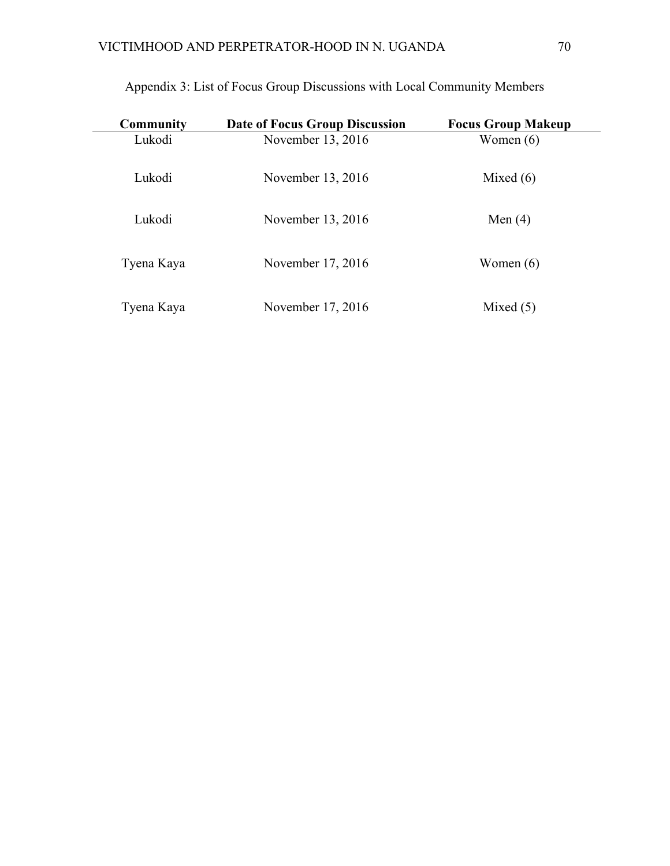| Community  | <b>Date of Focus Group Discussion</b> | <b>Focus Group Makeup</b> |
|------------|---------------------------------------|---------------------------|
| Lukodi     | November 13, 2016                     | Women $(6)$               |
| Lukodi     | November 13, 2016                     | Mixed $(6)$               |
| Lukodi     | November 13, 2016                     | Men $(4)$                 |
| Tyena Kaya | November 17, 2016                     | Women $(6)$               |
| Tyena Kaya | November 17, 2016                     | Mixed $(5)$               |

## Appendix 3: List of Focus Group Discussions with Local Community Members